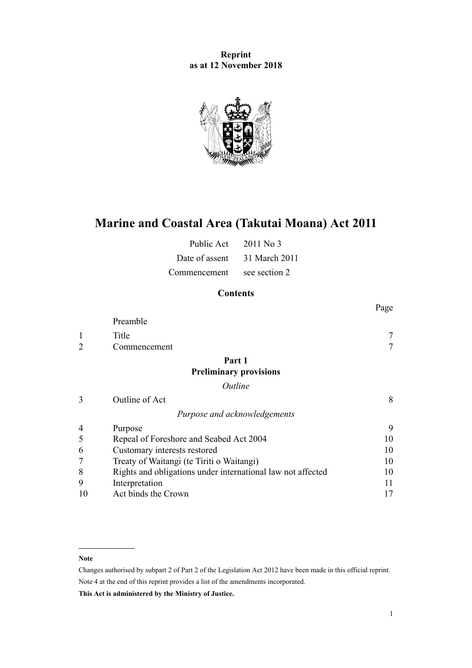## **Reprint as at 12 November 2018**



# **Marine and Coastal Area (Takutai Moana) Act 2011**

| Public Act     | $2011$ No 3   |
|----------------|---------------|
| Date of assent | 31 March 2011 |
| Commencement   | see section 2 |

## **Contents**

|    |                                                             | Page |
|----|-------------------------------------------------------------|------|
|    | Preamble                                                    |      |
|    | Title                                                       |      |
|    | Commencement                                                |      |
|    | Part 1                                                      |      |
|    | <b>Preliminary provisions</b>                               |      |
|    | Outline                                                     |      |
| 3  | Outline of Act                                              | 8    |
|    | Purpose and acknowledgements                                |      |
| 4  | Purpose                                                     | 9    |
| 5  | Repeal of Foreshore and Seabed Act 2004                     | 10   |
| 6  | Customary interests restored                                | 10   |
|    | Treaty of Waitangi (te Tiriti o Waitangi)                   | 10   |
| 8  | Rights and obligations under international law not affected | 10   |
| 9  | Interpretation                                              | 11   |
| 10 | Act binds the Crown                                         | 17   |

#### **Note**

Changes authorised by [subpart 2](http://legislation.govt.nz/pdflink.aspx?id=DLM2998524) of Part 2 of the Legislation Act 2012 have been made in this official reprint. Note 4 at the end of this reprint provides a list of the amendments incorporated.

**This Act is administered by the Ministry of Justice.**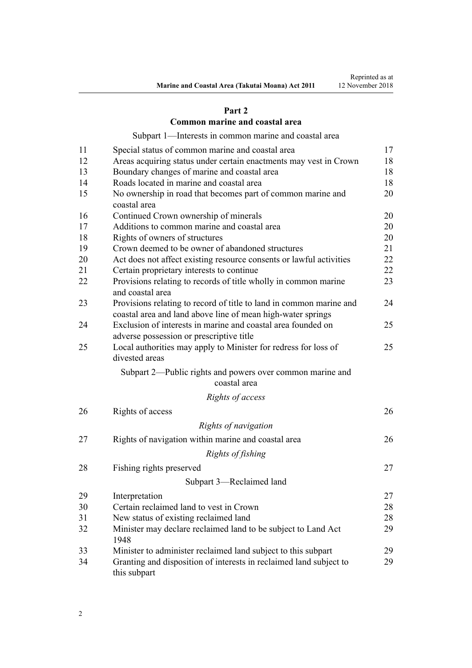## **[Part 2](#page-16-0)**

## **[Common marine and coastal area](#page-16-0)**

[Subpart 1—Interests in common marine and coastal area](#page-16-0)

| 11 | Special status of common marine and coastal area                                                                                   | 17 |
|----|------------------------------------------------------------------------------------------------------------------------------------|----|
| 12 | Areas acquiring status under certain enactments may vest in Crown                                                                  | 18 |
| 13 | Boundary changes of marine and coastal area                                                                                        | 18 |
| 14 | Roads located in marine and coastal area                                                                                           | 18 |
| 15 | No ownership in road that becomes part of common marine and<br>coastal area                                                        | 20 |
| 16 | Continued Crown ownership of minerals                                                                                              | 20 |
| 17 | Additions to common marine and coastal area                                                                                        | 20 |
| 18 | Rights of owners of structures                                                                                                     | 20 |
| 19 | Crown deemed to be owner of abandoned structures                                                                                   | 21 |
| 20 | Act does not affect existing resource consents or lawful activities                                                                | 22 |
| 21 | Certain proprietary interests to continue                                                                                          | 22 |
| 22 | Provisions relating to records of title wholly in common marine<br>and coastal area                                                | 23 |
| 23 | Provisions relating to record of title to land in common marine and<br>coastal area and land above line of mean high-water springs | 24 |
| 24 | Exclusion of interests in marine and coastal area founded on<br>adverse possession or prescriptive title                           | 25 |
| 25 | Local authorities may apply to Minister for redress for loss of<br>divested areas                                                  | 25 |
|    | Subpart 2—Public rights and powers over common marine and<br>coastal area                                                          |    |
|    | Rights of access                                                                                                                   |    |
| 26 | Rights of access                                                                                                                   | 26 |
|    | Rights of navigation                                                                                                               |    |
| 27 | Rights of navigation within marine and coastal area                                                                                | 26 |
|    | Rights of fishing                                                                                                                  |    |
| 28 | Fishing rights preserved                                                                                                           | 27 |
|    | Subpart 3-Reclaimed land                                                                                                           |    |
| 29 | Interpretation                                                                                                                     | 27 |
| 30 | Certain reclaimed land to vest in Crown                                                                                            | 28 |
| 31 | New status of existing reclaimed land                                                                                              | 28 |
| 32 | Minister may declare reclaimed land to be subject to Land Act<br>1948                                                              | 29 |
| 33 | Minister to administer reclaimed land subject to this subpart                                                                      | 29 |
| 34 | Granting and disposition of interests in reclaimed land subject to<br>this subpart                                                 | 29 |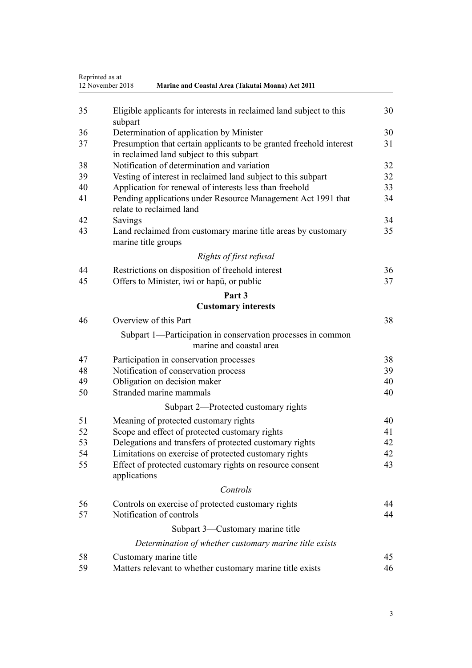| Reprinted as at<br>12 November 2018<br>Marine and Coastal Area (Takutai Moana) Act 2011 |                                                                                          |    |
|-----------------------------------------------------------------------------------------|------------------------------------------------------------------------------------------|----|
| 35                                                                                      | Eligible applicants for interests in reclaimed land subject to this                      | 30 |
| 36                                                                                      | subpart<br>Determination of application by Minister                                      | 30 |
| 37                                                                                      | Presumption that certain applicants to be granted freehold interest                      | 31 |
|                                                                                         | in reclaimed land subject to this subpart                                                |    |
| 38                                                                                      | Notification of determination and variation                                              | 32 |
| 39                                                                                      | Vesting of interest in reclaimed land subject to this subpart                            | 32 |
| 40                                                                                      | Application for renewal of interests less than freehold                                  | 33 |
| 41                                                                                      | Pending applications under Resource Management Act 1991 that<br>relate to reclaimed land | 34 |
| 42                                                                                      | Savings                                                                                  | 34 |
| 43                                                                                      | Land reclaimed from customary marine title areas by customary<br>marine title groups     | 35 |
|                                                                                         | Rights of first refusal                                                                  |    |
| 44                                                                                      | Restrictions on disposition of freehold interest                                         | 36 |
| 45                                                                                      | Offers to Minister, iwi or hapu, or public                                               | 37 |
|                                                                                         | Part 3                                                                                   |    |
|                                                                                         | <b>Customary interests</b>                                                               |    |
| 46                                                                                      | Overview of this Part                                                                    | 38 |
|                                                                                         | Subpart 1—Participation in conservation processes in common<br>marine and coastal area   |    |
| 47                                                                                      | Participation in conservation processes                                                  | 38 |
| 48                                                                                      | Notification of conservation process                                                     | 39 |
| 49                                                                                      | Obligation on decision maker                                                             | 40 |
| 50                                                                                      | Stranded marine mammals                                                                  | 40 |
|                                                                                         | Subpart 2—Protected customary rights                                                     |    |
| 51                                                                                      | Meaning of protected customary rights                                                    | 40 |
| 52                                                                                      | Scope and effect of protected customary rights                                           | 41 |
| 53                                                                                      | Delegations and transfers of protected customary rights                                  | 42 |
| 54                                                                                      | Limitations on exercise of protected customary rights                                    | 42 |
| 55                                                                                      | Effect of protected customary rights on resource consent<br>applications                 | 43 |
|                                                                                         | Controls                                                                                 |    |
| 56                                                                                      | Controls on exercise of protected customary rights                                       | 44 |
| 57                                                                                      | Notification of controls                                                                 | 44 |
|                                                                                         | Subpart 3-Customary marine title                                                         |    |
|                                                                                         | Determination of whether customary marine title exists                                   |    |
| 58                                                                                      | Customary marine title                                                                   | 45 |
| 59                                                                                      | Matters relevant to whether customary marine title exists                                | 46 |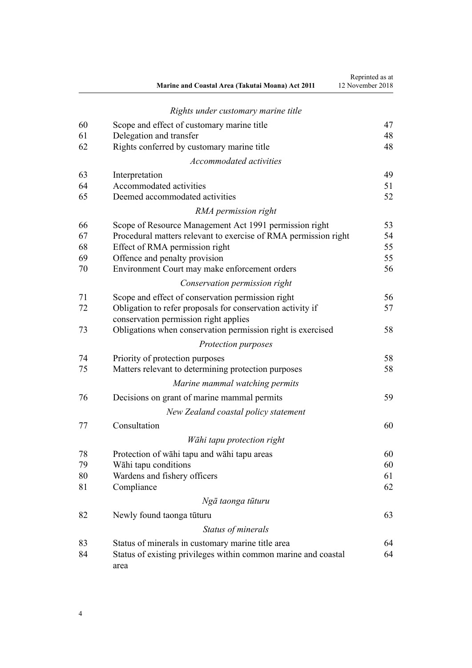|    | Marine and Coastal Area (Takutai Moana) Act 2011                       | Reprinted as at<br>12 November 2018 |
|----|------------------------------------------------------------------------|-------------------------------------|
|    | Rights under customary marine title                                    |                                     |
| 60 | Scope and effect of customary marine title                             | 47                                  |
| 61 | Delegation and transfer                                                | 48                                  |
| 62 | Rights conferred by customary marine title                             | 48                                  |
|    | Accommodated activities                                                |                                     |
| 63 | Interpretation                                                         | 49                                  |
| 64 | Accommodated activities                                                | 51                                  |
| 65 | Deemed accommodated activities                                         | 52                                  |
|    | RMA permission right                                                   |                                     |
| 66 | Scope of Resource Management Act 1991 permission right                 | 53                                  |
| 67 | Procedural matters relevant to exercise of RMA permission right        | 54                                  |
| 68 | Effect of RMA permission right                                         | 55                                  |
| 69 | Offence and penalty provision                                          | 55                                  |
| 70 | Environment Court may make enforcement orders                          | 56                                  |
|    | Conservation permission right                                          |                                     |
| 71 | Scope and effect of conservation permission right                      | 56                                  |
| 72 | Obligation to refer proposals for conservation activity if             | 57                                  |
|    | conservation permission right applies                                  |                                     |
| 73 | Obligations when conservation permission right is exercised            | 58                                  |
|    | Protection purposes                                                    |                                     |
| 74 | Priority of protection purposes                                        | 58                                  |
| 75 | Matters relevant to determining protection purposes                    | 58                                  |
|    | Marine mammal watching permits                                         |                                     |
| 76 | Decisions on grant of marine mammal permits                            | 59                                  |
|    | New Zealand coastal policy statement                                   |                                     |
| 77 | Consultation                                                           | 60                                  |
|    | Wāhi tapu protection right                                             |                                     |
| 78 | Protection of wahi tapu and wahi tapu areas                            | 60                                  |
| 79 | Wāhi tapu conditions                                                   | 60                                  |
| 80 | Wardens and fishery officers                                           | 61                                  |
| 81 | Compliance                                                             | 62                                  |
|    | Ngā taonga tūturu                                                      |                                     |
| 82 | Newly found taonga tūturu                                              | 63                                  |
|    | Status of minerals                                                     |                                     |
| 83 | Status of minerals in customary marine title area                      | 64                                  |
| 84 | Status of existing privileges within common marine and coastal<br>area | 64                                  |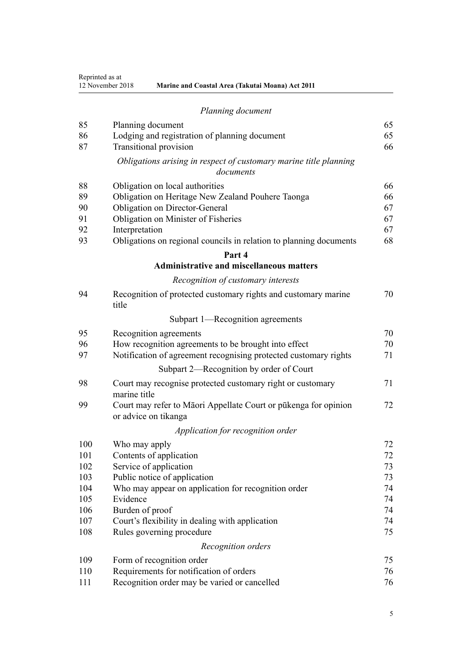Reprinted as at

| 12 November 2018 | <b>Marine and Coastal Area (Takutai Moana) Act 2011</b> |  |
|------------------|---------------------------------------------------------|--|

|     | Planning document                                                                       |    |
|-----|-----------------------------------------------------------------------------------------|----|
| 85  | Planning document                                                                       | 65 |
| 86  | Lodging and registration of planning document                                           | 65 |
| 87  | <b>Transitional provision</b>                                                           | 66 |
|     | Obligations arising in respect of customary marine title planning<br>documents          |    |
| 88  | Obligation on local authorities                                                         | 66 |
| 89  | Obligation on Heritage New Zealand Pouhere Taonga                                       | 66 |
| 90  | Obligation on Director-General                                                          | 67 |
| 91  | Obligation on Minister of Fisheries                                                     | 67 |
| 92  | Interpretation                                                                          | 67 |
| 93  | Obligations on regional councils in relation to planning documents                      | 68 |
|     | Part 4                                                                                  |    |
|     | <b>Administrative and miscellaneous matters</b>                                         |    |
|     | Recognition of customary interests                                                      |    |
| 94  | Recognition of protected customary rights and customary marine<br>title                 | 70 |
|     | Subpart 1—Recognition agreements                                                        |    |
| 95  | Recognition agreements                                                                  | 70 |
| 96  | How recognition agreements to be brought into effect                                    | 70 |
| 97  | Notification of agreement recognising protected customary rights                        | 71 |
|     | Subpart 2—Recognition by order of Court                                                 |    |
| 98  | Court may recognise protected customary right or customary<br>marine title              | 71 |
| 99  | Court may refer to Māori Appellate Court or pūkenga for opinion<br>or advice on tikanga | 72 |
|     | Application for recognition order                                                       |    |
| 100 | Who may apply                                                                           | 72 |
| 101 | Contents of application                                                                 | 72 |
| 102 | Service of application                                                                  | 73 |
| 103 | Public notice of application                                                            | 73 |
| 104 | Who may appear on application for recognition order                                     | 74 |
| 105 | Evidence                                                                                | 74 |
| 106 | Burden of proof                                                                         | 74 |
| 107 | Court's flexibility in dealing with application                                         | 74 |
| 108 | Rules governing procedure                                                               | 75 |
|     | Recognition orders                                                                      |    |
| 109 | Form of recognition order                                                               | 75 |
| 110 | Requirements for notification of orders                                                 | 76 |
| 111 | Recognition order may be varied or cancelled                                            | 76 |
|     |                                                                                         |    |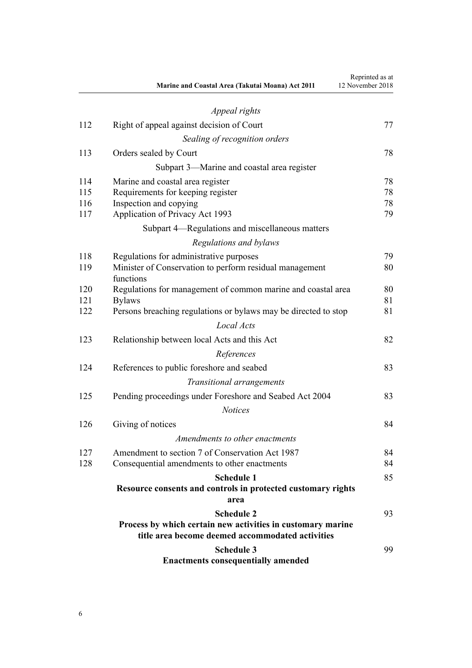|     | Marine and Coastal Area (Takutai Moana) Act 2011                     | Reprinted as at<br>12 November 2018 |
|-----|----------------------------------------------------------------------|-------------------------------------|
|     | Appeal rights                                                        |                                     |
| 112 | Right of appeal against decision of Court                            | 77                                  |
|     | Sealing of recognition orders                                        |                                     |
| 113 | Orders sealed by Court                                               | 78                                  |
|     | Subpart 3—Marine and coastal area register                           |                                     |
| 114 | Marine and coastal area register                                     | 78                                  |
| 115 | Requirements for keeping register                                    | 78                                  |
| 116 | Inspection and copying                                               | 78                                  |
| 117 | Application of Privacy Act 1993                                      | 79                                  |
|     | Subpart 4—Regulations and miscellaneous matters                      |                                     |
|     | Regulations and bylaws                                               |                                     |
| 118 | Regulations for administrative purposes                              | 79                                  |
| 119 | Minister of Conservation to perform residual management<br>functions | 80                                  |
| 120 | Regulations for management of common marine and coastal area         | 80                                  |
| 121 | <b>Bylaws</b>                                                        | 81                                  |
| 122 | Persons breaching regulations or bylaws may be directed to stop      | 81                                  |
|     | Local Acts                                                           |                                     |
| 123 | Relationship between local Acts and this Act                         | 82                                  |
|     | References                                                           |                                     |
| 124 | References to public foreshore and seabed                            | 83                                  |
|     | Transitional arrangements                                            |                                     |
| 125 | Pending proceedings under Foreshore and Seabed Act 2004              | 83                                  |
|     | <b>Notices</b>                                                       |                                     |
| 126 | Giving of notices                                                    | 84                                  |
|     | Amendments to other enactments                                       |                                     |
| 127 | Amendment to section 7 of Conservation Act 1987                      | 84                                  |
| 128 | Consequential amendments to other enactments                         | 84                                  |
|     | <b>Schedule 1</b>                                                    | 85                                  |
|     | Resource consents and controls in protected customary rights         |                                     |
|     | area                                                                 |                                     |
|     | <b>Schedule 2</b>                                                    | 93                                  |
|     | Process by which certain new activities in customary marine          |                                     |
|     | title area become deemed accommodated activities                     |                                     |
|     | <b>Schedule 3</b><br><b>Enactments consequentially amended</b>       | 99                                  |
|     |                                                                      |                                     |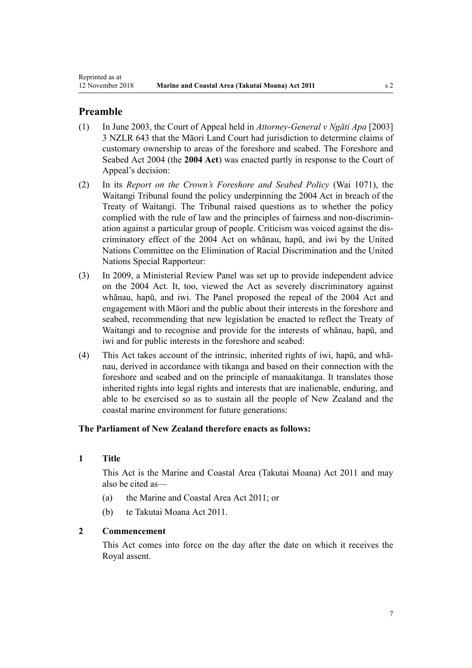## <span id="page-6-0"></span>**Preamble**

- (1) In June 2003, the Court of Appeal held in *Attorney-General v Ngāti Apa* [2003] 3 NZLR 643 that the Māori Land Court had jurisdiction to determine claims of customary ownership to areas of the foreshore and seabed. The [Foreshore and](http://legislation.govt.nz/pdflink.aspx?id=DLM319838) [Seabed Act 2004](http://legislation.govt.nz/pdflink.aspx?id=DLM319838) (the **2004 Act**) was enacted partly in response to the Court of Appeal's decision:
- (2) In its *Report on the Crown's Foreshore and Seabed Policy* (Wai 1071), the Waitangi Tribunal found the policy underpinning the 2004 Act in breach of the Treaty of Waitangi. The Tribunal raised questions as to whether the policy complied with the rule of law and the principles of fairness and non-discrimination against a particular group of people. Criticism was voiced against the discriminatory effect of the 2004 Act on whānau, hapū, and iwi by the United Nations Committee on the Elimination of Racial Discrimination and the United Nations Special Rapporteur:
- (3) In 2009, a Ministerial Review Panel was set up to provide independent advice on the 2004 Act. It, too, viewed the Act as severely discriminatory against whānau, hapū, and iwi. The Panel proposed the repeal of the 2004 Act and engagement with Māori and the public about their interests in the foreshore and seabed, recommending that new legislation be enacted to reflect the Treaty of Waitangi and to recognise and provide for the interests of whānau, hapū, and iwi and for public interests in the foreshore and seabed:
- (4) This Act takes account of the intrinsic, inherited rights of iwi, hapū, and whānau, derived in accordance with tikanga and based on their connection with the foreshore and seabed and on the principle of manaakitanga. It translates those inherited rights into legal rights and interests that are inalienable, enduring, and able to be exercised so as to sustain all the people of New Zealand and the coastal marine environment for future generations:

## **The Parliament of New Zealand therefore enacts as follows:**

## **1 Title**

This Act is the Marine and Coastal Area (Takutai Moana) Act 2011 and may also be cited as—

- (a) the Marine and Coastal Area Act 2011; or
- (b) te Takutai Moana Act 2011.

#### **2 Commencement**

This Act comes into force on the day after the date on which it receives the Royal assent.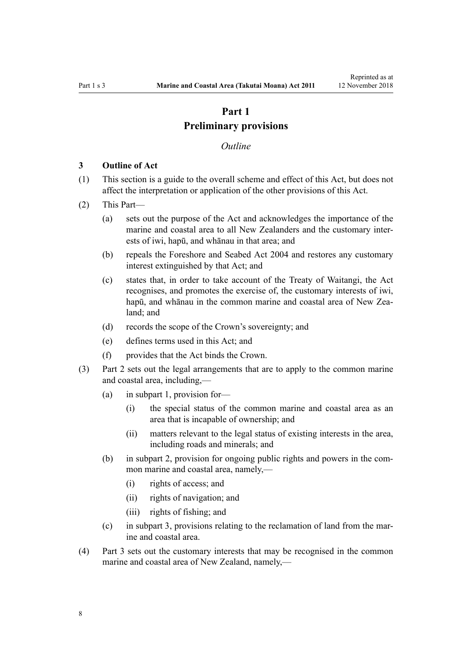## **Part 1 Preliminary provisions**

#### *Outline*

#### <span id="page-7-0"></span>**3 Outline of Act**

- (1) This section is a guide to the overall scheme and effect of this Act, but does not affect the interpretation or application of the other provisions of this Act.
- (2) This Part—
	- (a) sets out the purpose of the Act and acknowledges the importance of the marine and coastal area to all New Zealanders and the customary interests of iwi, hapū, and whānau in that area; and
	- (b) repeals the [Foreshore and Seabed Act 2004](http://legislation.govt.nz/pdflink.aspx?id=DLM319838) and restores any customary interest extinguished by that Act; and
	- (c) states that, in order to take account of the Treaty of Waitangi, the Act recognises, and promotes the exercise of, the customary interests of iwi, hapū, and whānau in the common marine and coastal area of New Zealand; and
	- (d) records the scope of the Crown's sovereignty; and
	- (e) defines terms used in this Act; and
	- (f) provides that the Act binds the Crown.
- (3) [Part 2](#page-16-0) sets out the legal arrangements that are to apply to the common marine and coastal area, including,—
	- (a) in [subpart 1,](#page-16-0) provision for—
		- (i) the special status of the common marine and coastal area as an area that is incapable of ownership; and
		- (ii) matters relevant to the legal status of existing interests in the area, including roads and minerals; and
	- (b) in [subpart 2](#page-25-0), provision for ongoing public rights and powers in the common marine and coastal area, namely,—
		- (i) rights of access; and
		- (ii) rights of navigation; and
		- (iii) rights of fishing; and
	- (c) in [subpart 3](#page-26-0), provisions relating to the reclamation of land from the marine and coastal area.
- (4) [Part 3](#page-37-0) sets out the customary interests that may be recognised in the common marine and coastal area of New Zealand, namely,—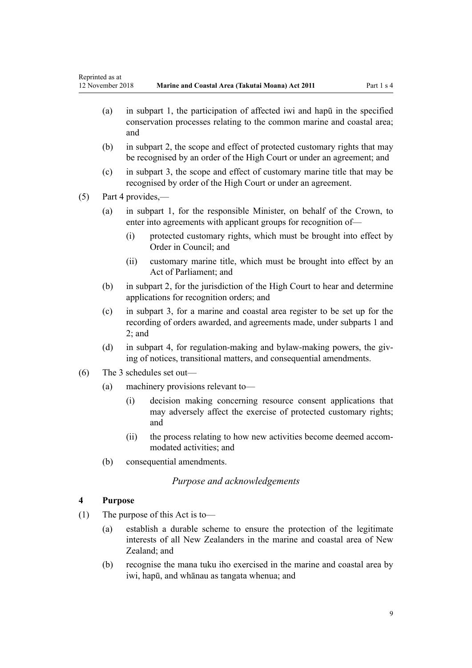- <span id="page-8-0"></span>(a) in [subpart 1,](#page-37-0) the participation of affected iwi and hapū in the specified conservation processes relating to the common marine and coastal area; and
- (b) in [subpart 2](#page-39-0), the scope and effect of protected customary rights that may be recognised by an order of the High Court or under an agreement; and
- (c) in [subpart 3](#page-44-0), the scope and effect of customary marine title that may be recognised by order of the High Court or under an agreement.
- (5) [Part 4](#page-69-0) provides,—
	- (a) in [subpart 1](#page-69-0), for the responsible Minister, on behalf of the Crown, to enter into agreements with applicant groups for recognition of-
		- (i) protected customary rights, which must be brought into effect by Order in Council; and
		- (ii) customary marine title, which must be brought into effect by an Act of Parliament; and
	- (b) in [subpart 2](#page-70-0), for the jurisdiction of the High Court to hear and determine applications for recognition orders; and
	- (c) in [subpart 3,](#page-77-0) for a marine and coastal area register to be set up for the recording of orders awarded, and agreements made, under [subparts 1](#page-69-0) and [2;](#page-70-0) and
	- (d) in [subpart 4,](#page-78-0) for regulation-making and bylaw-making powers, the giving of notices, transitional matters, and consequential amendments.
- (6) The 3 schedules set out—
	- (a) machinery provisions relevant to—
		- (i) decision making concerning resource consent applications that may adversely affect the exercise of protected customary rights; and
		- (ii) the process relating to how new activities become deemed accommodated activities; and
	- (b) consequential amendments.

## *Purpose and acknowledgements*

### **4 Purpose**

- (1) The purpose of this Act is to—
	- (a) establish a durable scheme to ensure the protection of the legitimate interests of all New Zealanders in the marine and coastal area of New Zealand; and
	- (b) recognise the mana tuku iho exercised in the marine and coastal area by iwi, hapū, and whānau as tangata whenua; and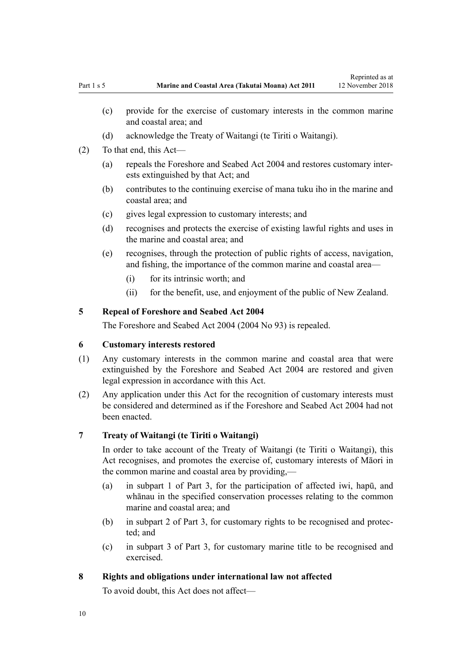Reprinted as at

- <span id="page-9-0"></span>(c) provide for the exercise of customary interests in the common marine and coastal area; and
- (d) acknowledge the Treaty of Waitangi (te Tiriti o Waitangi).
- (2) To that end, this Act—
	- (a) repeals the [Foreshore and Seabed Act 2004](http://legislation.govt.nz/pdflink.aspx?id=DLM319838) and restores customary interests extinguished by that Act; and
	- (b) contributes to the continuing exercise of mana tuku iho in the marine and coastal area; and
	- (c) gives legal expression to customary interests; and
	- (d) recognises and protects the exercise of existing lawful rights and uses in the marine and coastal area; and
	- (e) recognises, through the protection of public rights of access, navigation, and fishing, the importance of the common marine and coastal area—
		- (i) for its intrinsic worth; and
		- (ii) for the benefit, use, and enjoyment of the public of New Zealand.

## **5 Repeal of Foreshore and Seabed Act 2004**

The [Foreshore and Seabed Act 2004](http://legislation.govt.nz/pdflink.aspx?id=DLM319838) (2004 No 93) is repealed.

## **6 Customary interests restored**

- (1) Any customary interests in the common marine and coastal area that were extinguished by the [Foreshore and Seabed Act 2004](http://legislation.govt.nz/pdflink.aspx?id=DLM319838) are restored and given legal expression in accordance with this Act.
- (2) Any application under this Act for the recognition of customary interests must be considered and determined as if the [Foreshore and Seabed Act 2004](http://legislation.govt.nz/pdflink.aspx?id=DLM319838) had not been enacted.

#### **7 Treaty of Waitangi (te Tiriti o Waitangi)**

In order to take account of the Treaty of Waitangi (te Tiriti o Waitangi), this Act recognises, and promotes the exercise of, customary interests of Māori in the common marine and coastal area by providing,—

- (a) in [subpart 1 of Part 3,](#page-37-0) for the participation of affected iwi, hapū, and whānau in the specified conservation processes relating to the common marine and coastal area; and
- (b) in [subpart 2 of Part 3](#page-39-0), for customary rights to be recognised and protected; and
- (c) in [subpart 3 of Part 3](#page-44-0), for customary marine title to be recognised and exercised.

#### **8 Rights and obligations under international law not affected**

To avoid doubt, this Act does not affect—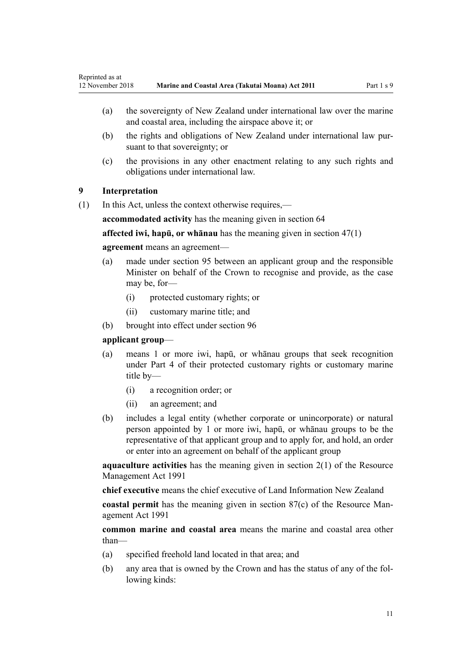- <span id="page-10-0"></span>(a) the sovereignty of New Zealand under international law over the marine and coastal area, including the airspace above it; or
- (b) the rights and obligations of New Zealand under international law pursuant to that sovereignty; or
- (c) the provisions in any other enactment relating to any such rights and obligations under international law.

## **9 Interpretation**

(1) In this Act, unless the context otherwise requires,—

**accommodated activity** has the meaning given in [section 64](#page-50-0)

**affected iwi, hapū, or whānau** has the meaning given in [section 47\(1\)](#page-37-0)

### **agreement** means an agreement—

- (a) made under [section 95](#page-69-0) between an applicant group and the responsible Minister on behalf of the Crown to recognise and provide, as the case may be, for-
	- (i) protected customary rights; or
	- (ii) customary marine title; and
- (b) brought into effect under [section 96](#page-69-0)

## **applicant group**—

- (a) means 1 or more iwi, hapū, or whānau groups that seek recognition under [Part 4](#page-69-0) of their protected customary rights or customary marine title by—
	- (i) a recognition order; or
	- (ii) an agreement; and
- (b) includes a legal entity (whether corporate or unincorporate) or natural person appointed by 1 or more iwi, hapū, or whānau groups to be the representative of that applicant group and to apply for, and hold, an order or enter into an agreement on behalf of the applicant group

**aquaculture activities** has the meaning given in [section 2\(1\)](http://legislation.govt.nz/pdflink.aspx?id=DLM230272) of the Resource Management Act 1991

**chief executive** means the chief executive of Land Information New Zealand

**coastal permit** has the meaning given in [section 87\(c\)](http://legislation.govt.nz/pdflink.aspx?id=DLM233848) of the Resource Management Act 1991

**common marine and coastal area** means the marine and coastal area other than—

- (a) specified freehold land located in that area; and
- (b) any area that is owned by the Crown and has the status of any of the following kinds: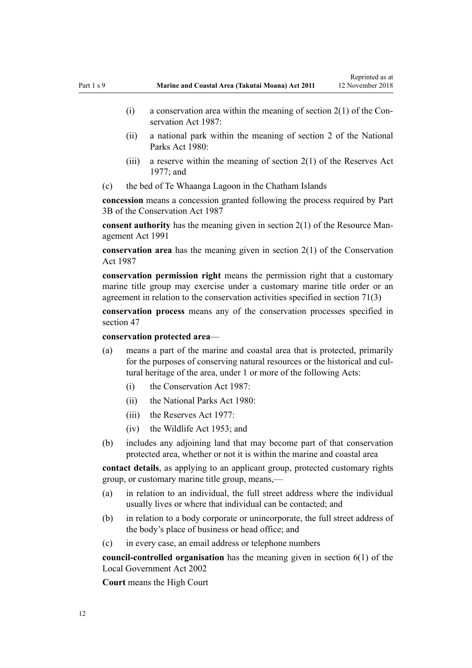Reprinted as at

- (i) a conservation area within the meaning of section  $2(1)$  of the Conservation Act 1987:
- (ii) a national park within the meaning of [section 2](http://legislation.govt.nz/pdflink.aspx?id=DLM36968) of the National Parks Act 1980:
- (iii) a reserve within the meaning of section  $2(1)$  of the Reserves Act 1977; and
- (c) the bed of Te Whaanga Lagoon in the Chatham Islands

**concession** means a concession granted following the process required by [Part](http://legislation.govt.nz/pdflink.aspx?id=DLM104633) [3B](http://legislation.govt.nz/pdflink.aspx?id=DLM104633) of the Conservation Act 1987

**consent authority** has the meaning given in [section 2\(1\)](http://legislation.govt.nz/pdflink.aspx?id=DLM230272) of the Resource Management Act 1991

**conservation area** has the meaning given in [section 2\(1\)](http://legislation.govt.nz/pdflink.aspx?id=DLM103616) of the Conservation Act 1987

**conservation permission right** means the permission right that a customary marine title group may exercise under a customary marine title order or an agreement in relation to the conservation activities specified in [section 71\(3\)](#page-55-0)

**conservation process** means any of the conservation processes specified in [section 47](#page-37-0)

#### **conservation protected area**—

- (a) means a part of the marine and coastal area that is protected, primarily for the purposes of conserving natural resources or the historical and cultural heritage of the area, under 1 or more of the following Acts:
	- (i) the [Conservation Act 1987:](http://legislation.govt.nz/pdflink.aspx?id=DLM103609)
	- (ii) the [National Parks Act 1980:](http://legislation.govt.nz/pdflink.aspx?id=DLM36962)
	- $(iii)$  the [Reserves Act 1977](http://legislation.govt.nz/pdflink.aspx?id=DLM444304).
	- (iv) the [Wildlife Act 1953](http://legislation.govt.nz/pdflink.aspx?id=DLM276813); and
- (b) includes any adjoining land that may become part of that conservation protected area, whether or not it is within the marine and coastal area

**contact details**, as applying to an applicant group, protected customary rights group, or customary marine title group, means,—

- (a) in relation to an individual, the full street address where the individual usually lives or where that individual can be contacted; and
- (b) in relation to a body corporate or unincorporate, the full street address of the body's place of business or head office; and
- (c) in every case, an email address or telephone numbers

**council-controlled organisation** has the meaning given in [section 6\(1\)](http://legislation.govt.nz/pdflink.aspx?id=DLM171482) of the Local Government Act 2002

**Court** means the High Court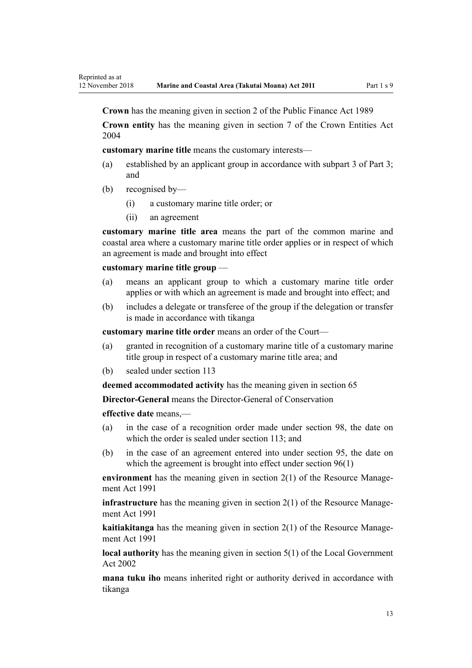**Crown** has the meaning given in [section 2](http://legislation.govt.nz/pdflink.aspx?id=DLM160819) of the Public Finance Act 1989

**Crown entity** has the meaning given in [section 7](http://legislation.govt.nz/pdflink.aspx?id=DLM329641) of the Crown Entities Act 2004

**customary marine title** means the customary interests—

- (a) established by an applicant group in accordance with [subpart 3 of Part 3;](#page-44-0) and
- (b) recognised by—
	- (i) a customary marine title order; or
	- (ii) an agreement

**customary marine title area** means the part of the common marine and coastal area where a customary marine title order applies or in respect of which an agreement is made and brought into effect

#### **customary marine title group** —

- (a) means an applicant group to which a customary marine title order applies or with which an agreement is made and brought into effect; and
- (b) includes a delegate or transferee of the group if the delegation or transfer is made in accordance with tikanga

**customary marine title order** means an order of the Court—

- (a) granted in recognition of a customary marine title of a customary marine title group in respect of a customary marine title area; and
- (b) sealed under [section 113](#page-77-0)

**deemed accommodated activity** has the meaning given in [section 65](#page-51-0)

**Director-General** means the Director-General of Conservation

**effective date** means,—

- (a) in the case of a recognition order made under [section 98,](#page-70-0) the date on which the order is sealed under [section 113;](#page-77-0) and
- (b) in the case of an agreement entered into under [section 95,](#page-69-0) the date on which the agreement is brought into effect under [section 96\(1\)](#page-69-0)

**environment** has the meaning given in [section 2\(1\)](http://legislation.govt.nz/pdflink.aspx?id=DLM230272) of the Resource Management Act 1991

**infrastructure** has the meaning given in [section 2\(1\)](http://legislation.govt.nz/pdflink.aspx?id=DLM230272) of the Resource Management Act 1991

**kaitiakitanga** has the meaning given in [section 2\(1\)](http://legislation.govt.nz/pdflink.aspx?id=DLM230272) of the Resource Management Act 1991

**local authority** has the meaning given in [section 5\(1\)](http://legislation.govt.nz/pdflink.aspx?id=DLM170881) of the Local Government Act 2002

**mana tuku iho** means inherited right or authority derived in accordance with tikanga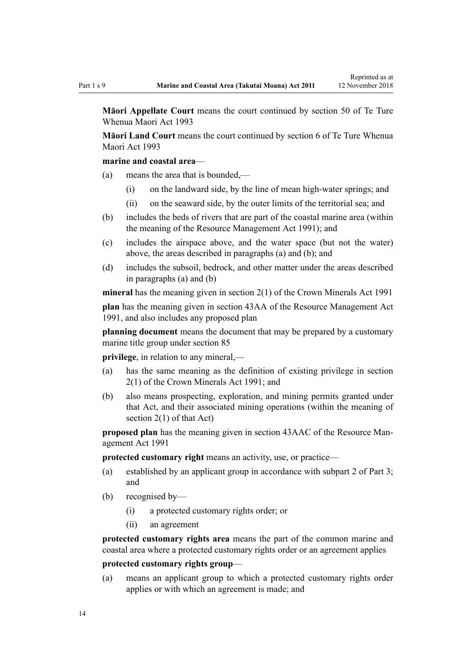**Māori Appellate Court** means the court continued by [section 50](http://legislation.govt.nz/pdflink.aspx?id=DLM290929) of Te Ture Whenua Maori Act 1993

**Māori Land Court** means the court continued by [section 6](http://legislation.govt.nz/pdflink.aspx?id=DLM290517) of Te Ture Whenua Maori Act 1993

#### **marine and coastal area**—

- (a) means the area that is bounded,—
	- (i) on the landward side, by the line of mean high-water springs; and
	- (ii) on the seaward side, by the outer limits of the territorial sea; and
- (b) includes the beds of rivers that are part of the coastal marine area (within the meaning of the [Resource Management Act 1991](http://legislation.govt.nz/pdflink.aspx?id=DLM230264)); and
- (c) includes the airspace above, and the water space (but not the water) above, the areas described in paragraphs (a) and (b); and
- (d) includes the subsoil, bedrock, and other matter under the areas described in paragraphs (a) and (b)

**mineral** has the meaning given in [section 2\(1\)](http://legislation.govt.nz/pdflink.aspx?id=DLM242543) of the Crown Minerals Act 1991

**plan** has the meaning given in [section 43AA](http://legislation.govt.nz/pdflink.aspx?id=DLM2412743) of the Resource Management Act 1991, and also includes any proposed plan

**planning document** means the document that may be prepared by a customary marine title group under [section 85](#page-64-0)

**privilege**, in relation to any mineral,—

- (a) has the same meaning as the definition of existing privilege in [section](http://legislation.govt.nz/pdflink.aspx?id=DLM242543) [2\(1\)](http://legislation.govt.nz/pdflink.aspx?id=DLM242543) of the Crown Minerals Act 1991; and
- (b) also means prospecting, exploration, and mining permits granted under that Act, and their associated mining operations (within the meaning of [section 2\(1\)](http://legislation.govt.nz/pdflink.aspx?id=DLM242543) of that Act)

**proposed plan** has the meaning given in [section 43AAC](http://legislation.govt.nz/pdflink.aspx?id=DLM2412769) of the Resource Management Act 1991

**protected customary right** means an activity, use, or practice—

- (a) established by an applicant group in accordance with [subpart 2 of Part 3;](#page-39-0) and
- (b) recognised by—
	- (i) a protected customary rights order; or
	- (ii) an agreement

**protected customary rights area** means the part of the common marine and coastal area where a protected customary rights order or an agreement applies

### **protected customary rights group**—

(a) means an applicant group to which a protected customary rights order applies or with which an agreement is made; and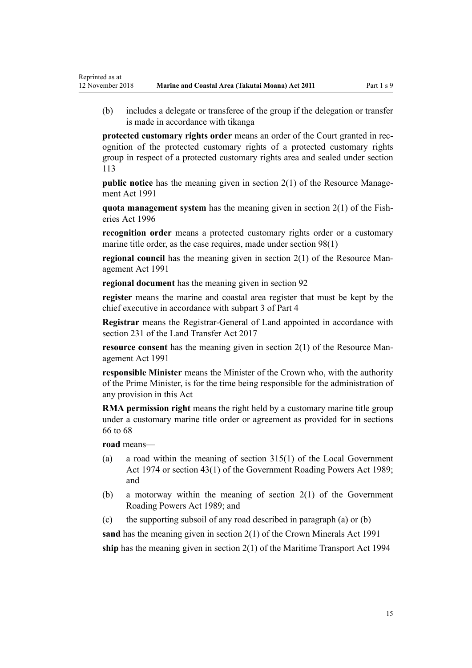(b) includes a delegate or transferee of the group if the delegation or transfer is made in accordance with tikanga

**protected customary rights order** means an order of the Court granted in recognition of the protected customary rights of a protected customary rights group in respect of a protected customary rights area and sealed under [section](#page-77-0) [113](#page-77-0)

**public notice** has the meaning given in [section 2\(1\)](http://legislation.govt.nz/pdflink.aspx?id=DLM230272) of the Resource Management Act 1991

**quota management system** has the meaning given in [section 2\(1\)](http://legislation.govt.nz/pdflink.aspx?id=DLM394199) of the Fisheries Act 1996

**recognition order** means a protected customary rights order or a customary marine title order, as the case requires, made under [section 98\(1\)](#page-70-0)

**regional council** has the meaning given in [section 2\(1\)](http://legislation.govt.nz/pdflink.aspx?id=DLM230272) of the Resource Management Act 1991

**regional document** has the meaning given in [section 92](#page-66-0)

**register** means the marine and coastal area register that must be kept by the chief executive in accordance with [subpart 3 of Part 4](#page-77-0)

**Registrar** means the Registrar-General of Land appointed in accordance with [section 231](http://legislation.govt.nz/pdflink.aspx?id=DLM6731451) of the Land Transfer Act 2017

**resource consent** has the meaning given in [section 2\(1\)](http://legislation.govt.nz/pdflink.aspx?id=DLM230272) of the Resource Management Act 1991

**responsible Minister** means the Minister of the Crown who, with the authority of the Prime Minister, is for the time being responsible for the administration of any provision in this Act

**RMA permission right** means the right held by a customary marine title group under a customary marine title order or agreement as provided for in [sections](#page-52-0) [66 to 68](#page-52-0)

**road** means—

- (a) a road within the meaning of [section 315\(1\)](http://legislation.govt.nz/pdflink.aspx?id=DLM420326) of the Local Government Act 1974 or [section 43\(1\)](http://legislation.govt.nz/pdflink.aspx?id=DLM175232) of the Government Roading Powers Act 1989; and
- (b) a motorway within the meaning of [section 2\(1\)](http://legislation.govt.nz/pdflink.aspx?id=DLM173374) of the Government Roading Powers Act 1989; and
- (c) the supporting subsoil of any road described in paragraph (a) or (b)

**sand** has the meaning given in [section 2\(1\)](http://legislation.govt.nz/pdflink.aspx?id=DLM242543) of the Crown Minerals Act 1991 **ship** has the meaning given in [section 2\(1\)](http://legislation.govt.nz/pdflink.aspx?id=DLM334667) of the Maritime Transport Act 1994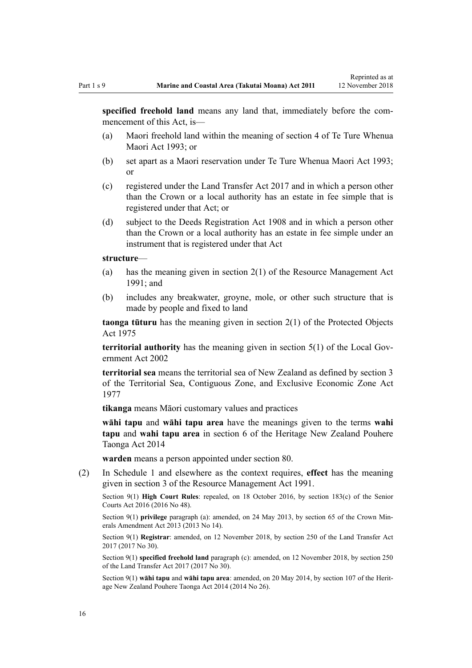Reprinted as at

**specified freehold land** means any land that, immediately before the commencement of this Act, is—

- (a) Maori freehold land within the meaning of [section 4](http://legislation.govt.nz/pdflink.aspx?id=DLM289897) of Te Ture Whenua Maori Act 1993; or
- (b) set apart as a Maori reservation under [Te Ture Whenua Maori Act 1993;](http://legislation.govt.nz/pdflink.aspx?id=DLM289881) or
- (c) registered under the [Land Transfer Act 2017](http://legislation.govt.nz/pdflink.aspx?id=DLM6731002) and in which a person other than the Crown or a local authority has an estate in fee simple that is registered under that Act; or
- (d) subject to the [Deeds Registration Act 1908](http://legislation.govt.nz/pdflink.aspx?id=DLM141134) and in which a person other than the Crown or a local authority has an estate in fee simple under an instrument that is registered under that Act

#### **structure**—

- (a) has the meaning given in [section 2\(1\)](http://legislation.govt.nz/pdflink.aspx?id=DLM230272) of the Resource Management Act 1991; and
- (b) includes any breakwater, groyne, mole, or other such structure that is made by people and fixed to land

**taonga tūturu** has the meaning given in [section 2\(1\)](http://legislation.govt.nz/pdflink.aspx?id=DLM432125) of the Protected Objects Act 1975

**territorial authority** has the meaning given in [section 5\(1\)](http://legislation.govt.nz/pdflink.aspx?id=DLM170881) of the Local Government Act 2002

**territorial sea** means the territorial sea of New Zealand as defined by [section 3](http://legislation.govt.nz/pdflink.aspx?id=DLM442665) of the Territorial Sea, Contiguous Zone, and Exclusive Economic Zone Act 1977

**tikanga** means Māori customary values and practices

**wāhi tapu** and **wāhi tapu area** have the meanings given to the terms **wahi tapu** and **wahi tapu area** in [section 6](http://legislation.govt.nz/pdflink.aspx?id=DLM4005423) of the Heritage New Zealand Pouhere Taonga Act 2014

**warden** means a person appointed under [section 80](#page-60-0).

(2) In [Schedule 1](#page-84-0) and elsewhere as the context requires, **effect** has the meaning given in [section 3](http://legislation.govt.nz/pdflink.aspx?id=DLM231795) of the Resource Management Act 1991.

Section 9(1) **High Court Rules**: repealed, on 18 October 2016, by [section 183\(c\)](http://legislation.govt.nz/pdflink.aspx?id=DLM5759564) of the Senior Courts Act 2016 (2016 No 48).

Section 9(1) **privilege** paragraph (a): amended, on 24 May 2013, by [section 65](http://legislation.govt.nz/pdflink.aspx?id=DLM5081570) of the Crown Minerals Amendment Act 2013 (2013 No 14).

Section 9(1) **Registrar**: amended, on 12 November 2018, by [section 250](http://legislation.govt.nz/pdflink.aspx?id=DLM6731493) of the Land Transfer Act 2017 (2017 No 30).

Section 9(1) **specified freehold land** paragraph (c): amended, on 12 November 2018, by [section 250](http://legislation.govt.nz/pdflink.aspx?id=DLM6731493) of the Land Transfer Act 2017 (2017 No 30).

Section 9(1) **wāhi tapu** and **wāhi tapu area**: amended, on 20 May 2014, by [section 107](http://legislation.govt.nz/pdflink.aspx?id=DLM4005646) of the Heritage New Zealand Pouhere Taonga Act 2014 (2014 No 26).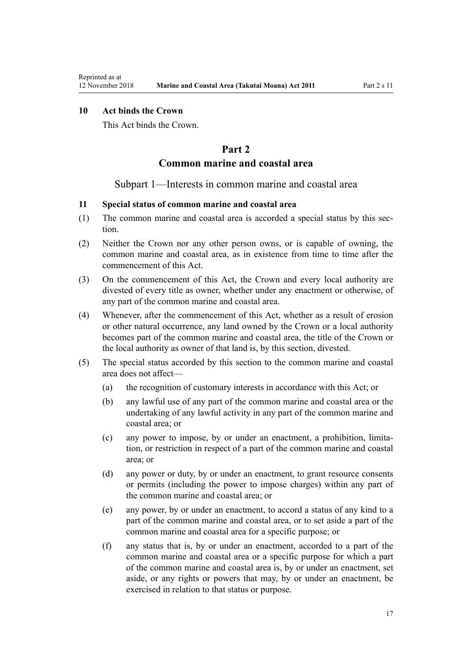## <span id="page-16-0"></span>**10 Act binds the Crown**

This Act binds the Crown.

## **Part 2**

## **Common marine and coastal area**

#### Subpart 1—Interests in common marine and coastal area

## **11 Special status of common marine and coastal area**

- (1) The common marine and coastal area is accorded a special status by this section.
- (2) Neither the Crown nor any other person owns, or is capable of owning, the common marine and coastal area, as in existence from time to time after the commencement of this Act.
- (3) On the commencement of this Act, the Crown and every local authority are divested of every title as owner, whether under any enactment or otherwise, of any part of the common marine and coastal area.
- (4) Whenever, after the commencement of this Act, whether as a result of erosion or other natural occurrence, any land owned by the Crown or a local authority becomes part of the common marine and coastal area, the title of the Crown or the local authority as owner of that land is, by this section, divested.
- (5) The special status accorded by this section to the common marine and coastal area does not affect—
	- (a) the recognition of customary interests in accordance with this Act; or
	- (b) any lawful use of any part of the common marine and coastal area or the undertaking of any lawful activity in any part of the common marine and coastal area; or
	- (c) any power to impose, by or under an enactment, a prohibition, limitation, or restriction in respect of a part of the common marine and coastal area; or
	- (d) any power or duty, by or under an enactment, to grant resource consents or permits (including the power to impose charges) within any part of the common marine and coastal area; or
	- (e) any power, by or under an enactment, to accord a status of any kind to a part of the common marine and coastal area, or to set aside a part of the common marine and coastal area for a specific purpose; or
	- (f) any status that is, by or under an enactment, accorded to a part of the common marine and coastal area or a specific purpose for which a part of the common marine and coastal area is, by or under an enactment, set aside, or any rights or powers that may, by or under an enactment, be exercised in relation to that status or purpose.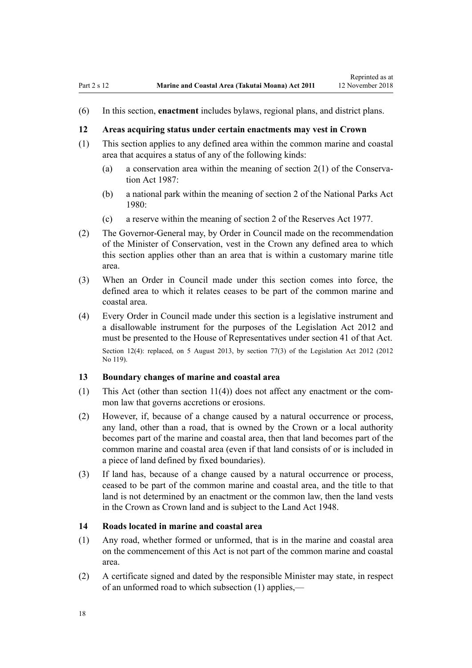<span id="page-17-0"></span>(6) In this section, **enactment** includes bylaws, regional plans, and district plans.

#### **12 Areas acquiring status under certain enactments may vest in Crown**

- (1) This section applies to any defined area within the common marine and coastal area that acquires a status of any of the following kinds:
	- (a) a conservation area within the meaning of [section 2\(1\)](http://legislation.govt.nz/pdflink.aspx?id=DLM103616) of the Conservation Act 1987:
	- (b) a national park within the meaning of [section 2](http://legislation.govt.nz/pdflink.aspx?id=DLM36968) of the National Parks Act 1980:
	- (c) a reserve within the meaning of [section 2](http://legislation.govt.nz/pdflink.aspx?id=DLM444310) of the Reserves Act 1977.
- (2) The Governor-General may, by Order in Council made on the recommendation of the Minister of Conservation, vest in the Crown any defined area to which this section applies other than an area that is within a customary marine title area.
- (3) When an Order in Council made under this section comes into force, the defined area to which it relates ceases to be part of the common marine and coastal area.
- (4) Every Order in Council made under this section is a legislative instrument and a disallowable instrument for the purposes of the [Legislation Act 2012](http://legislation.govt.nz/pdflink.aspx?id=DLM2997643) and must be presented to the House of Representatives under [section 41](http://legislation.govt.nz/pdflink.aspx?id=DLM2998573) of that Act. Section 12(4): replaced, on 5 August 2013, by [section 77\(3\)](http://legislation.govt.nz/pdflink.aspx?id=DLM2998633) of the Legislation Act 2012 (2012) No 119).

#### **13 Boundary changes of marine and coastal area**

- (1) This Act (other than [section 11\(4\)](#page-16-0)) does not affect any enactment or the common law that governs accretions or erosions.
- (2) However, if, because of a change caused by a natural occurrence or process, any land, other than a road, that is owned by the Crown or a local authority becomes part of the marine and coastal area, then that land becomes part of the common marine and coastal area (even if that land consists of or is included in a piece of land defined by fixed boundaries).
- (3) If land has, because of a change caused by a natural occurrence or process, ceased to be part of the common marine and coastal area, and the title to that land is not determined by an enactment or the common law, then the land vests in the Crown as Crown land and is subject to the [Land Act 1948.](http://legislation.govt.nz/pdflink.aspx?id=DLM250585)

#### **14 Roads located in marine and coastal area**

- (1) Any road, whether formed or unformed, that is in the marine and coastal area on the commencement of this Act is not part of the common marine and coastal area.
- (2) A certificate signed and dated by the responsible Minister may state, in respect of an unformed road to which subsection (1) applies,—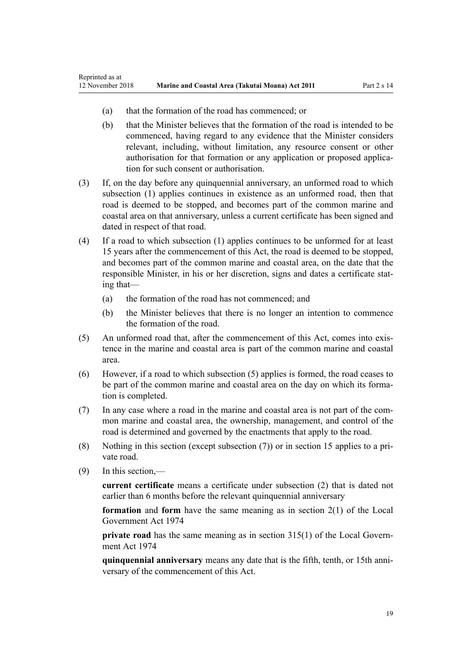- (a) that the formation of the road has commenced; or
- (b) that the Minister believes that the formation of the road is intended to be commenced, having regard to any evidence that the Minister considers relevant, including, without limitation, any resource consent or other authorisation for that formation or any application or proposed application for such consent or authorisation.
- (3) If, on the day before any quinquennial anniversary, an unformed road to which subsection (1) applies continues in existence as an unformed road, then that road is deemed to be stopped, and becomes part of the common marine and coastal area on that anniversary, unless a current certificate has been signed and dated in respect of that road.
- (4) If a road to which subsection (1) applies continues to be unformed for at least 15 years after the commencement of this Act, the road is deemed to be stopped, and becomes part of the common marine and coastal area, on the date that the responsible Minister, in his or her discretion, signs and dates a certificate stating that—
	- (a) the formation of the road has not commenced; and
	- (b) the Minister believes that there is no longer an intention to commence the formation of the road.
- (5) An unformed road that, after the commencement of this Act, comes into existence in the marine and coastal area is part of the common marine and coastal area.
- (6) However, if a road to which subsection (5) applies is formed, the road ceases to be part of the common marine and coastal area on the day on which its formation is completed.
- (7) In any case where a road in the marine and coastal area is not part of the common marine and coastal area, the ownership, management, and control of the road is determined and governed by the enactments that apply to the road.
- (8) Nothing in this section (except subsection (7)) or in [section 15](#page-19-0) applies to a private road.
- (9) In this section,—

**current certificate** means a certificate under subsection (2) that is dated not earlier than 6 months before the relevant quinquennial anniversary

**formation** and **form** have the same meaning as in [section 2\(1\)](http://legislation.govt.nz/pdflink.aspx?id=DLM415539) of the Local Government Act 1974

**private road** has the same meaning as in [section 315\(1\)](http://legislation.govt.nz/pdflink.aspx?id=DLM420326) of the Local Government Act 1974

**quinquennial anniversary** means any date that is the fifth, tenth, or 15th anniversary of the commencement of this Act.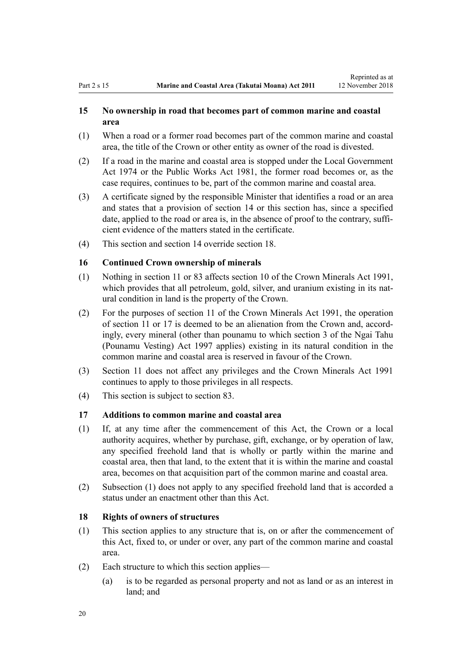## <span id="page-19-0"></span>**15 No ownership in road that becomes part of common marine and coastal area**

- (1) When a road or a former road becomes part of the common marine and coastal area, the title of the Crown or other entity as owner of the road is divested.
- (2) If a road in the marine and coastal area is stopped under the [Local Government](http://legislation.govt.nz/pdflink.aspx?id=DLM415531) [Act 1974](http://legislation.govt.nz/pdflink.aspx?id=DLM415531) or the [Public Works Act 1981](http://legislation.govt.nz/pdflink.aspx?id=DLM45426), the former road becomes or, as the case requires, continues to be, part of the common marine and coastal area.
- (3) A certificate signed by the responsible Minister that identifies a road or an area and states that a provision of [section 14](#page-17-0) or this section has, since a specified date, applied to the road or area is, in the absence of proof to the contrary, sufficient evidence of the matters stated in the certificate.
- (4) This section and [section 14](#page-17-0) override section 18.

### **16 Continued Crown ownership of minerals**

- (1) Nothing in [section 11](#page-16-0) or [83](#page-63-0) affects [section 10](http://legislation.govt.nz/pdflink.aspx?id=DLM246310) of the Crown Minerals Act 1991, which provides that all petroleum, gold, silver, and uranium existing in its natural condition in land is the property of the Crown.
- (2) For the purposes of [section 11](http://legislation.govt.nz/pdflink.aspx?id=DLM246311) of the Crown Minerals Act 1991, the operation of [section 11](#page-16-0) or 17 is deemed to be an alienation from the Crown and, accordingly, every mineral (other than pounamu to which [section 3](http://legislation.govt.nz/pdflink.aspx?id=DLM413605) of the Ngai Tahu (Pounamu Vesting) Act 1997 applies) existing in its natural condition in the common marine and coastal area is reserved in favour of the Crown.
- (3) [Section 11](#page-16-0) does not affect any privileges and the [Crown Minerals Act 1991](http://legislation.govt.nz/pdflink.aspx?id=DLM242535) continues to apply to those privileges in all respects.
- (4) This section is subject to [section 83.](#page-63-0)

#### **17 Additions to common marine and coastal area**

- (1) If, at any time after the commencement of this Act, the Crown or a local authority acquires, whether by purchase, gift, exchange, or by operation of law, any specified freehold land that is wholly or partly within the marine and coastal area, then that land, to the extent that it is within the marine and coastal area, becomes on that acquisition part of the common marine and coastal area.
- (2) Subsection (1) does not apply to any specified freehold land that is accorded a status under an enactment other than this Act.

## **18 Rights of owners of structures**

- (1) This section applies to any structure that is, on or after the commencement of this Act, fixed to, or under or over, any part of the common marine and coastal area.
- (2) Each structure to which this section applies—
	- (a) is to be regarded as personal property and not as land or as an interest in land; and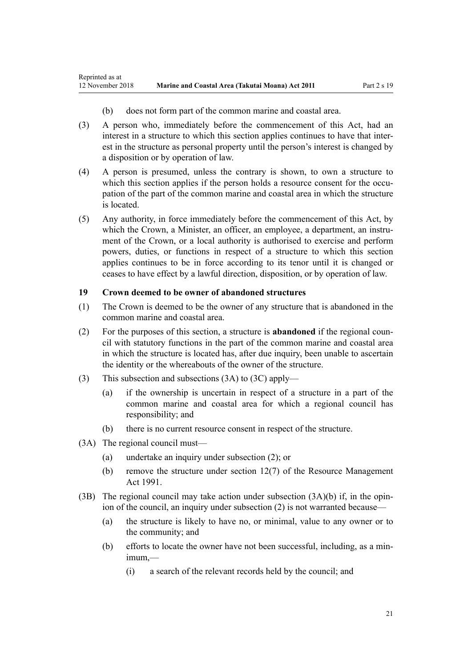- (b) does not form part of the common marine and coastal area.
- <span id="page-20-0"></span>(3) A person who, immediately before the commencement of this Act, had an interest in a structure to which this section applies continues to have that interest in the structure as personal property until the person's interest is changed by a disposition or by operation of law.
- (4) A person is presumed, unless the contrary is shown, to own a structure to which this section applies if the person holds a resource consent for the occupation of the part of the common marine and coastal area in which the structure is located.
- (5) Any authority, in force immediately before the commencement of this Act, by which the Crown, a Minister, an officer, an employee, a department, an instrument of the Crown, or a local authority is authorised to exercise and perform powers, duties, or functions in respect of a structure to which this section applies continues to be in force according to its tenor until it is changed or ceases to have effect by a lawful direction, disposition, or by operation of law.

#### **19 Crown deemed to be owner of abandoned structures**

- (1) The Crown is deemed to be the owner of any structure that is abandoned in the common marine and coastal area.
- (2) For the purposes of this section, a structure is **abandoned** if the regional council with statutory functions in the part of the common marine and coastal area in which the structure is located has, after due inquiry, been unable to ascertain the identity or the whereabouts of the owner of the structure.
- (3) This subsection and subsections (3A) to (3C) apply—
	- (a) if the ownership is uncertain in respect of a structure in a part of the common marine and coastal area for which a regional council has responsibility; and
	- (b) there is no current resource consent in respect of the structure.
- (3A) The regional council must—
	- (a) undertake an inquiry under subsection (2); or
	- (b) remove the structure under [section 12\(7\)](http://legislation.govt.nz/pdflink.aspx?id=DLM231949) of the Resource Management Act 1991.
- (3B) The regional council may take action under subsection  $(3A)(b)$  if, in the opinion of the council, an inquiry under subsection (2) is not warranted because—
	- (a) the structure is likely to have no, or minimal, value to any owner or to the community; and
	- (b) efforts to locate the owner have not been successful, including, as a minimum,—
		- (i) a search of the relevant records held by the council; and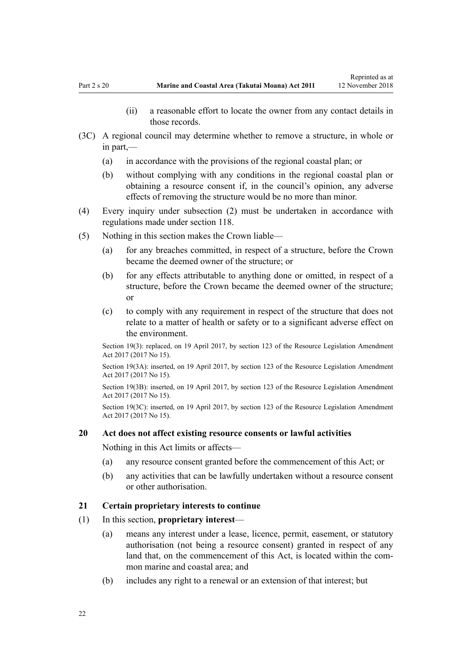Reprinted as at

- (ii) a reasonable effort to locate the owner from any contact details in those records.
- <span id="page-21-0"></span>(3C) A regional council may determine whether to remove a structure, in whole or in part,—
	- (a) in accordance with the provisions of the regional coastal plan; or
	- (b) without complying with any conditions in the regional coastal plan or obtaining a resource consent if, in the council's opinion, any adverse effects of removing the structure would be no more than minor.
- (4) Every inquiry under subsection (2) must be undertaken in accordance with regulations made under [section 118](#page-78-0).
- (5) Nothing in this section makes the Crown liable—
	- (a) for any breaches committed, in respect of a structure, before the Crown became the deemed owner of the structure; or
	- (b) for any effects attributable to anything done or omitted, in respect of a structure, before the Crown became the deemed owner of the structure; or
	- (c) to comply with any requirement in respect of the structure that does not relate to a matter of health or safety or to a significant adverse effect on the environment.

Section 19(3): replaced, on 19 April 2017, by [section 123](http://legislation.govt.nz/pdflink.aspx?id=DLM6669356) of the Resource Legislation Amendment Act 2017 (2017 No 15).

Section 19(3A): inserted, on 19 April 2017, by [section 123](http://legislation.govt.nz/pdflink.aspx?id=DLM6669356) of the Resource Legislation Amendment Act 2017 (2017 No 15).

Section 19(3B): inserted, on 19 April 2017, by [section 123](http://legislation.govt.nz/pdflink.aspx?id=DLM6669356) of the Resource Legislation Amendment Act 2017 (2017 No 15).

Section 19(3C): inserted, on 19 April 2017, by [section 123](http://legislation.govt.nz/pdflink.aspx?id=DLM6669356) of the Resource Legislation Amendment Act 2017 (2017 No 15).

#### **20 Act does not affect existing resource consents or lawful activities**

Nothing in this Act limits or affects—

- (a) any resource consent granted before the commencement of this Act; or
- (b) any activities that can be lawfully undertaken without a resource consent or other authorisation.

#### **21 Certain proprietary interests to continue**

- (1) In this section, **proprietary interest**
	- (a) means any interest under a lease, licence, permit, easement, or statutory authorisation (not being a resource consent) granted in respect of any land that, on the commencement of this Act, is located within the common marine and coastal area; and
	- (b) includes any right to a renewal or an extension of that interest; but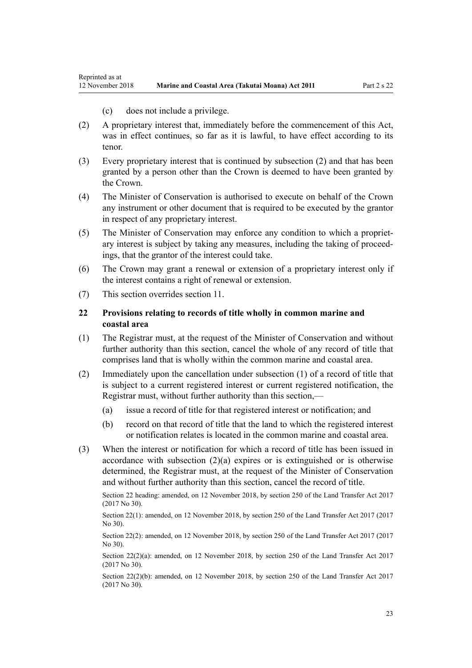(c) does not include a privilege.

- <span id="page-22-0"></span>(2) A proprietary interest that, immediately before the commencement of this Act, was in effect continues, so far as it is lawful, to have effect according to its tenor.
- (3) Every proprietary interest that is continued by subsection (2) and that has been granted by a person other than the Crown is deemed to have been granted by the Crown.
- (4) The Minister of Conservation is authorised to execute on behalf of the Crown any instrument or other document that is required to be executed by the grantor in respect of any proprietary interest.
- (5) The Minister of Conservation may enforce any condition to which a proprietary interest is subject by taking any measures, including the taking of proceedings, that the grantor of the interest could take.
- (6) The Crown may grant a renewal or extension of a proprietary interest only if the interest contains a right of renewal or extension.
- (7) This section overrides [section 11](#page-16-0).

## **22 Provisions relating to records of title wholly in common marine and coastal area**

- (1) The Registrar must, at the request of the Minister of Conservation and without further authority than this section, cancel the whole of any record of title that comprises land that is wholly within the common marine and coastal area.
- (2) Immediately upon the cancellation under subsection (1) of a record of title that is subject to a current registered interest or current registered notification, the Registrar must, without further authority than this section,—
	- (a) issue a record of title for that registered interest or notification; and
	- (b) record on that record of title that the land to which the registered interest or notification relates is located in the common marine and coastal area.
- (3) When the interest or notification for which a record of title has been issued in accordance with subsection  $(2)(a)$  expires or is extinguished or is otherwise determined, the Registrar must, at the request of the Minister of Conservation and without further authority than this section, cancel the record of title.

Section 22 heading: amended, on 12 November 2018, by [section 250](http://legislation.govt.nz/pdflink.aspx?id=DLM6731493) of the Land Transfer Act 2017 (2017 No 30).

Section 22(1): amended, on 12 November 2018, by [section 250](http://legislation.govt.nz/pdflink.aspx?id=DLM6731493) of the Land Transfer Act 2017 (2017 No 30).

Section 22(2): amended, on 12 November 2018, by [section 250](http://legislation.govt.nz/pdflink.aspx?id=DLM6731493) of the Land Transfer Act 2017 (2017) No 30).

Section 22(2)(a): amended, on 12 November 2018, by [section 250](http://legislation.govt.nz/pdflink.aspx?id=DLM6731493) of the Land Transfer Act 2017 (2017 No 30).

Section 22(2)(b): amended, on 12 November 2018, by [section 250](http://legislation.govt.nz/pdflink.aspx?id=DLM6731493) of the Land Transfer Act 2017 (2017 No 30).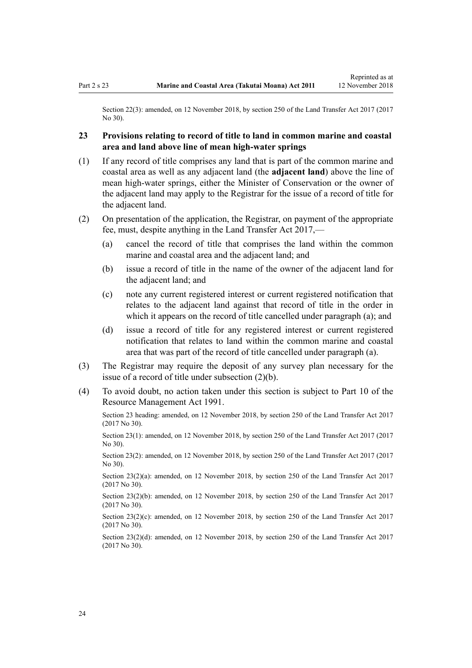<span id="page-23-0"></span>Section 22(3): amended, on 12 November 2018, by [section 250](http://legislation.govt.nz/pdflink.aspx?id=DLM6731493) of the Land Transfer Act 2017 (2017) No 30).

## **23 Provisions relating to record of title to land in common marine and coastal area and land above line of mean high-water springs**

- (1) If any record of title comprises any land that is part of the common marine and coastal area as well as any adjacent land (the **adjacent land**) above the line of mean high-water springs, either the Minister of Conservation or the owner of the adjacent land may apply to the Registrar for the issue of a record of title for the adjacent land.
- (2) On presentation of the application, the Registrar, on payment of the appropriate fee, must, despite anything in the [Land Transfer Act 2017,](http://legislation.govt.nz/pdflink.aspx?id=DLM6731002)—
	- (a) cancel the record of title that comprises the land within the common marine and coastal area and the adjacent land; and
	- (b) issue a record of title in the name of the owner of the adjacent land for the adjacent land; and
	- (c) note any current registered interest or current registered notification that relates to the adjacent land against that record of title in the order in which it appears on the record of title cancelled under paragraph (a); and
	- (d) issue a record of title for any registered interest or current registered notification that relates to land within the common marine and coastal area that was part of the record of title cancelled under paragraph (a).
- (3) The Registrar may require the deposit of any survey plan necessary for the issue of a record of title under subsection (2)(b).
- (4) To avoid doubt, no action taken under this section is subject to [Part 10](http://legislation.govt.nz/pdflink.aspx?id=DLM236786) of the Resource Management Act 1991.

Section 23 heading: amended, on 12 November 2018, by [section 250](http://legislation.govt.nz/pdflink.aspx?id=DLM6731493) of the Land Transfer Act 2017 (2017 No 30).

Section 23(1): amended, on 12 November 2018, by [section 250](http://legislation.govt.nz/pdflink.aspx?id=DLM6731493) of the Land Transfer Act 2017 (2017 No 30).

Section 23(2): amended, on 12 November 2018, by [section 250](http://legislation.govt.nz/pdflink.aspx?id=DLM6731493) of the Land Transfer Act 2017 (2017 No 30).

Section 23(2)(a): amended, on 12 November 2018, by [section 250](http://legislation.govt.nz/pdflink.aspx?id=DLM6731493) of the Land Transfer Act 2017 (2017 No 30).

Section 23(2)(b): amended, on 12 November 2018, by [section 250](http://legislation.govt.nz/pdflink.aspx?id=DLM6731493) of the Land Transfer Act 2017 (2017 No 30).

Section 23(2)(c): amended, on 12 November 2018, by [section 250](http://legislation.govt.nz/pdflink.aspx?id=DLM6731493) of the Land Transfer Act 2017 (2017 No 30).

Section 23(2)(d): amended, on 12 November 2018, by [section 250](http://legislation.govt.nz/pdflink.aspx?id=DLM6731493) of the Land Transfer Act 2017 (2017 No 30).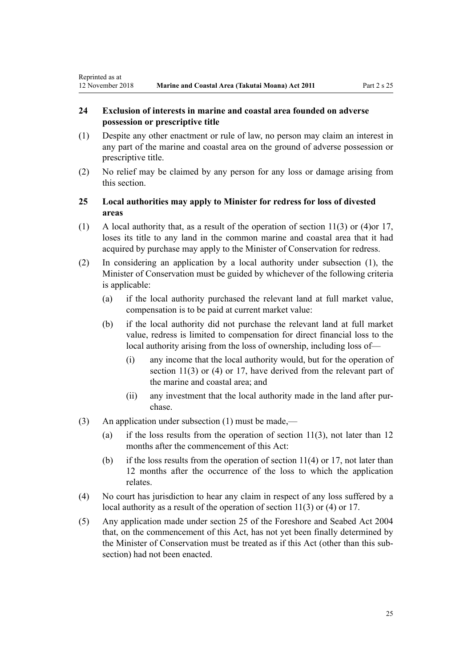## <span id="page-24-0"></span>**24 Exclusion of interests in marine and coastal area founded on adverse possession or prescriptive title**

- (1) Despite any other enactment or rule of law, no person may claim an interest in any part of the marine and coastal area on the ground of adverse possession or prescriptive title.
- (2) No relief may be claimed by any person for any loss or damage arising from this section.

## **25 Local authorities may apply to Minister for redress for loss of divested areas**

- (1) A local authority that, as a result of the operation of [section 11\(3\) or \(4\)o](#page-16-0)r [17](#page-19-0), loses its title to any land in the common marine and coastal area that it had acquired by purchase may apply to the Minister of Conservation for redress.
- (2) In considering an application by a local authority under subsection (1), the Minister of Conservation must be guided by whichever of the following criteria is applicable:
	- (a) if the local authority purchased the relevant land at full market value, compensation is to be paid at current market value:
	- (b) if the local authority did not purchase the relevant land at full market value, redress is limited to compensation for direct financial loss to the local authority arising from the loss of ownership, including loss of—
		- (i) any income that the local authority would, but for the operation of [section 11\(3\) or \(4\)](#page-16-0) or [17](#page-19-0), have derived from the relevant part of the marine and coastal area; and
		- (ii) any investment that the local authority made in the land after purchase.
- (3) An application under subsection (1) must be made,—
	- (a) if the loss results from the operation of section  $11(3)$ , not later than 12 months after the commencement of this Act:
	- (b) if the loss results from the operation of section  $11(4)$  or [17](#page-19-0), not later than 12 months after the occurrence of the loss to which the application relates.
- (4) No court has jurisdiction to hear any claim in respect of any loss suffered by a local authority as a result of the operation of [section 11\(3\) or \(4\)](#page-16-0) or [17](#page-19-0).
- (5) Any application made under [section 25](http://legislation.govt.nz/pdflink.aspx?id=DLM320246) of the Foreshore and Seabed Act 2004 that, on the commencement of this Act, has not yet been finally determined by the Minister of Conservation must be treated as if this Act (other than this subsection) had not been enacted.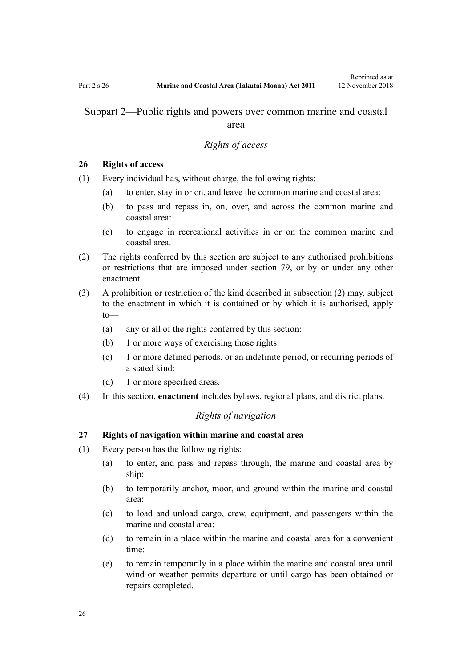## <span id="page-25-0"></span>Subpart 2—Public rights and powers over common marine and coastal area

#### *Rights of access*

#### **26 Rights of access**

- (1) Every individual has, without charge, the following rights:
	- (a) to enter, stay in or on, and leave the common marine and coastal area:
	- (b) to pass and repass in, on, over, and across the common marine and coastal area:
	- (c) to engage in recreational activities in or on the common marine and coastal area.
- (2) The rights conferred by this section are subject to any authorised prohibitions or restrictions that are imposed under [section 79,](#page-59-0) or by or under any other enactment.
- (3) A prohibition or restriction of the kind described in subsection (2) may, subject to the enactment in which it is contained or by which it is authorised, apply to—
	- (a) any or all of the rights conferred by this section:
	- (b) 1 or more ways of exercising those rights:
	- (c) 1 or more defined periods, or an indefinite period, or recurring periods of a stated kind:
	- (d) 1 or more specified areas.
- (4) In this section, **enactment** includes bylaws, regional plans, and district plans.

## *Rights of navigation*

#### **27 Rights of navigation within marine and coastal area**

- (1) Every person has the following rights:
	- (a) to enter, and pass and repass through, the marine and coastal area by ship:
	- (b) to temporarily anchor, moor, and ground within the marine and coastal area:
	- (c) to load and unload cargo, crew, equipment, and passengers within the marine and coastal area:
	- (d) to remain in a place within the marine and coastal area for a convenient time:
	- (e) to remain temporarily in a place within the marine and coastal area until wind or weather permits departure or until cargo has been obtained or repairs completed.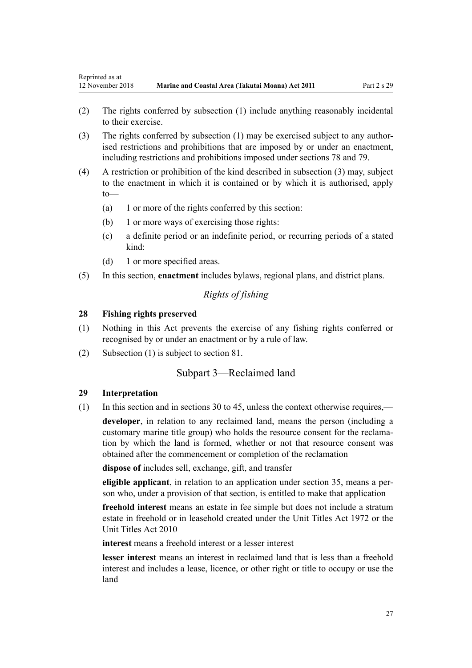- <span id="page-26-0"></span>(2) The rights conferred by subsection (1) include anything reasonably incidental to their exercise.
- (3) The rights conferred by subsection (1) may be exercised subject to any authorised restrictions and prohibitions that are imposed by or under an enactment, including restrictions and prohibitions imposed under [sections 78](#page-59-0) and [79.](#page-59-0)
- (4) A restriction or prohibition of the kind described in subsection (3) may, subject to the enactment in which it is contained or by which it is authorised, apply to—
	- (a) 1 or more of the rights conferred by this section:
	- (b) 1 or more ways of exercising those rights:
	- (c) a definite period or an indefinite period, or recurring periods of a stated kind:
	- (d) 1 or more specified areas.
- (5) In this section, **enactment** includes bylaws, regional plans, and district plans.

## *Rights of fishing*

#### **28 Fishing rights preserved**

- (1) Nothing in this Act prevents the exercise of any fishing rights conferred or recognised by or under an enactment or by a rule of law.
- (2) Subsection (1) is subject to [section 81.](#page-61-0)

### Subpart 3—Reclaimed land

#### **29 Interpretation**

(1) In this section and in [sections 30 to 45,](#page-27-0) unless the context otherwise requires,—

**developer**, in relation to any reclaimed land, means the person (including a customary marine title group) who holds the resource consent for the reclamation by which the land is formed, whether or not that resource consent was obtained after the commencement or completion of the reclamation

**dispose of** includes sell, exchange, gift, and transfer

**eligible applicant**, in relation to an application under [section 35,](#page-29-0) means a person who, under a provision of that section, is entitled to make that application

**freehold interest** means an estate in fee simple but does not include a stratum estate in freehold or in leasehold created under the [Unit Titles Act 1972](http://legislation.govt.nz/pdflink.aspx?id=DLM405590) or the [Unit Titles Act 2010](http://legislation.govt.nz/pdflink.aspx?id=DLM1160400)

**interest** means a freehold interest or a lesser interest

**lesser interest** means an interest in reclaimed land that is less than a freehold interest and includes a lease, licence, or other right or title to occupy or use the land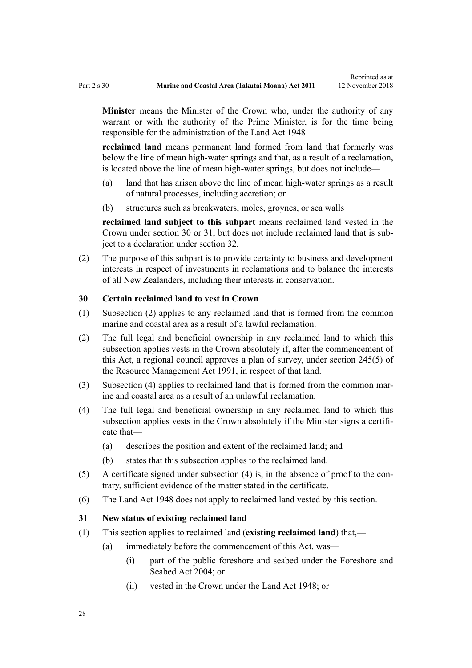<span id="page-27-0"></span>**Minister** means the Minister of the Crown who, under the authority of any warrant or with the authority of the Prime Minister, is for the time being responsible for the administration of the [Land Act 1948](http://legislation.govt.nz/pdflink.aspx?id=DLM250585)

**reclaimed land** means permanent land formed from land that formerly was below the line of mean high-water springs and that, as a result of a reclamation, is located above the line of mean high-water springs, but does not include—

- (a) land that has arisen above the line of mean high-water springs as a result of natural processes, including accretion; or
- (b) structures such as breakwaters, moles, groynes, or sea walls

**reclaimed land subject to this subpart** means reclaimed land vested in the Crown under section 30 or 31, but does not include reclaimed land that is subject to a declaration under [section 32](#page-28-0).

(2) The purpose of this subpart is to provide certainty to business and development interests in respect of investments in reclamations and to balance the interests of all New Zealanders, including their interests in conservation.

#### **30 Certain reclaimed land to vest in Crown**

- (1) Subsection (2) applies to any reclaimed land that is formed from the common marine and coastal area as a result of a lawful reclamation.
- (2) The full legal and beneficial ownership in any reclaimed land to which this subsection applies vests in the Crown absolutely if, after the commencement of this Act, a regional council approves a plan of survey, under [section 245\(5\)](http://legislation.govt.nz/pdflink.aspx?id=DLM237630) of the Resource Management Act 1991, in respect of that land.
- (3) Subsection (4) applies to reclaimed land that is formed from the common marine and coastal area as a result of an unlawful reclamation.
- (4) The full legal and beneficial ownership in any reclaimed land to which this subsection applies vests in the Crown absolutely if the Minister signs a certificate that—
	- (a) describes the position and extent of the reclaimed land; and
	- (b) states that this subsection applies to the reclaimed land.
- (5) A certificate signed under subsection (4) is, in the absence of proof to the contrary, sufficient evidence of the matter stated in the certificate.
- (6) The [Land Act 1948](http://legislation.govt.nz/pdflink.aspx?id=DLM250585) does not apply to reclaimed land vested by this section.

#### **31 New status of existing reclaimed land**

- (1) This section applies to reclaimed land (**existing reclaimed land**) that,—
	- (a) immediately before the commencement of this Act, was—
		- (i) part of the public foreshore and seabed under the [Foreshore and](http://legislation.govt.nz/pdflink.aspx?id=DLM319838) [Seabed Act 2004;](http://legislation.govt.nz/pdflink.aspx?id=DLM319838) or
		- (ii) vested in the Crown under the [Land Act 1948](http://legislation.govt.nz/pdflink.aspx?id=DLM250585); or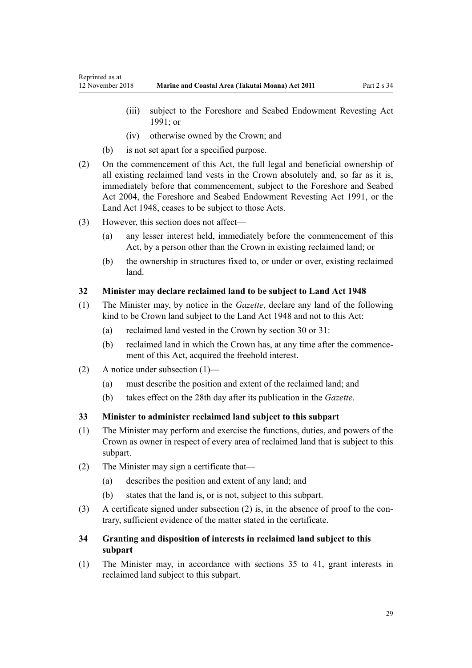- <span id="page-28-0"></span>(iii) subject to the Foreshore and Seabed Endowment Revesting Act 1991; or
- (iv) otherwise owned by the Crown; and
- (b) is not set apart for a specified purpose.
- (2) On the commencement of this Act, the full legal and beneficial ownership of all existing reclaimed land vests in the Crown absolutely and, so far as it is, immediately before that commencement, subject to the [Foreshore and Seabed](http://legislation.govt.nz/pdflink.aspx?id=DLM319838) [Act 2004](http://legislation.govt.nz/pdflink.aspx?id=DLM319838), the Foreshore and Seabed Endowment Revesting Act 1991, or the [Land Act 1948](http://legislation.govt.nz/pdflink.aspx?id=DLM250585), ceases to be subject to those Acts.
- (3) However, this section does not affect—
	- (a) any lesser interest held, immediately before the commencement of this Act, by a person other than the Crown in existing reclaimed land; or
	- (b) the ownership in structures fixed to, or under or over, existing reclaimed land.

## **32 Minister may declare reclaimed land to be subject to Land Act 1948**

- (1) The Minister may, by notice in the *Gazette*, declare any land of the following kind to be Crown land subject to the [Land Act 1948](http://legislation.govt.nz/pdflink.aspx?id=DLM250585) and not to this Act:
	- (a) reclaimed land vested in the Crown by [section 30](#page-27-0) or [31](#page-27-0):
	- (b) reclaimed land in which the Crown has, at any time after the commencement of this Act, acquired the freehold interest.
- (2) A notice under subsection (1)—
	- (a) must describe the position and extent of the reclaimed land; and
	- (b) takes effect on the 28th day after its publication in the *Gazette*.

## **33 Minister to administer reclaimed land subject to this subpart**

- (1) The Minister may perform and exercise the functions, duties, and powers of the Crown as owner in respect of every area of reclaimed land that is subject to this subpart.
- (2) The Minister may sign a certificate that—
	- (a) describes the position and extent of any land; and
	- (b) states that the land is, or is not, subject to this subpart.
- (3) A certificate signed under subsection (2) is, in the absence of proof to the contrary, sufficient evidence of the matter stated in the certificate.

## **34 Granting and disposition of interests in reclaimed land subject to this subpart**

(1) The Minister may, in accordance with [sections 35 to 41](#page-29-0), grant interests in reclaimed land subject to this subpart.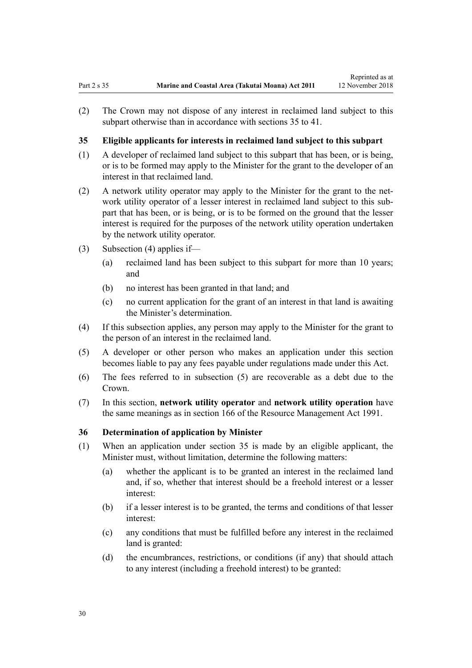<span id="page-29-0"></span>(2) The Crown may not dispose of any interest in reclaimed land subject to this subpart otherwise than in accordance with sections 35 to 41.

## **35 Eligible applicants for interests in reclaimed land subject to this subpart**

- (1) A developer of reclaimed land subject to this subpart that has been, or is being, or is to be formed may apply to the Minister for the grant to the developer of an interest in that reclaimed land.
- (2) A network utility operator may apply to the Minister for the grant to the network utility operator of a lesser interest in reclaimed land subject to this subpart that has been, or is being, or is to be formed on the ground that the lesser interest is required for the purposes of the network utility operation undertaken by the network utility operator.
- (3) Subsection (4) applies if—
	- (a) reclaimed land has been subject to this subpart for more than 10 years; and
	- (b) no interest has been granted in that land; and
	- (c) no current application for the grant of an interest in that land is awaiting the Minister's determination.
- (4) If this subsection applies, any person may apply to the Minister for the grant to the person of an interest in the reclaimed land.
- (5) A developer or other person who makes an application under this section becomes liable to pay any fees payable under regulations made under this Act.
- (6) The fees referred to in subsection (5) are recoverable as a debt due to the Crown.
- (7) In this section, **network utility operator** and **network utility operation** have the same meanings as in [section 166](http://legislation.govt.nz/pdflink.aspx?id=DLM236206) of the Resource Management Act 1991.

## **36 Determination of application by Minister**

- (1) When an application under section 35 is made by an eligible applicant, the Minister must, without limitation, determine the following matters:
	- (a) whether the applicant is to be granted an interest in the reclaimed land and, if so, whether that interest should be a freehold interest or a lesser interest:
	- (b) if a lesser interest is to be granted, the terms and conditions of that lesser interest:
	- (c) any conditions that must be fulfilled before any interest in the reclaimed land is granted:
	- (d) the encumbrances, restrictions, or conditions (if any) that should attach to any interest (including a freehold interest) to be granted: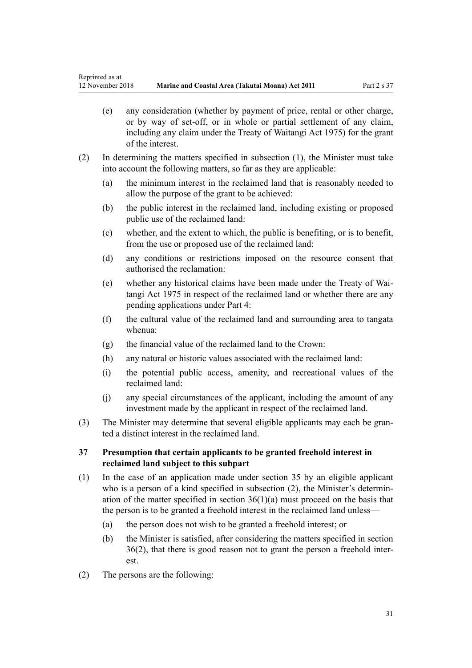- <span id="page-30-0"></span>(e) any consideration (whether by payment of price, rental or other charge, or by way of set-off, or in whole or partial settlement of any claim, including any claim under the [Treaty of Waitangi Act 1975](http://legislation.govt.nz/pdflink.aspx?id=DLM435367)) for the grant of the interest.
- (2) In determining the matters specified in subsection (1), the Minister must take into account the following matters, so far as they are applicable:
	- (a) the minimum interest in the reclaimed land that is reasonably needed to allow the purpose of the grant to be achieved:
	- (b) the public interest in the reclaimed land, including existing or proposed public use of the reclaimed land:
	- (c) whether, and the extent to which, the public is benefiting, or is to benefit, from the use or proposed use of the reclaimed land:
	- (d) any conditions or restrictions imposed on the resource consent that authorised the reclamation:
	- (e) whether any historical claims have been made under the [Treaty of Wai](http://legislation.govt.nz/pdflink.aspx?id=DLM435367)[tangi Act 1975](http://legislation.govt.nz/pdflink.aspx?id=DLM435367) in respect of the reclaimed land or whether there are any pending applications under [Part 4:](#page-69-0)
	- (f) the cultural value of the reclaimed land and surrounding area to tangata whenua:
	- (g) the financial value of the reclaimed land to the Crown:
	- (h) any natural or historic values associated with the reclaimed land:
	- (i) the potential public access, amenity, and recreational values of the reclaimed land:
	- (j) any special circumstances of the applicant, including the amount of any investment made by the applicant in respect of the reclaimed land.
- (3) The Minister may determine that several eligible applicants may each be granted a distinct interest in the reclaimed land.

### **37 Presumption that certain applicants to be granted freehold interest in reclaimed land subject to this subpart**

- (1) In the case of an application made under [section 35](#page-29-0) by an eligible applicant who is a person of a kind specified in subsection (2), the Minister's determination of the matter specified in section  $36(1)(a)$  must proceed on the basis that the person is to be granted a freehold interest in the reclaimed land unless—
	- (a) the person does not wish to be granted a freehold interest; or
	- (b) the Minister is satisfied, after considering the matters specified in [section](#page-29-0) [36\(2\)](#page-29-0), that there is good reason not to grant the person a freehold interest.
- (2) The persons are the following: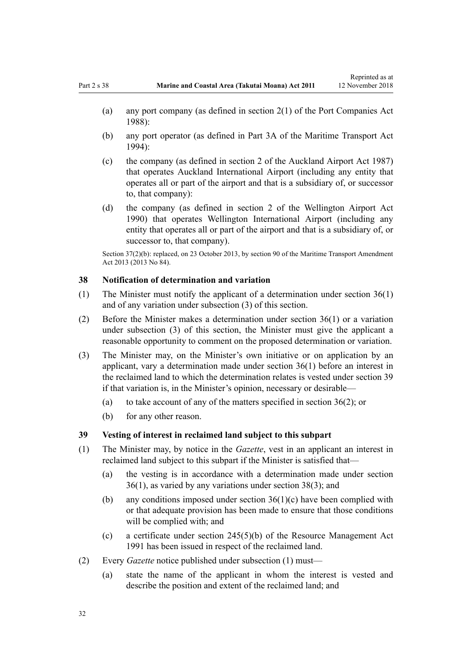- <span id="page-31-0"></span>(a) any port company (as defined in [section 2\(1\)](http://legislation.govt.nz/pdflink.aspx?id=DLM131688) of the Port Companies Act 1988):
- (b) any port operator (as defined in [Part 3A](http://legislation.govt.nz/pdflink.aspx?id=DLM5689750) of the Maritime Transport Act 1994):
- (c) the company (as defined in [section 2](http://legislation.govt.nz/pdflink.aspx?id=DLM125376) of the Auckland Airport Act 1987) that operates Auckland International Airport (including any entity that operates all or part of the airport and that is a subsidiary of, or successor to, that company):
- (d) the company (as defined in [section 2](http://legislation.govt.nz/pdflink.aspx?id=DLM211896) of the Wellington Airport Act 1990) that operates Wellington International Airport (including any entity that operates all or part of the airport and that is a subsidiary of, or successor to, that company).

Section 37(2)(b): replaced, on 23 October 2013, by [section 90](http://legislation.govt.nz/pdflink.aspx?id=DLM4698973) of the Maritime Transport Amendment Act 2013 (2013 No 84).

#### **38 Notification of determination and variation**

- (1) The Minister must notify the applicant of a determination under [section 36\(1\)](#page-29-0) and of any variation under subsection (3) of this section.
- (2) Before the Minister makes a determination under [section 36\(1\)](#page-29-0) or a variation under subsection (3) of this section, the Minister must give the applicant a reasonable opportunity to comment on the proposed determination or variation.
- (3) The Minister may, on the Minister's own initiative or on application by an applicant, vary a determination made under [section 36\(1\)](#page-29-0) before an interest in the reclaimed land to which the determination relates is vested under section 39 if that variation is, in the Minister's opinion, necessary or desirable—
	- (a) to take account of any of the matters specified in [section 36\(2\)](#page-29-0); or
	- (b) for any other reason.

#### **39 Vesting of interest in reclaimed land subject to this subpart**

- (1) The Minister may, by notice in the *Gazette*, vest in an applicant an interest in reclaimed land subject to this subpart if the Minister is satisfied that—
	- (a) the vesting is in accordance with a determination made under [section](#page-29-0) [36\(1\)](#page-29-0), as varied by any variations under section 38(3); and
	- (b) any conditions imposed under [section 36\(1\)\(c\)](#page-29-0) have been complied with or that adequate provision has been made to ensure that those conditions will be complied with; and
	- (c) a certificate under [section 245\(5\)\(b\)](http://legislation.govt.nz/pdflink.aspx?id=DLM237630) of the Resource Management Act 1991 has been issued in respect of the reclaimed land.
- (2) Every *Gazette* notice published under subsection (1) must—
	- (a) state the name of the applicant in whom the interest is vested and describe the position and extent of the reclaimed land; and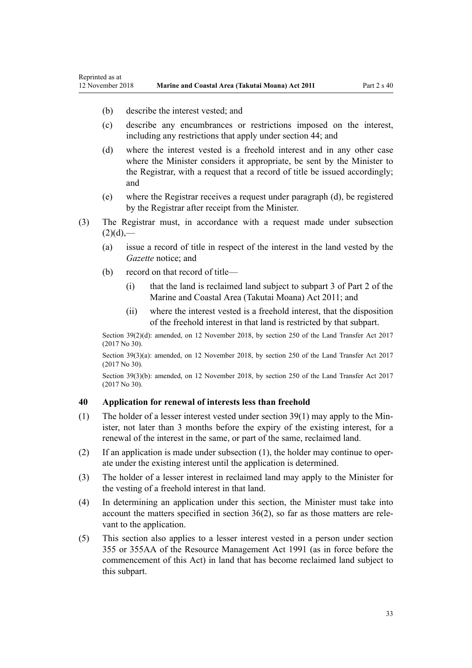- <span id="page-32-0"></span>(b) describe the interest vested; and
- (c) describe any encumbrances or restrictions imposed on the interest, including any restrictions that apply under [section 44;](#page-35-0) and
- (d) where the interest vested is a freehold interest and in any other case where the Minister considers it appropriate, be sent by the Minister to the Registrar, with a request that a record of title be issued accordingly; and
- (e) where the Registrar receives a request under paragraph (d), be registered by the Registrar after receipt from the Minister.
- (3) The Registrar must, in accordance with a request made under subsection  $(2)(d)$ ,—
	- (a) issue a record of title in respect of the interest in the land vested by the *Gazette* notice; and
	- (b) record on that record of title—
		- (i) that the land is reclaimed land subject to [subpart 3 of Part 2](#page-26-0) of the Marine and Coastal Area (Takutai Moana) Act 2011; and
		- (ii) where the interest vested is a freehold interest, that the disposition of the freehold interest in that land is restricted by that subpart.

Section 39(2)(d): amended, on 12 November 2018, by [section 250](http://legislation.govt.nz/pdflink.aspx?id=DLM6731493) of the Land Transfer Act 2017 (2017 No 30).

Section 39(3)(a): amended, on 12 November 2018, by [section 250](http://legislation.govt.nz/pdflink.aspx?id=DLM6731493) of the Land Transfer Act 2017 (2017 No 30).

Section 39(3)(b): amended, on 12 November 2018, by [section 250](http://legislation.govt.nz/pdflink.aspx?id=DLM6731493) of the Land Transfer Act 2017 (2017 No 30).

#### **40 Application for renewal of interests less than freehold**

- (1) The holder of a lesser interest vested under [section 39\(1\)](#page-31-0) may apply to the Minister, not later than 3 months before the expiry of the existing interest, for a renewal of the interest in the same, or part of the same, reclaimed land.
- (2) If an application is made under subsection (1), the holder may continue to operate under the existing interest until the application is determined.
- (3) The holder of a lesser interest in reclaimed land may apply to the Minister for the vesting of a freehold interest in that land.
- (4) In determining an application under this section, the Minister must take into account the matters specified in [section 36\(2\)](#page-29-0), so far as those matters are relevant to the application.
- (5) This section also applies to a lesser interest vested in a person under [section](http://legislation.govt.nz/pdflink.aspx?id=DLM239322) [355](http://legislation.govt.nz/pdflink.aspx?id=DLM239322) or [355AA](http://legislation.govt.nz/pdflink.aspx?id=DLM239326) of the Resource Management Act 1991 (as in force before the commencement of this Act) in land that has become reclaimed land subject to this subpart.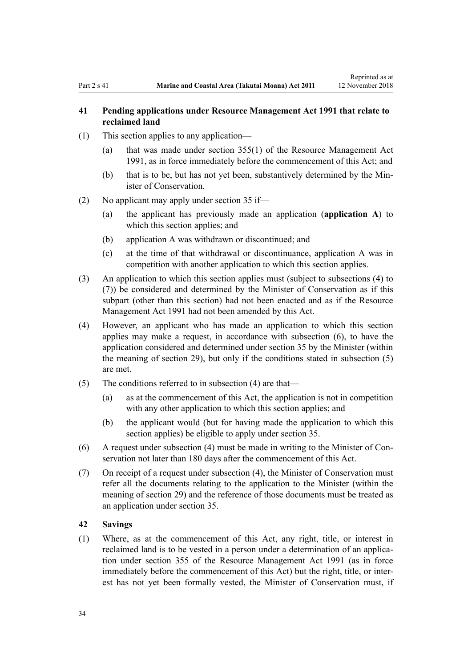## <span id="page-33-0"></span>**41 Pending applications under Resource Management Act 1991 that relate to reclaimed land**

- (1) This section applies to any application—
	- (a) that was made under [section 355\(1\)](http://legislation.govt.nz/pdflink.aspx?id=DLM239322) of the Resource Management Act 1991, as in force immediately before the commencement of this Act; and
	- (b) that is to be, but has not yet been, substantively determined by the Minister of Conservation.
- (2) No applicant may apply under [section 35](#page-29-0) if—
	- (a) the applicant has previously made an application (**application A**) to which this section applies; and
	- (b) application A was withdrawn or discontinued; and
	- (c) at the time of that withdrawal or discontinuance, application A was in competition with another application to which this section applies.
- (3) An application to which this section applies must (subject to subsections (4) to (7)) be considered and determined by the Minister of Conservation as if this subpart (other than this section) had not been enacted and as if the [Resource](http://legislation.govt.nz/pdflink.aspx?id=DLM230264) [Management Act 1991](http://legislation.govt.nz/pdflink.aspx?id=DLM230264) had not been amended by this Act.
- (4) However, an applicant who has made an application to which this section applies may make a request, in accordance with subsection (6), to have the application considered and determined under [section 35](#page-29-0) by the Minister (within the meaning of [section 29](#page-26-0)), but only if the conditions stated in subsection (5) are met.
- (5) The conditions referred to in subsection (4) are that—
	- (a) as at the commencement of this Act, the application is not in competition with any other application to which this section applies; and
	- (b) the applicant would (but for having made the application to which this section applies) be eligible to apply under [section 35](#page-29-0).
- (6) A request under subsection (4) must be made in writing to the Minister of Conservation not later than 180 days after the commencement of this Act.
- (7) On receipt of a request under subsection (4), the Minister of Conservation must refer all the documents relating to the application to the Minister (within the meaning of [section 29](#page-26-0)) and the reference of those documents must be treated as an application under [section 35.](#page-29-0)

#### **42 Savings**

(1) Where, as at the commencement of this Act, any right, title, or interest in reclaimed land is to be vested in a person under a determination of an application under [section 355](http://legislation.govt.nz/pdflink.aspx?id=DLM239322) of the Resource Management Act 1991 (as in force immediately before the commencement of this Act) but the right, title, or interest has not yet been formally vested, the Minister of Conservation must, if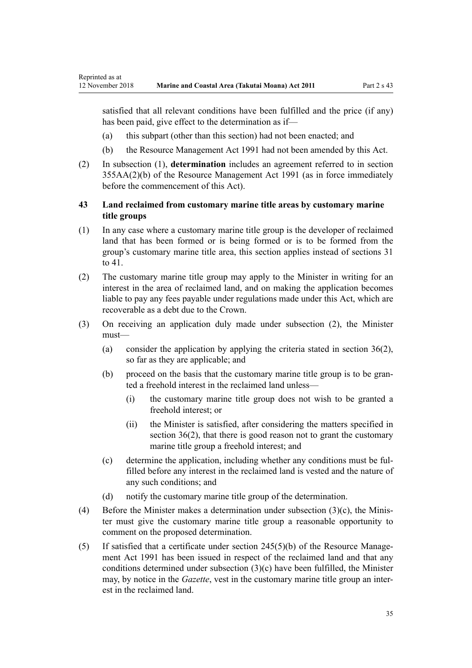<span id="page-34-0"></span>satisfied that all relevant conditions have been fulfilled and the price (if any) has been paid, give effect to the determination as if—

- (a) this subpart (other than this section) had not been enacted; and
- (b) the [Resource Management Act 1991](http://legislation.govt.nz/pdflink.aspx?id=DLM230264) had not been amended by this Act.
- (2) In subsection (1), **determination** includes an agreement referred to in [section](http://legislation.govt.nz/pdflink.aspx?id=DLM239326) [355AA\(2\)\(b\)](http://legislation.govt.nz/pdflink.aspx?id=DLM239326) of the Resource Management Act 1991 (as in force immediately before the commencement of this Act).

## **43 Land reclaimed from customary marine title areas by customary marine title groups**

- (1) In any case where a customary marine title group is the developer of reclaimed land that has been formed or is being formed or is to be formed from the group's customary marine title area, this section applies instead of [sections 31](#page-27-0) [to 41.](#page-27-0)
- (2) The customary marine title group may apply to the Minister in writing for an interest in the area of reclaimed land, and on making the application becomes liable to pay any fees payable under regulations made under this Act, which are recoverable as a debt due to the Crown.
- (3) On receiving an application duly made under subsection (2), the Minister must—
	- (a) consider the application by applying the criteria stated in section  $36(2)$ , so far as they are applicable; and
	- (b) proceed on the basis that the customary marine title group is to be granted a freehold interest in the reclaimed land unless—
		- (i) the customary marine title group does not wish to be granted a freehold interest; or
		- (ii) the Minister is satisfied, after considering the matters specified in [section 36\(2\),](#page-29-0) that there is good reason not to grant the customary marine title group a freehold interest; and
	- (c) determine the application, including whether any conditions must be fulfilled before any interest in the reclaimed land is vested and the nature of any such conditions; and
	- (d) notify the customary marine title group of the determination.
- (4) Before the Minister makes a determination under subsection (3)(c), the Minister must give the customary marine title group a reasonable opportunity to comment on the proposed determination.
- (5) If satisfied that a certificate under [section 245\(5\)\(b\)](http://legislation.govt.nz/pdflink.aspx?id=DLM237630) of the Resource Management Act 1991 has been issued in respect of the reclaimed land and that any conditions determined under subsection (3)(c) have been fulfilled, the Minister may, by notice in the *Gazette*, vest in the customary marine title group an interest in the reclaimed land.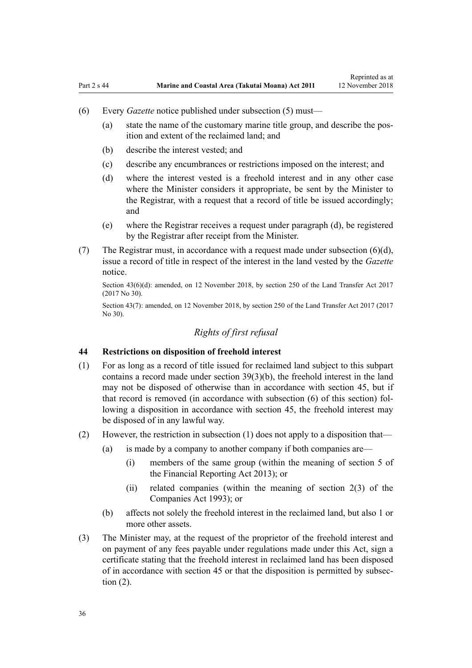- <span id="page-35-0"></span>(6) Every *Gazette* notice published under subsection (5) must—
	- (a) state the name of the customary marine title group, and describe the position and extent of the reclaimed land; and
	- (b) describe the interest vested; and
	- (c) describe any encumbrances or restrictions imposed on the interest; and
	- (d) where the interest vested is a freehold interest and in any other case where the Minister considers it appropriate, be sent by the Minister to the Registrar, with a request that a record of title be issued accordingly; and
	- (e) where the Registrar receives a request under paragraph (d), be registered by the Registrar after receipt from the Minister.
- (7) The Registrar must, in accordance with a request made under subsection  $(6)(d)$ , issue a record of title in respect of the interest in the land vested by the *Gazette* notice.

Section 43(6)(d): amended, on 12 November 2018, by [section 250](http://legislation.govt.nz/pdflink.aspx?id=DLM6731493) of the Land Transfer Act 2017 (2017 No 30).

Section 43(7): amended, on 12 November 2018, by [section 250](http://legislation.govt.nz/pdflink.aspx?id=DLM6731493) of the Land Transfer Act 2017 (2017 No 30).

## *Rights of first refusal*

#### **44 Restrictions on disposition of freehold interest**

- (1) For as long as a record of title issued for reclaimed land subject to this subpart contains a record made under [section 39\(3\)\(b\)](#page-31-0), the freehold interest in the land may not be disposed of otherwise than in accordance with [section 45,](#page-36-0) but if that record is removed (in accordance with subsection (6) of this section) following a disposition in accordance with section 45, the freehold interest may be disposed of in any lawful way.
- (2) However, the restriction in subsection (1) does not apply to a disposition that—
	- (a) is made by a company to another company if both companies are—
		- (i) members of the same group (within the meaning of [section 5](http://legislation.govt.nz/pdflink.aspx?id=DLM4632837) of the Financial Reporting Act 2013); or
		- (ii) related companies (within the meaning of [section 2\(3\)](http://legislation.govt.nz/pdflink.aspx?id=DLM319576) of the Companies Act 1993); or
	- (b) affects not solely the freehold interest in the reclaimed land, but also 1 or more other assets.
- (3) The Minister may, at the request of the proprietor of the freehold interest and on payment of any fees payable under regulations made under this Act, sign a certificate stating that the freehold interest in reclaimed land has been disposed of in accordance with [section 45](#page-36-0) or that the disposition is permitted by subsection (2).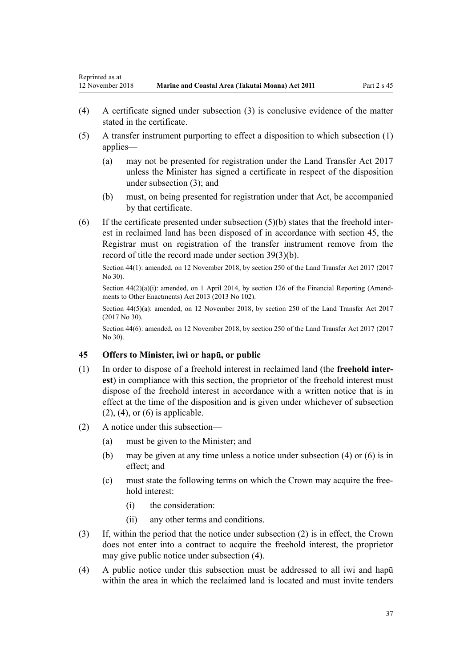- (4) A certificate signed under subsection (3) is conclusive evidence of the matter stated in the certificate.
- (5) A transfer instrument purporting to effect a disposition to which subsection (1) applies—
	- (a) may not be presented for registration under the [Land Transfer Act 2017](http://legislation.govt.nz/pdflink.aspx?id=DLM6731002) unless the Minister has signed a certificate in respect of the disposition under subsection (3); and
	- (b) must, on being presented for registration under that Act, be accompanied by that certificate.
- (6) If the certificate presented under subsection (5)(b) states that the freehold interest in reclaimed land has been disposed of in accordance with section 45, the Registrar must on registration of the transfer instrument remove from the record of title the record made under [section 39\(3\)\(b\)](#page-31-0).

Section 44(1): amended, on 12 November 2018, by [section 250](http://legislation.govt.nz/pdflink.aspx?id=DLM6731493) of the Land Transfer Act 2017 (2017 No 30).

Section  $44(2)(a)(i)$ : amended, on 1 April 2014, by [section 126](http://legislation.govt.nz/pdflink.aspx?id=DLM5740665) of the Financial Reporting (Amendments to Other Enactments) Act 2013 (2013 No 102).

Section 44(5)(a): amended, on 12 November 2018, by [section 250](http://legislation.govt.nz/pdflink.aspx?id=DLM6731493) of the Land Transfer Act 2017 (2017 No 30).

Section 44(6): amended, on 12 November 2018, by [section 250](http://legislation.govt.nz/pdflink.aspx?id=DLM6731493) of the Land Transfer Act 2017 (2017 No 30).

## **45 Offers to Minister, iwi or hapū, or public**

- (1) In order to dispose of a freehold interest in reclaimed land (the **freehold interest**) in compliance with this section, the proprietor of the freehold interest must dispose of the freehold interest in accordance with a written notice that is in effect at the time of the disposition and is given under whichever of subsection  $(2)$ ,  $(4)$ , or  $(6)$  is applicable.
- (2) A notice under this subsection—
	- (a) must be given to the Minister; and
	- (b) may be given at any time unless a notice under subsection (4) or (6) is in effect; and
	- (c) must state the following terms on which the Crown may acquire the freehold interest:
		- (i) the consideration:
		- (ii) any other terms and conditions.
- (3) If, within the period that the notice under subsection (2) is in effect, the Crown does not enter into a contract to acquire the freehold interest, the proprietor may give public notice under subsection (4).
- (4) A public notice under this subsection must be addressed to all iwi and hapū within the area in which the reclaimed land is located and must invite tenders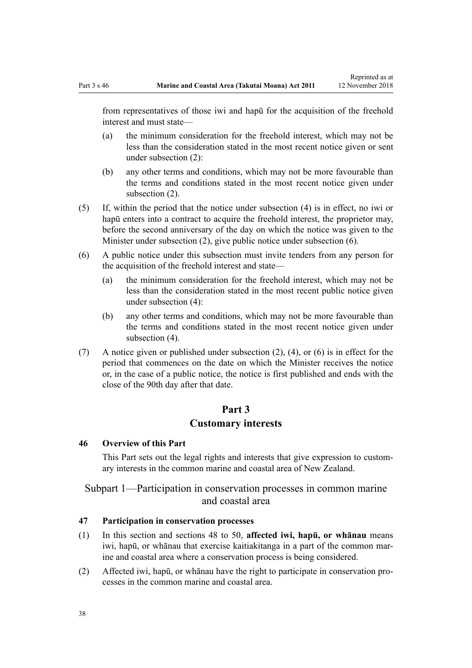<span id="page-37-0"></span>from representatives of those iwi and hapū for the acquisition of the freehold interest and must state—

- (a) the minimum consideration for the freehold interest, which may not be less than the consideration stated in the most recent notice given or sent under subsection (2):
- (b) any other terms and conditions, which may not be more favourable than the terms and conditions stated in the most recent notice given under subsection (2).
- (5) If, within the period that the notice under subsection (4) is in effect, no iwi or hapū enters into a contract to acquire the freehold interest, the proprietor may, before the second anniversary of the day on which the notice was given to the Minister under subsection (2), give public notice under subsection (6).
- (6) A public notice under this subsection must invite tenders from any person for the acquisition of the freehold interest and state—
	- (a) the minimum consideration for the freehold interest, which may not be less than the consideration stated in the most recent public notice given under subsection (4):
	- (b) any other terms and conditions, which may not be more favourable than the terms and conditions stated in the most recent notice given under subsection (4).
- (7) A notice given or published under subsection (2), (4), or (6) is in effect for the period that commences on the date on which the Minister receives the notice or, in the case of a public notice, the notice is first published and ends with the close of the 90th day after that date.

# **Part 3**

#### **Customary interests**

#### **46 Overview of this Part**

This Part sets out the legal rights and interests that give expression to customary interests in the common marine and coastal area of New Zealand.

# Subpart 1—Participation in conservation processes in common marine and coastal area

#### **47 Participation in conservation processes**

- (1) In this section and [sections 48 to 50,](#page-38-0) **affected iwi, hapū, or whānau** means iwi, hapū, or whānau that exercise kaitiakitanga in a part of the common marine and coastal area where a conservation process is being considered.
- (2) Affected iwi, hapū, or whānau have the right to participate in conservation processes in the common marine and coastal area.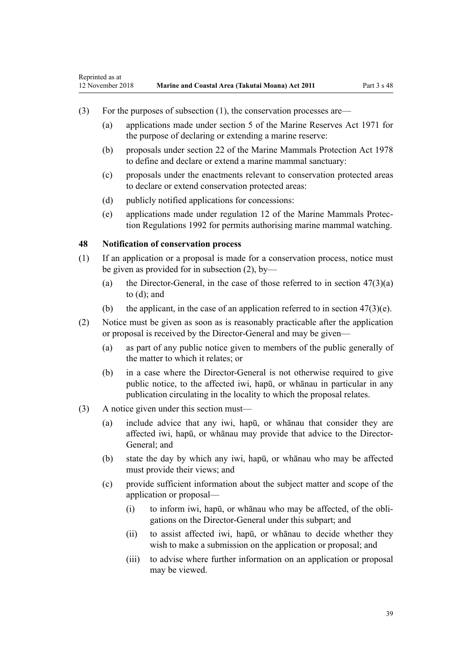- <span id="page-38-0"></span>(3) For the purposes of subsection (1), the conservation processes are—
	- (a) applications made under [section 5](http://legislation.govt.nz/pdflink.aspx?id=DLM398113) of the Marine Reserves Act 1971 for the purpose of declaring or extending a marine reserve:
	- (b) proposals under [section 22](http://legislation.govt.nz/pdflink.aspx?id=DLM25372) of the Marine Mammals Protection Act 1978 to define and declare or extend a marine mammal sanctuary:
	- (c) proposals under the enactments relevant to conservation protected areas to declare or extend conservation protected areas:
	- (d) publicly notified applications for concessions:
	- (e) applications made under [regulation 12](http://legislation.govt.nz/pdflink.aspx?id=DLM168830) of the Marine Mammals Protection Regulations 1992 for permits authorising marine mammal watching.

#### **48 Notification of conservation process**

- (1) If an application or a proposal is made for a conservation process, notice must be given as provided for in subsection (2), by—
	- (a) the Director-General, in the case of those referred to in section  $47(3)(a)$ [to \(d\)](#page-37-0); and
	- (b) the applicant, in the case of an application referred to in section  $47(3)(e)$ .
- (2) Notice must be given as soon as is reasonably practicable after the application or proposal is received by the Director-General and may be given—
	- (a) as part of any public notice given to members of the public generally of the matter to which it relates; or
	- (b) in a case where the Director-General is not otherwise required to give public notice, to the affected iwi, hapū, or whānau in particular in any publication circulating in the locality to which the proposal relates.
- (3) A notice given under this section must—
	- (a) include advice that any iwi, hapū, or whānau that consider they are affected iwi, hapū, or whānau may provide that advice to the Director-General; and
	- (b) state the day by which any iwi, hapū, or whānau who may be affected must provide their views; and
	- (c) provide sufficient information about the subject matter and scope of the application or proposal—
		- (i) to inform iwi, hapū, or whānau who may be affected, of the obligations on the Director-General under this subpart; and
		- (ii) to assist affected iwi, hapū, or whānau to decide whether they wish to make a submission on the application or proposal; and
		- (iii) to advise where further information on an application or proposal may be viewed.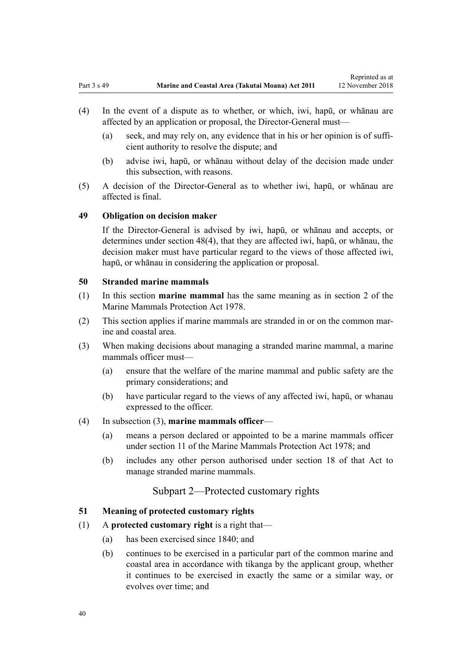Reprinted as at

- <span id="page-39-0"></span>(4) In the event of a dispute as to whether, or which, iwi, hapū, or whānau are affected by an application or proposal, the Director-General must—
	- (a) seek, and may rely on, any evidence that in his or her opinion is of sufficient authority to resolve the dispute; and
	- (b) advise iwi, hapū, or whānau without delay of the decision made under this subsection, with reasons.
- (5) A decision of the Director-General as to whether iwi, hapū, or whānau are affected is final.

#### **49 Obligation on decision maker**

If the Director-General is advised by iwi, hapū, or whānau and accepts, or determines under [section 48\(4\),](#page-38-0) that they are affected iwi, hapū, or whānau, the decision maker must have particular regard to the views of those affected iwi, hapū, or whānau in considering the application or proposal.

# **50 Stranded marine mammals**

- (1) In this section **marine mammal** has the same meaning as in [section 2](http://legislation.govt.nz/pdflink.aspx?id=DLM25116) of the Marine Mammals Protection Act 1978.
- (2) This section applies if marine mammals are stranded in or on the common marine and coastal area.
- (3) When making decisions about managing a stranded marine mammal, a marine mammals officer must—
	- (a) ensure that the welfare of the marine mammal and public safety are the primary considerations; and
	- (b) have particular regard to the views of any affected iwi, hapū, or whanau expressed to the officer.

# (4) In subsection (3), **marine mammals officer**—

- (a) means a person declared or appointed to be a marine mammals officer under [section 11](http://legislation.govt.nz/pdflink.aspx?id=DLM25336) of the Marine Mammals Protection Act 1978; and
- (b) includes any other person authorised under [section 18](http://legislation.govt.nz/pdflink.aspx?id=DLM25362) of that Act to manage stranded marine mammals.

# Subpart 2—Protected customary rights

#### **51 Meaning of protected customary rights**

#### (1) A **protected customary right** is a right that—

- (a) has been exercised since 1840; and
- (b) continues to be exercised in a particular part of the common marine and coastal area in accordance with tikanga by the applicant group, whether it continues to be exercised in exactly the same or a similar way, or evolves over time; and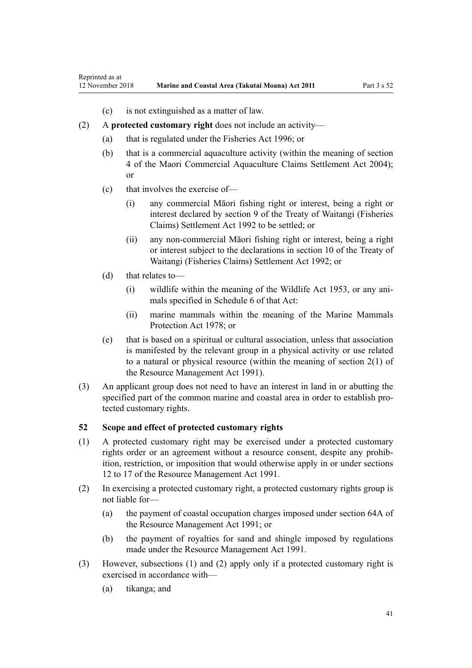- (c) is not extinguished as a matter of law.
- <span id="page-40-0"></span>(2) A **protected customary right** does not include an activity—
	- (a) that is regulated under the [Fisheries Act 1996](http://legislation.govt.nz/pdflink.aspx?id=DLM394191); or
	- (b) that is a commercial aquaculture activity (within the meaning of [section](http://legislation.govt.nz/pdflink.aspx?id=DLM324356) [4](http://legislation.govt.nz/pdflink.aspx?id=DLM324356) of the Maori Commercial Aquaculture Claims Settlement Act 2004); or
	- (c) that involves the exercise of—
		- (i) any commercial Māori fishing right or interest, being a right or interest declared by [section 9](http://legislation.govt.nz/pdflink.aspx?id=DLM281460) of the Treaty of Waitangi (Fisheries Claims) Settlement Act 1992 to be settled; or
		- (ii) any non-commercial Māori fishing right or interest, being a right or interest subject to the declarations in [section 10](http://legislation.govt.nz/pdflink.aspx?id=DLM281461) of the Treaty of Waitangi (Fisheries Claims) Settlement Act 1992; or
	- (d) that relates to—
		- (i) wildlife within the meaning of the [Wildlife Act 1953](http://legislation.govt.nz/pdflink.aspx?id=DLM276813), or any animals specified in [Schedule 6](http://legislation.govt.nz/pdflink.aspx?id=DLM278592) of that Act:
		- (ii) marine mammals within the meaning of the [Marine Mammals](http://legislation.govt.nz/pdflink.aspx?id=DLM25110) [Protection Act 1978;](http://legislation.govt.nz/pdflink.aspx?id=DLM25110) or
	- (e) that is based on a spiritual or cultural association, unless that association is manifested by the relevant group in a physical activity or use related to a natural or physical resource (within the meaning of [section 2\(1\)](http://legislation.govt.nz/pdflink.aspx?id=DLM230272) of the Resource Management Act 1991).
- (3) An applicant group does not need to have an interest in land in or abutting the specified part of the common marine and coastal area in order to establish protected customary rights.

# **52 Scope and effect of protected customary rights**

- (1) A protected customary right may be exercised under a protected customary rights order or an agreement without a resource consent, despite any prohibition, restriction, or imposition that would otherwise apply in or under [sections](http://legislation.govt.nz/pdflink.aspx?id=DLM231949) [12 to 17](http://legislation.govt.nz/pdflink.aspx?id=DLM231949) of the Resource Management Act 1991.
- (2) In exercising a protected customary right, a protected customary rights group is not liable for—
	- (a) the payment of coastal occupation charges imposed under [section 64A](http://legislation.govt.nz/pdflink.aspx?id=DLM233610) of the Resource Management Act 1991; or
	- (b) the payment of royalties for sand and shingle imposed by regulations made under the [Resource Management Act 1991](http://legislation.govt.nz/pdflink.aspx?id=DLM230264).
- (3) However, subsections (1) and (2) apply only if a protected customary right is exercised in accordance with—
	- (a) tikanga; and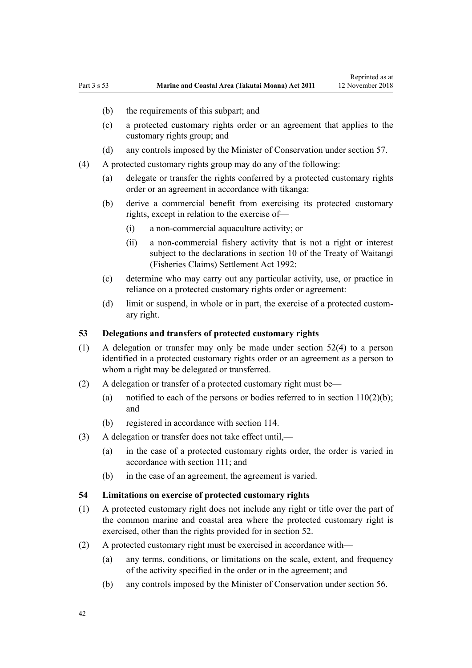Reprinted as at

- (b) the requirements of this subpart; and
- (c) a protected customary rights order or an agreement that applies to the customary rights group; and
- (d) any controls imposed by the Minister of Conservation under [section 57](#page-43-0).
- (4) A protected customary rights group may do any of the following:
	- (a) delegate or transfer the rights conferred by a protected customary rights order or an agreement in accordance with tikanga:
	- (b) derive a commercial benefit from exercising its protected customary rights, except in relation to the exercise of—
		- (i) a non-commercial aquaculture activity; or
		- (ii) a non-commercial fishery activity that is not a right or interest subject to the declarations in [section 10](http://legislation.govt.nz/pdflink.aspx?id=DLM281461) of the Treaty of Waitangi (Fisheries Claims) Settlement Act 1992:
	- (c) determine who may carry out any particular activity, use, or practice in reliance on a protected customary rights order or agreement:
	- (d) limit or suspend, in whole or in part, the exercise of a protected customary right.

#### **53 Delegations and transfers of protected customary rights**

- (1) A delegation or transfer may only be made under [section 52\(4\)](#page-40-0) to a person identified in a protected customary rights order or an agreement as a person to whom a right may be delegated or transferred.
- (2) A delegation or transfer of a protected customary right must be—
	- (a) notified to each of the persons or bodies referred to in section  $110(2)(b)$ ; and
	- (b) registered in accordance with [section 114](#page-77-0).
- (3) A delegation or transfer does not take effect until,—
	- (a) in the case of a protected customary rights order, the order is varied in accordance with [section 111;](#page-75-0) and
	- (b) in the case of an agreement, the agreement is varied.

## **54 Limitations on exercise of protected customary rights**

- (1) A protected customary right does not include any right or title over the part of the common marine and coastal area where the protected customary right is exercised, other than the rights provided for in [section 52](#page-40-0).
- (2) A protected customary right must be exercised in accordance with—
	- (a) any terms, conditions, or limitations on the scale, extent, and frequency of the activity specified in the order or in the agreement; and
	- (b) any controls imposed by the Minister of Conservation under [section 56](#page-43-0).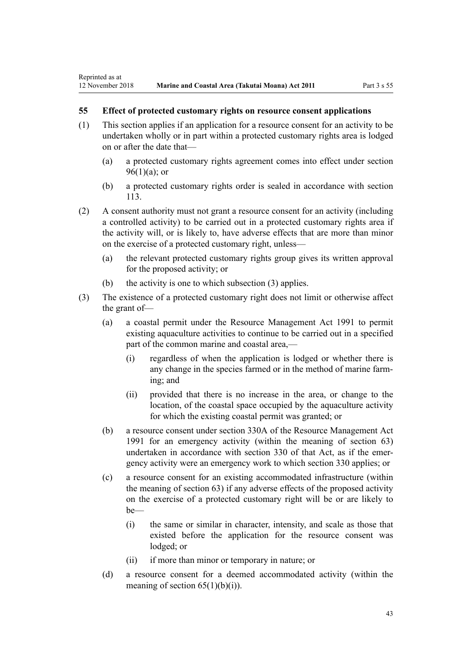# **55 Effect of protected customary rights on resource consent applications**

- (1) This section applies if an application for a resource consent for an activity to be undertaken wholly or in part within a protected customary rights area is lodged on or after the date that—
	- (a) a protected customary rights agreement comes into effect under [section](#page-69-0)  $96(1)(a)$ ; or
	- (b) a protected customary rights order is sealed in accordance with [section](#page-77-0) [113](#page-77-0).
- (2) A consent authority must not grant a resource consent for an activity (including a controlled activity) to be carried out in a protected customary rights area if the activity will, or is likely to, have adverse effects that are more than minor on the exercise of a protected customary right, unless—
	- (a) the relevant protected customary rights group gives its written approval for the proposed activity; or
	- (b) the activity is one to which subsection (3) applies.
- (3) The existence of a protected customary right does not limit or otherwise affect the grant of—
	- (a) a coastal permit under the [Resource Management Act 1991](http://legislation.govt.nz/pdflink.aspx?id=DLM230264) to permit existing aquaculture activities to continue to be carried out in a specified part of the common marine and coastal area,—
		- (i) regardless of when the application is lodged or whether there is any change in the species farmed or in the method of marine farming; and
		- (ii) provided that there is no increase in the area, or change to the location, of the coastal space occupied by the aquaculture activity for which the existing coastal permit was granted; or
	- (b) a resource consent under [section 330A](http://legislation.govt.nz/pdflink.aspx?id=DLM239008) of the Resource Management Act 1991 for an emergency activity (within the meaning of [section 63](#page-48-0)) undertaken in accordance with [section 330](http://legislation.govt.nz/pdflink.aspx?id=DLM239003) of that Act, as if the emergency activity were an emergency work to which section 330 applies; or
	- (c) a resource consent for an existing accommodated infrastructure (within the meaning of [section 63\)](#page-48-0) if any adverse effects of the proposed activity on the exercise of a protected customary right will be or are likely to be—
		- (i) the same or similar in character, intensity, and scale as those that existed before the application for the resource consent was lodged; or
		- (ii) if more than minor or temporary in nature; or
	- (d) a resource consent for a deemed accommodated activity (within the meaning of section  $65(1)(b)(i)$ .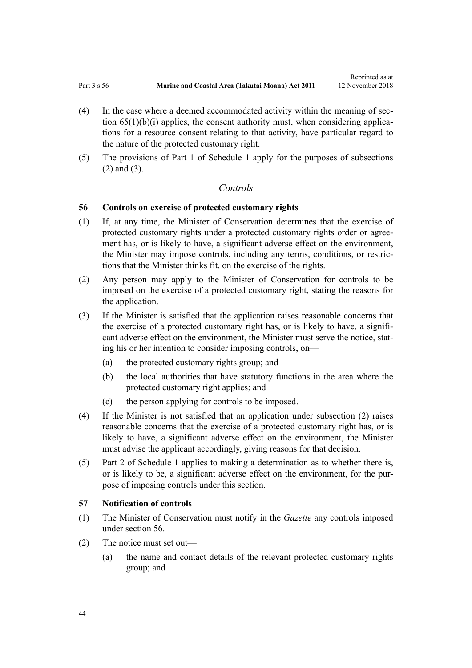- <span id="page-43-0"></span>(4) In the case where a deemed accommodated activity within the meaning of [sec](#page-51-0)tion  $65(1)(b)(i)$  applies, the consent authority must, when considering applications for a resource consent relating to that activity, have particular regard to the nature of the protected customary right.
- (5) The provisions of [Part 1](#page-84-0) of Schedule 1 apply for the purposes of subsections (2) and (3).

## *Controls*

#### **56 Controls on exercise of protected customary rights**

- (1) If, at any time, the Minister of Conservation determines that the exercise of protected customary rights under a protected customary rights order or agreement has, or is likely to have, a significant adverse effect on the environment, the Minister may impose controls, including any terms, conditions, or restrictions that the Minister thinks fit, on the exercise of the rights.
- (2) Any person may apply to the Minister of Conservation for controls to be imposed on the exercise of a protected customary right, stating the reasons for the application.
- (3) If the Minister is satisfied that the application raises reasonable concerns that the exercise of a protected customary right has, or is likely to have, a significant adverse effect on the environment, the Minister must serve the notice, stating his or her intention to consider imposing controls, on—
	- (a) the protected customary rights group; and
	- (b) the local authorities that have statutory functions in the area where the protected customary right applies; and
	- (c) the person applying for controls to be imposed.
- (4) If the Minister is not satisfied that an application under subsection (2) raises reasonable concerns that the exercise of a protected customary right has, or is likely to have, a significant adverse effect on the environment, the Minister must advise the applicant accordingly, giving reasons for that decision.
- (5) [Part 2](#page-86-0) of Schedule 1 applies to making a determination as to whether there is, or is likely to be, a significant adverse effect on the environment, for the purpose of imposing controls under this section.

#### **57 Notification of controls**

- (1) The Minister of Conservation must notify in the *Gazette* any controls imposed under section 56.
- (2) The notice must set out—
	- (a) the name and contact details of the relevant protected customary rights group; and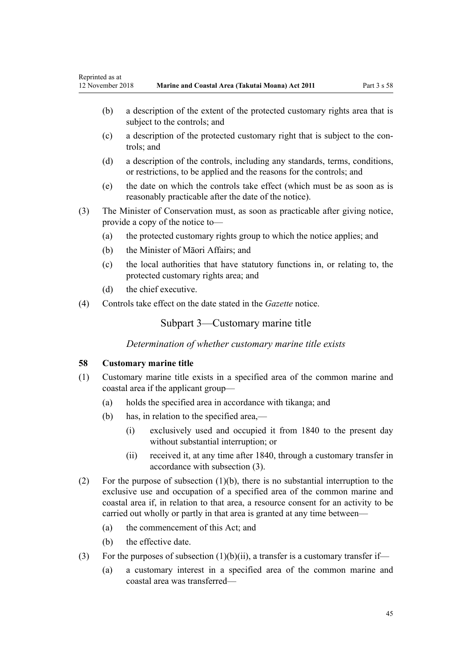- <span id="page-44-0"></span>(b) a description of the extent of the protected customary rights area that is subject to the controls; and
- (c) a description of the protected customary right that is subject to the controls; and
- (d) a description of the controls, including any standards, terms, conditions, or restrictions, to be applied and the reasons for the controls; and
- (e) the date on which the controls take effect (which must be as soon as is reasonably practicable after the date of the notice).
- (3) The Minister of Conservation must, as soon as practicable after giving notice, provide a copy of the notice to—
	- (a) the protected customary rights group to which the notice applies; and
	- (b) the Minister of Māori Affairs; and
	- (c) the local authorities that have statutory functions in, or relating to, the protected customary rights area; and
	- (d) the chief executive.
- (4) Controls take effect on the date stated in the *Gazette* notice.

# Subpart 3—Customary marine title

*Determination of whether customary marine title exists*

#### **58 Customary marine title**

- (1) Customary marine title exists in a specified area of the common marine and coastal area if the applicant group—
	- (a) holds the specified area in accordance with tikanga; and
	- (b) has, in relation to the specified area,—
		- (i) exclusively used and occupied it from 1840 to the present day without substantial interruption; or
		- (ii) received it, at any time after 1840, through a customary transfer in accordance with subsection (3).
- (2) For the purpose of subsection (1)(b), there is no substantial interruption to the exclusive use and occupation of a specified area of the common marine and coastal area if, in relation to that area, a resource consent for an activity to be carried out wholly or partly in that area is granted at any time between—
	- (a) the commencement of this Act; and
	- (b) the effective date.
- (3) For the purposes of subsection  $(1)(b)(ii)$ , a transfer is a customary transfer if—
	- (a) a customary interest in a specified area of the common marine and coastal area was transferred—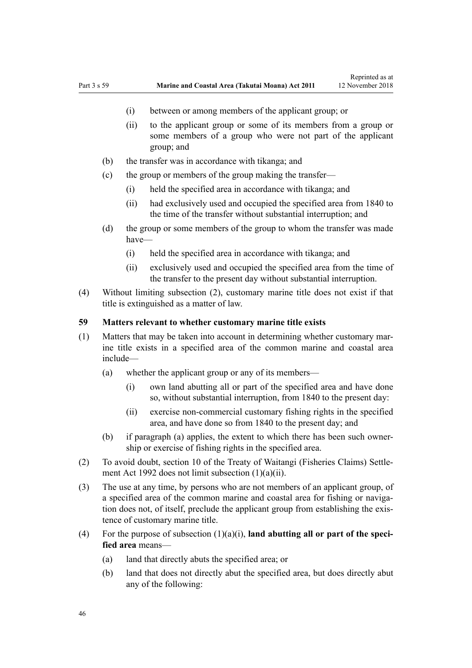- (i) between or among members of the applicant group; or
- (ii) to the applicant group or some of its members from a group or some members of a group who were not part of the applicant group; and
- (b) the transfer was in accordance with tikanga; and
- (c) the group or members of the group making the transfer—
	- (i) held the specified area in accordance with tikanga; and
	- (ii) had exclusively used and occupied the specified area from 1840 to the time of the transfer without substantial interruption; and
- (d) the group or some members of the group to whom the transfer was made have—
	- (i) held the specified area in accordance with tikanga; and
	- (ii) exclusively used and occupied the specified area from the time of the transfer to the present day without substantial interruption.
- (4) Without limiting subsection (2), customary marine title does not exist if that title is extinguished as a matter of law.

#### **59 Matters relevant to whether customary marine title exists**

- (1) Matters that may be taken into account in determining whether customary marine title exists in a specified area of the common marine and coastal area include—
	- (a) whether the applicant group or any of its members—
		- (i) own land abutting all or part of the specified area and have done so, without substantial interruption, from 1840 to the present day:
		- (ii) exercise non-commercial customary fishing rights in the specified area, and have done so from 1840 to the present day; and
	- (b) if paragraph (a) applies, the extent to which there has been such ownership or exercise of fishing rights in the specified area.
- (2) To avoid doubt, [section 10](http://legislation.govt.nz/pdflink.aspx?id=DLM281461) of the Treaty of Waitangi (Fisheries Claims) Settlement Act 1992 does not limit subsection (1)(a)(ii).
- (3) The use at any time, by persons who are not members of an applicant group, of a specified area of the common marine and coastal area for fishing or navigation does not, of itself, preclude the applicant group from establishing the existence of customary marine title.
- (4) For the purpose of subsection  $(1)(a)(i)$ , **land abutting all or part of the specified area** means—
	- (a) land that directly abuts the specified area; or
	- (b) land that does not directly abut the specified area, but does directly abut any of the following: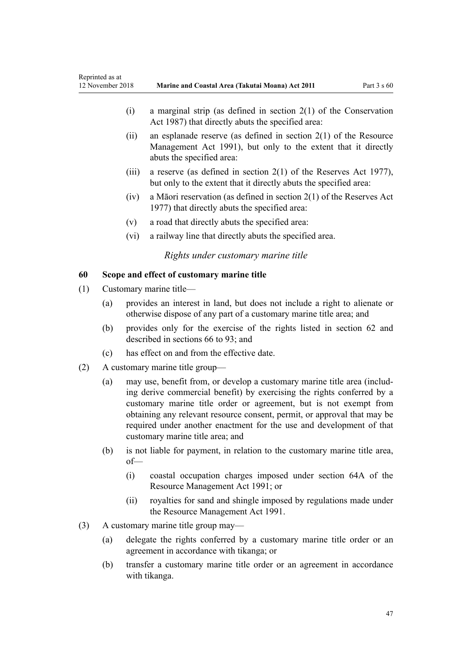<span id="page-46-0"></span>

| Reprinted as at<br>12 November 2018 |                                            |                                                                                                                                                                                                                                                                                                                                                                                                                 | Marine and Coastal Area (Takutai Moana) Act 2011                                                                                                                 | Part $3 \times 60$ |
|-------------------------------------|--------------------------------------------|-----------------------------------------------------------------------------------------------------------------------------------------------------------------------------------------------------------------------------------------------------------------------------------------------------------------------------------------------------------------------------------------------------------------|------------------------------------------------------------------------------------------------------------------------------------------------------------------|--------------------|
|                                     |                                            | (i)                                                                                                                                                                                                                                                                                                                                                                                                             | a marginal strip (as defined in section $2(1)$ of the Conservation<br>Act 1987) that directly abuts the specified area:                                          |                    |
|                                     |                                            | (ii)                                                                                                                                                                                                                                                                                                                                                                                                            | an esplanade reserve (as defined in section $2(1)$ of the Resource<br>Management Act 1991), but only to the extent that it directly<br>abuts the specified area: |                    |
|                                     |                                            | (iii)                                                                                                                                                                                                                                                                                                                                                                                                           | a reserve (as defined in section $2(1)$ of the Reserves Act 1977),<br>but only to the extent that it directly abuts the specified area:                          |                    |
|                                     |                                            | (iv)                                                                                                                                                                                                                                                                                                                                                                                                            | a Māori reservation (as defined in section $2(1)$ of the Reserves Act<br>1977) that directly abuts the specified area:                                           |                    |
|                                     |                                            | (v)                                                                                                                                                                                                                                                                                                                                                                                                             | a road that directly abuts the specified area:                                                                                                                   |                    |
|                                     |                                            | (vi)                                                                                                                                                                                                                                                                                                                                                                                                            | a railway line that directly abuts the specified area.                                                                                                           |                    |
|                                     |                                            |                                                                                                                                                                                                                                                                                                                                                                                                                 | Rights under customary marine title                                                                                                                              |                    |
| 60                                  | Scope and effect of customary marine title |                                                                                                                                                                                                                                                                                                                                                                                                                 |                                                                                                                                                                  |                    |
| (1)                                 | Customary marine title-                    |                                                                                                                                                                                                                                                                                                                                                                                                                 |                                                                                                                                                                  |                    |
|                                     | (a)                                        | provides an interest in land, but does not include a right to alienate or<br>otherwise dispose of any part of a customary marine title area; and                                                                                                                                                                                                                                                                |                                                                                                                                                                  |                    |
|                                     | (b)                                        | provides only for the exercise of the rights listed in section 62 and<br>described in sections 66 to 93; and                                                                                                                                                                                                                                                                                                    |                                                                                                                                                                  |                    |
|                                     | (c)                                        | has effect on and from the effective date.                                                                                                                                                                                                                                                                                                                                                                      |                                                                                                                                                                  |                    |
| (2)                                 | A customary marine title group—            |                                                                                                                                                                                                                                                                                                                                                                                                                 |                                                                                                                                                                  |                    |
|                                     | (a)                                        | may use, benefit from, or develop a customary marine title area (includ-<br>ing derive commercial benefit) by exercising the rights conferred by a<br>customary marine title order or agreement, but is not exempt from<br>obtaining any relevant resource consent, permit, or approval that may be<br>required under another enactment for the use and development of that<br>customary marine title area; and |                                                                                                                                                                  |                    |
|                                     | (b)                                        | $of$ —                                                                                                                                                                                                                                                                                                                                                                                                          | is not liable for payment, in relation to the customary marine title area,                                                                                       |                    |
|                                     |                                            | (i)                                                                                                                                                                                                                                                                                                                                                                                                             | coastal occupation charges imposed under section 64A of the<br>Resource Management Act 1991; or                                                                  |                    |
|                                     |                                            | (ii)                                                                                                                                                                                                                                                                                                                                                                                                            | royalties for sand and shingle imposed by regulations made under<br>the Resource Management Act 1991.                                                            |                    |
| (3)                                 |                                            |                                                                                                                                                                                                                                                                                                                                                                                                                 | A customary marine title group may—                                                                                                                              |                    |
|                                     | (a)                                        | delegate the rights conferred by a customary marine title order or an<br>agreement in accordance with tikanga; or                                                                                                                                                                                                                                                                                               |                                                                                                                                                                  |                    |
|                                     | (b)                                        |                                                                                                                                                                                                                                                                                                                                                                                                                 | transfer a customary marine title order or an agreement in accordance<br>with tikanga.                                                                           |                    |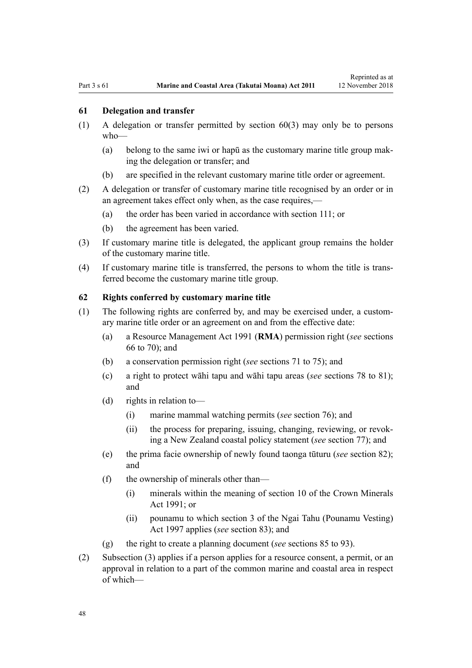#### <span id="page-47-0"></span>**61 Delegation and transfer**

- (1) A delegation or transfer permitted by [section 60\(3\)](#page-46-0) may only be to persons who—
	- (a) belong to the same iwi or hapū as the customary marine title group making the delegation or transfer; and
	- (b) are specified in the relevant customary marine title order or agreement.
- (2) A delegation or transfer of customary marine title recognised by an order or in an agreement takes effect only when, as the case requires,—
	- (a) the order has been varied in accordance with [section 111](#page-75-0); or
	- (b) the agreement has been varied.
- (3) If customary marine title is delegated, the applicant group remains the holder of the customary marine title.
- (4) If customary marine title is transferred, the persons to whom the title is transferred become the customary marine title group.

#### **62 Rights conferred by customary marine title**

- (1) The following rights are conferred by, and may be exercised under, a customary marine title order or an agreement on and from the effective date:
	- (a) a [Resource Management Act 1991](http://legislation.govt.nz/pdflink.aspx?id=DLM230264) (**RMA**) permission right (*see* [sections](#page-52-0) [66 to 70\)](#page-52-0); and
	- (b) a conservation permission right (*see* [sections 71 to 75\)](#page-55-0); and
	- (c) a right to protect wāhi tapu and wāhi tapu areas (*see* [sections 78 to 81](#page-59-0)); and
	- (d) rights in relation to—
		- (i) marine mammal watching permits (*see* [section 76\)](#page-58-0); and
		- (ii) the process for preparing, issuing, changing, reviewing, or revoking a New Zealand coastal policy statement (*see* [section 77\)](#page-59-0); and
	- (e) the prima facie ownership of newly found taonga tūturu (*see* [section 82](#page-62-0)); and
	- (f) the ownership of minerals other than—
		- (i) minerals within the meaning of [section 10](http://legislation.govt.nz/pdflink.aspx?id=DLM246310) of the Crown Minerals Act 1991; or
		- (ii) pounamu to which [section 3](http://legislation.govt.nz/pdflink.aspx?id=DLM413605) of the Ngai Tahu (Pounamu Vesting) Act 1997 applies (*see* [section 83](#page-63-0)); and
	- (g) the right to create a planning document (*see* [sections 85 to 93](#page-64-0)).
- (2) Subsection (3) applies if a person applies for a resource consent, a permit, or an approval in relation to a part of the common marine and coastal area in respect of which—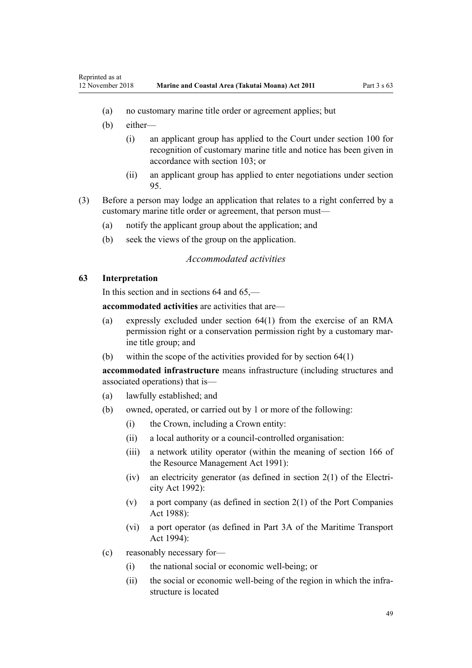- <span id="page-48-0"></span>(a) no customary marine title order or agreement applies; but
- (b) either—
	- (i) an applicant group has applied to the Court under [section 100](#page-71-0) for recognition of customary marine title and notice has been given in accordance with [section 103;](#page-72-0) or
	- (ii) an applicant group has applied to enter negotiations under [section](#page-69-0) [95.](#page-69-0)
- (3) Before a person may lodge an application that relates to a right conferred by a customary marine title order or agreement, that person must—
	- (a) notify the applicant group about the application; and
	- (b) seek the views of the group on the application.

# *Accommodated activities*

## **63 Interpretation**

In this section and in sections 64 and 65,—

**accommodated activities** are activities that are—

- (a) expressly excluded under [section 64\(1\)](#page-50-0) from the exercise of an RMA permission right or a conservation permission right by a customary marine title group; and
- (b) within the scope of the activities provided for by [section 64\(1\)](#page-50-0)

**accommodated infrastructure** means infrastructure (including structures and associated operations) that is—

- (a) lawfully established; and
- (b) owned, operated, or carried out by 1 or more of the following:
	- (i) the Crown, including a Crown entity:
	- (ii) a local authority or a council-controlled organisation:
	- (iii) a network utility operator (within the meaning of [section 166](http://legislation.govt.nz/pdflink.aspx?id=DLM236206) of the Resource Management Act 1991):
	- (iv) an electricity generator (as defined in [section 2\(1\)](http://legislation.govt.nz/pdflink.aspx?id=DLM281866) of the Electricity Act 1992):
	- (v) a port company (as defined in [section 2\(1\)](http://legislation.govt.nz/pdflink.aspx?id=DLM131688) of the Port Companies Act 1988):
	- (vi) a port operator (as defined in [Part 3A](http://legislation.govt.nz/pdflink.aspx?id=DLM5689750) of the Maritime Transport Act 1994):
- (c) reasonably necessary for—
	- (i) the national social or economic well-being; or
	- (ii) the social or economic well-being of the region in which the infrastructure is located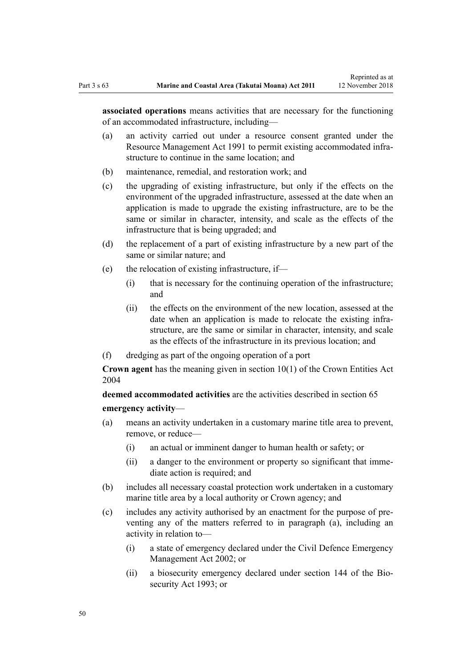**associated operations** means activities that are necessary for the functioning of an accommodated infrastructure, including—

- (a) an activity carried out under a resource consent granted under the [Resource Management Act 1991](http://legislation.govt.nz/pdflink.aspx?id=DLM230264) to permit existing accommodated infrastructure to continue in the same location; and
- (b) maintenance, remedial, and restoration work; and
- (c) the upgrading of existing infrastructure, but only if the effects on the environment of the upgraded infrastructure, assessed at the date when an application is made to upgrade the existing infrastructure, are to be the same or similar in character, intensity, and scale as the effects of the infrastructure that is being upgraded; and
- (d) the replacement of a part of existing infrastructure by a new part of the same or similar nature; and
- (e) the relocation of existing infrastructure, if—
	- (i) that is necessary for the continuing operation of the infrastructure; and
	- (ii) the effects on the environment of the new location, assessed at the date when an application is made to relocate the existing infrastructure, are the same or similar in character, intensity, and scale as the effects of the infrastructure in its previous location; and
- (f) dredging as part of the ongoing operation of a port

**Crown agent** has the meaning given in [section 10\(1\)](http://legislation.govt.nz/pdflink.aspx?id=DLM329649) of the Crown Entities Act 2004

**deemed accommodated activities** are the activities described in [section 65](#page-51-0) **emergency activity**—

- (a) means an activity undertaken in a customary marine title area to prevent, remove, or reduce—
	- (i) an actual or imminent danger to human health or safety; or
	- (ii) a danger to the environment or property so significant that immediate action is required; and
- (b) includes all necessary coastal protection work undertaken in a customary marine title area by a local authority or Crown agency; and
- (c) includes any activity authorised by an enactment for the purpose of preventing any of the matters referred to in paragraph (a), including an activity in relation to—
	- (i) a state of emergency declared under the [Civil Defence Emergency](http://legislation.govt.nz/pdflink.aspx?id=DLM149788) [Management Act 2002;](http://legislation.govt.nz/pdflink.aspx?id=DLM149788) or
	- (ii) a biosecurity emergency declared under [section 144](http://legislation.govt.nz/pdflink.aspx?id=DLM316395) of the Biosecurity Act 1993; or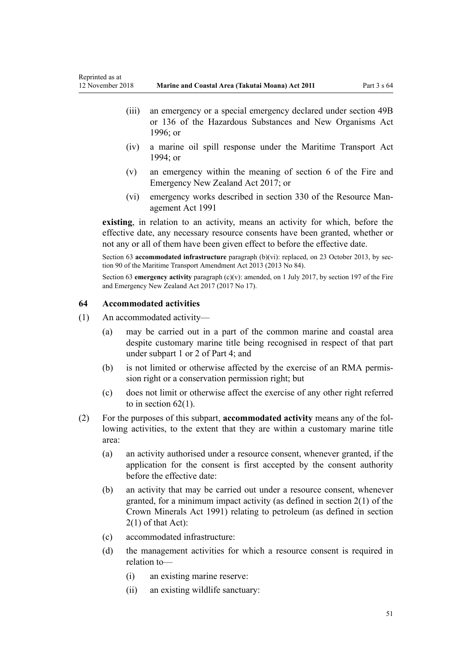- <span id="page-50-0"></span>(iii) an emergency or a special emergency declared under [section 49B](http://legislation.govt.nz/pdflink.aspx?id=DLM384019) or [136](http://legislation.govt.nz/pdflink.aspx?id=DLM384998) of the Hazardous Substances and New Organisms Act 1996; or
- (iv) a marine oil spill response under the [Maritime Transport Act](http://legislation.govt.nz/pdflink.aspx?id=DLM334659) [1994](http://legislation.govt.nz/pdflink.aspx?id=DLM334659); or
- (v) an emergency within the meaning of [section 6](http://legislation.govt.nz/pdflink.aspx?id=DLM6678613) of the Fire and Emergency New Zealand Act 2017; or
- (vi) emergency works described in [section 330](http://legislation.govt.nz/pdflink.aspx?id=DLM239003) of the Resource Management Act 1991

**existing**, in relation to an activity, means an activity for which, before the effective date, any necessary resource consents have been granted, whether or not any or all of them have been given effect to before the effective date.

Section 63 **accommodated infrastructure** paragraph (b)(vi): replaced, on 23 October 2013, by [sec](http://legislation.govt.nz/pdflink.aspx?id=DLM4698973)[tion 90](http://legislation.govt.nz/pdflink.aspx?id=DLM4698973) of the Maritime Transport Amendment Act 2013 (2013 No 84).

Section 63 **emergency activity** paragraph (c)(v): amended, on 1 July 2017, by [section 197](http://legislation.govt.nz/pdflink.aspx?id=DLM6678752) of the Fire and Emergency New Zealand Act 2017 (2017 No 17).

## **64 Accommodated activities**

- (1) An accommodated activity—
	- (a) may be carried out in a part of the common marine and coastal area despite customary marine title being recognised in respect of that part under [subpart 1](#page-69-0) or [2](#page-70-0) of Part 4; and
	- (b) is not limited or otherwise affected by the exercise of an RMA permission right or a conservation permission right; but
	- (c) does not limit or otherwise affect the exercise of any other right referred to in section  $62(1)$ .
- (2) For the purposes of this subpart, **accommodated activity** means any of the following activities, to the extent that they are within a customary marine title area:
	- (a) an activity authorised under a resource consent, whenever granted, if the application for the consent is first accepted by the consent authority before the effective date:
	- (b) an activity that may be carried out under a resource consent, whenever granted, for a minimum impact activity (as defined in [section 2\(1\)](http://legislation.govt.nz/pdflink.aspx?id=DLM242543) of the Crown Minerals Act 1991) relating to petroleum (as defined in section 2(1) of that Act):
	- (c) accommodated infrastructure:
	- (d) the management activities for which a resource consent is required in relation to—
		- (i) an existing marine reserve:
		- (ii) an existing wildlife sanctuary: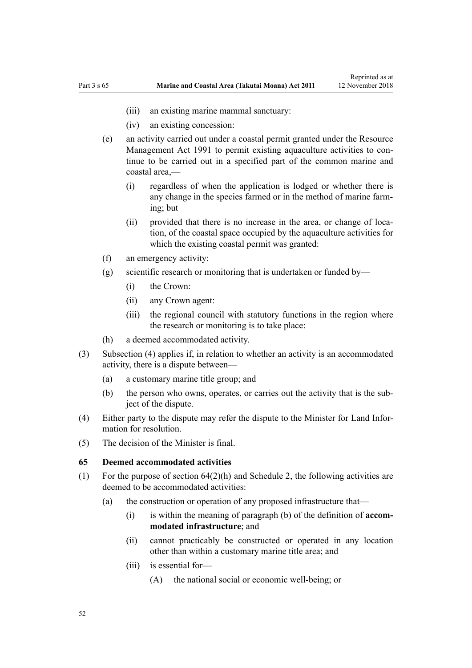- <span id="page-51-0"></span>(iii) an existing marine mammal sanctuary:
- (iv) an existing concession:
- (e) an activity carried out under a coastal permit granted under the [Resource](http://legislation.govt.nz/pdflink.aspx?id=DLM230264) [Management Act 1991](http://legislation.govt.nz/pdflink.aspx?id=DLM230264) to permit existing aquaculture activities to continue to be carried out in a specified part of the common marine and coastal area,—
	- (i) regardless of when the application is lodged or whether there is any change in the species farmed or in the method of marine farming; but
	- (ii) provided that there is no increase in the area, or change of location, of the coastal space occupied by the aquaculture activities for which the existing coastal permit was granted:
- (f) an emergency activity:
- (g) scientific research or monitoring that is undertaken or funded by—
	- (i) the Crown:
	- (ii) any Crown agent:
	- (iii) the regional council with statutory functions in the region where the research or monitoring is to take place:
- (h) a deemed accommodated activity.
- (3) Subsection (4) applies if, in relation to whether an activity is an accommodated activity, there is a dispute between—
	- (a) a customary marine title group; and
	- (b) the person who owns, operates, or carries out the activity that is the subject of the dispute.
- (4) Either party to the dispute may refer the dispute to the Minister for Land Information for resolution.
- (5) The decision of the Minister is final.

#### **65 Deemed accommodated activities**

- (1) For the purpose of [section 64\(2\)\(h\)](#page-50-0) and [Schedule 2](#page-92-0), the following activities are deemed to be accommodated activities:
	- (a) the construction or operation of any proposed infrastructure that—
		- (i) is within the meaning of paragraph (b) of the definition of **accommodated infrastructure**; and
		- (ii) cannot practicably be constructed or operated in any location other than within a customary marine title area; and
		- (iii) is essential for—
			- (A) the national social or economic well-being; or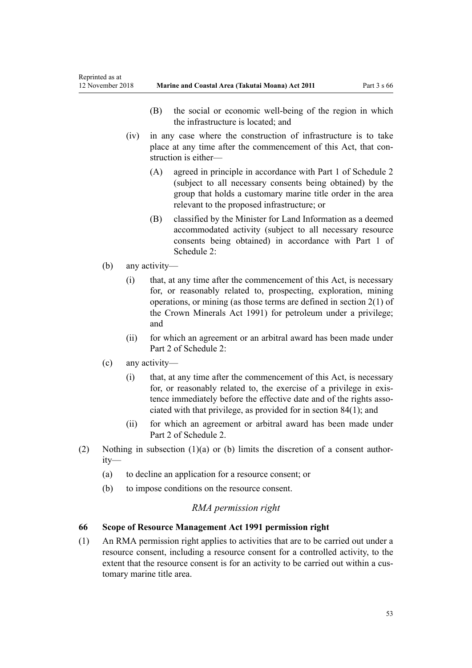- (B) the social or economic well-being of the region in which the infrastructure is located; and
- <span id="page-52-0"></span>(iv) in any case where the construction of infrastructure is to take place at any time after the commencement of this Act, that construction is either—
	- (A) agreed in principle in accordance with [Part 1](#page-92-0) of Schedule 2 (subject to all necessary consents being obtained) by the group that holds a customary marine title order in the area relevant to the proposed infrastructure; or
	- (B) classified by the Minister for Land Information as a deemed accommodated activity (subject to all necessary resource consents being obtained) in accordance with [Part 1](#page-92-0) of Schedule 2:
- (b) any activity—
	- (i) that, at any time after the commencement of this Act, is necessary for, or reasonably related to, prospecting, exploration, mining operations, or mining (as those terms are defined in [section 2\(1\)](http://legislation.govt.nz/pdflink.aspx?id=DLM242543) of the Crown Minerals Act 1991) for petroleum under a privilege; and
	- (ii) for which an agreement or an arbitral award has been made under [Part 2](#page-95-0) of Schedule 2:
- (c) any activity—
	- (i) that, at any time after the commencement of this Act, is necessary for, or reasonably related to, the exercise of a privilege in existence immediately before the effective date and of the rights associated with that privilege, as provided for in [section 84\(1\)](#page-63-0); and
	- (ii) for which an agreement or arbitral award has been made under [Part 2](#page-95-0) of Schedule 2.
- (2) Nothing in subsection  $(1)(a)$  or (b) limits the discretion of a consent authority—
	- (a) to decline an application for a resource consent; or
	- (b) to impose conditions on the resource consent.

# *RMA permission right*

# **66 Scope of Resource Management Act 1991 permission right**

(1) An RMA permission right applies to activities that are to be carried out under a resource consent, including a resource consent for a controlled activity, to the extent that the resource consent is for an activity to be carried out within a customary marine title area.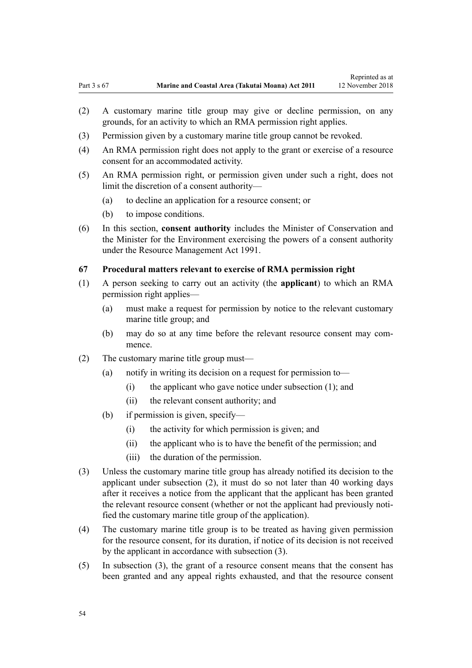- <span id="page-53-0"></span>(2) A customary marine title group may give or decline permission, on any grounds, for an activity to which an RMA permission right applies.
- (3) Permission given by a customary marine title group cannot be revoked.
- (4) An RMA permission right does not apply to the grant or exercise of a resource consent for an accommodated activity.
- (5) An RMA permission right, or permission given under such a right, does not limit the discretion of a consent authority—
	- (a) to decline an application for a resource consent; or
	- (b) to impose conditions.
- (6) In this section, **consent authority** includes the Minister of Conservation and the Minister for the Environment exercising the powers of a consent authority under the [Resource Management Act 1991](http://legislation.govt.nz/pdflink.aspx?id=DLM230264).

## **67 Procedural matters relevant to exercise of RMA permission right**

- (1) A person seeking to carry out an activity (the **applicant**) to which an RMA permission right applies—
	- (a) must make a request for permission by notice to the relevant customary marine title group; and
	- (b) may do so at any time before the relevant resource consent may commence.
- (2) The customary marine title group must—
	- (a) notify in writing its decision on a request for permission to—
		- (i) the applicant who gave notice under subsection (1); and
		- (ii) the relevant consent authority; and
	- (b) if permission is given, specify—
		- (i) the activity for which permission is given; and
		- (ii) the applicant who is to have the benefit of the permission; and
		- (iii) the duration of the permission.
- (3) Unless the customary marine title group has already notified its decision to the applicant under subsection (2), it must do so not later than 40 working days after it receives a notice from the applicant that the applicant has been granted the relevant resource consent (whether or not the applicant had previously notified the customary marine title group of the application).
- (4) The customary marine title group is to be treated as having given permission for the resource consent, for its duration, if notice of its decision is not received by the applicant in accordance with subsection (3).
- (5) In subsection (3), the grant of a resource consent means that the consent has been granted and any appeal rights exhausted, and that the resource consent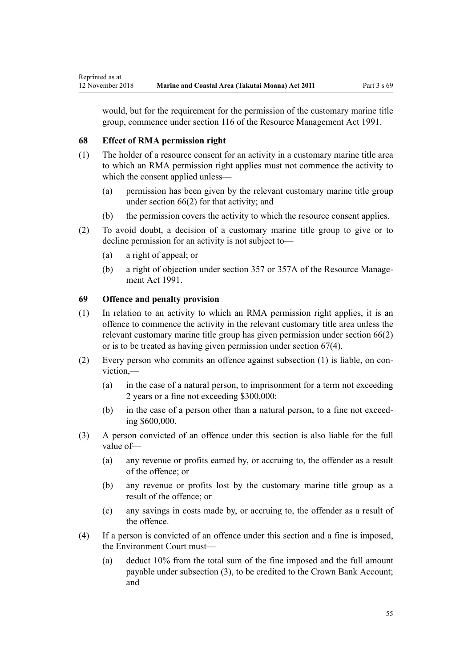would, but for the requirement for the permission of the customary marine title group, commence under [section 116](http://legislation.govt.nz/pdflink.aspx?id=DLM234865) of the Resource Management Act 1991.

# **68 Effect of RMA permission right**

- (1) The holder of a resource consent for an activity in a customary marine title area to which an RMA permission right applies must not commence the activity to which the consent applied unless—
	- (a) permission has been given by the relevant customary marine title group under [section 66\(2\)](#page-52-0) for that activity; and
	- (b) the permission covers the activity to which the resource consent applies.
- (2) To avoid doubt, a decision of a customary marine title group to give or to decline permission for an activity is not subject to—
	- (a) a right of appeal; or
	- (b) a right of objection under [section 357](http://legislation.govt.nz/pdflink.aspx?id=DLM239342) or [357A](http://legislation.govt.nz/pdflink.aspx?id=DLM239356) of the Resource Management Act 1991.

# **69 Offence and penalty provision**

- (1) In relation to an activity to which an RMA permission right applies, it is an offence to commence the activity in the relevant customary title area unless the relevant customary marine title group has given permission under [section 66\(2\)](#page-52-0) or is to be treated as having given permission under [section 67\(4\).](#page-53-0)
- (2) Every person who commits an offence against subsection (1) is liable, on conviction,—
	- (a) in the case of a natural person, to imprisonment for a term not exceeding 2 years or a fine not exceeding \$300,000:
	- (b) in the case of a person other than a natural person, to a fine not exceeding \$600,000.
- (3) A person convicted of an offence under this section is also liable for the full value of—
	- (a) any revenue or profits earned by, or accruing to, the offender as a result of the offence; or
	- (b) any revenue or profits lost by the customary marine title group as a result of the offence; or
	- (c) any savings in costs made by, or accruing to, the offender as a result of the offence.
- (4) If a person is convicted of an offence under this section and a fine is imposed, the Environment Court must—
	- (a) deduct 10% from the total sum of the fine imposed and the full amount payable under subsection (3), to be credited to the Crown Bank Account; and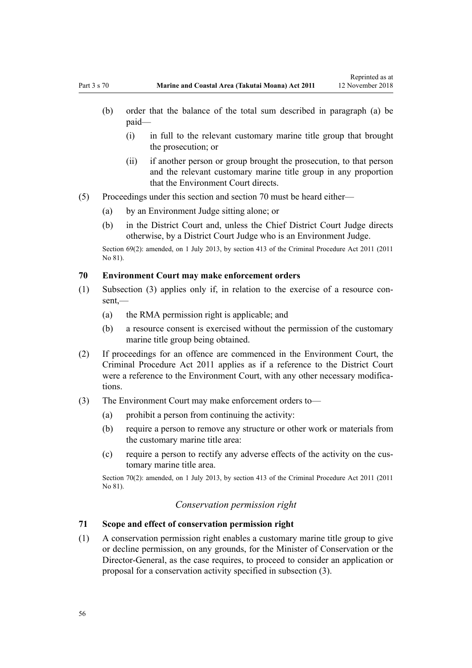Reprinted as at

- <span id="page-55-0"></span>(b) order that the balance of the total sum described in paragraph (a) be paid—
	- (i) in full to the relevant customary marine title group that brought the prosecution; or
	- (ii) if another person or group brought the prosecution, to that person and the relevant customary marine title group in any proportion that the Environment Court directs.
- (5) Proceedings under this section and section 70 must be heard either—
	- (a) by an Environment Judge sitting alone; or
	- (b) in the District Court and, unless the Chief District Court Judge directs otherwise, by a District Court Judge who is an Environment Judge.

Section 69(2): amended, on 1 July 2013, by [section 413](http://legislation.govt.nz/pdflink.aspx?id=DLM3360714) of the Criminal Procedure Act 2011 (2011) No 81).

#### **70 Environment Court may make enforcement orders**

- (1) Subsection (3) applies only if, in relation to the exercise of a resource consent,—
	- (a) the RMA permission right is applicable; and
	- (b) a resource consent is exercised without the permission of the customary marine title group being obtained.
- (2) If proceedings for an offence are commenced in the Environment Court, the [Criminal Procedure Act 2011](http://legislation.govt.nz/pdflink.aspx?id=DLM3359902) applies as if a reference to the District Court were a reference to the Environment Court, with any other necessary modifications.
- (3) The Environment Court may make enforcement orders to—
	- $(a)$  prohibit a person from continuing the activity:
	- (b) require a person to remove any structure or other work or materials from the customary marine title area:
	- (c) require a person to rectify any adverse effects of the activity on the customary marine title area.

Section 70(2): amended, on 1 July 2013, by [section 413](http://legislation.govt.nz/pdflink.aspx?id=DLM3360714) of the Criminal Procedure Act 2011 (2011 No 81).

## *Conservation permission right*

#### **71 Scope and effect of conservation permission right**

(1) A conservation permission right enables a customary marine title group to give or decline permission, on any grounds, for the Minister of Conservation or the Director-General, as the case requires, to proceed to consider an application or proposal for a conservation activity specified in subsection (3).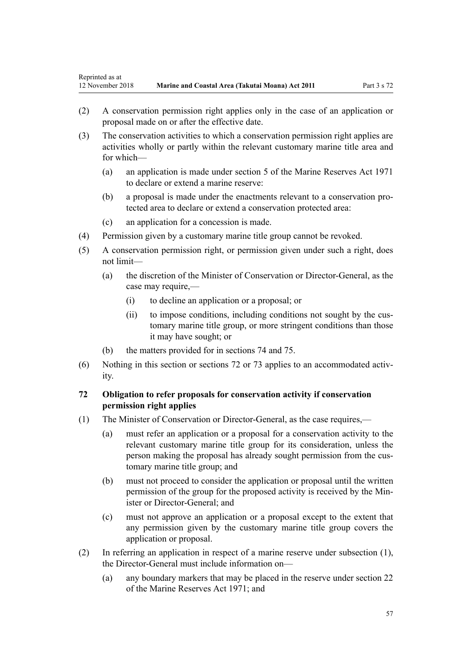- <span id="page-56-0"></span>(2) A conservation permission right applies only in the case of an application or proposal made on or after the effective date.
- (3) The conservation activities to which a conservation permission right applies are activities wholly or partly within the relevant customary marine title area and for which—
	- (a) an application is made under [section 5](http://legislation.govt.nz/pdflink.aspx?id=DLM398113) of the Marine Reserves Act 1971 to declare or extend a marine reserve:
	- (b) a proposal is made under the enactments relevant to a conservation protected area to declare or extend a conservation protected area:
	- (c) an application for a concession is made.
- (4) Permission given by a customary marine title group cannot be revoked.
- (5) A conservation permission right, or permission given under such a right, does not limit—
	- (a) the discretion of the Minister of Conservation or Director-General, as the case may require,—
		- (i) to decline an application or a proposal; or
		- (ii) to impose conditions, including conditions not sought by the customary marine title group, or more stringent conditions than those it may have sought; or
	- (b) the matters provided for in [sections 74](#page-57-0) and [75.](#page-57-0)
- (6) Nothing in this section or sections 72 or [73](#page-57-0) applies to an accommodated activity.

# **72 Obligation to refer proposals for conservation activity if conservation permission right applies**

- (1) The Minister of Conservation or Director-General, as the case requires,—
	- (a) must refer an application or a proposal for a conservation activity to the relevant customary marine title group for its consideration, unless the person making the proposal has already sought permission from the customary marine title group; and
	- (b) must not proceed to consider the application or proposal until the written permission of the group for the proposed activity is received by the Minister or Director-General; and
	- (c) must not approve an application or a proposal except to the extent that any permission given by the customary marine title group covers the application or proposal.
- (2) In referring an application in respect of a marine reserve under subsection (1), the Director-General must include information on—
	- (a) any boundary markers that may be placed in the reserve under [section 22](http://legislation.govt.nz/pdflink.aspx?id=DLM398410) of the Marine Reserves Act 1971; and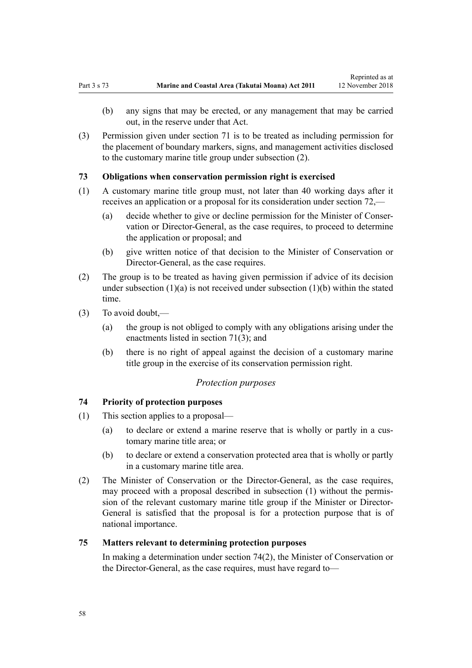- <span id="page-57-0"></span>(b) any signs that may be erected, or any management that may be carried out, in the reserve under that Act.
- (3) Permission given under [section 71](#page-55-0) is to be treated as including permission for the placement of boundary markers, signs, and management activities disclosed to the customary marine title group under subsection (2).

## **73 Obligations when conservation permission right is exercised**

- (1) A customary marine title group must, not later than 40 working days after it receives an application or a proposal for its consideration under [section 72](#page-56-0),—
	- (a) decide whether to give or decline permission for the Minister of Conservation or Director-General, as the case requires, to proceed to determine the application or proposal; and
	- (b) give written notice of that decision to the Minister of Conservation or Director-General, as the case requires.
- (2) The group is to be treated as having given permission if advice of its decision under subsection  $(1)(a)$  is not received under subsection  $(1)(b)$  within the stated time.
- (3) To avoid doubt,—
	- (a) the group is not obliged to comply with any obligations arising under the enactments listed in [section 71\(3\);](#page-55-0) and
	- (b) there is no right of appeal against the decision of a customary marine title group in the exercise of its conservation permission right.

#### *Protection purposes*

## **74 Priority of protection purposes**

- (1) This section applies to a proposal—
	- (a) to declare or extend a marine reserve that is wholly or partly in a customary marine title area; or
	- (b) to declare or extend a conservation protected area that is wholly or partly in a customary marine title area.
- (2) The Minister of Conservation or the Director-General, as the case requires, may proceed with a proposal described in subsection (1) without the permission of the relevant customary marine title group if the Minister or Director-General is satisfied that the proposal is for a protection purpose that is of national importance.

## **75 Matters relevant to determining protection purposes**

In making a determination under section 74(2), the Minister of Conservation or the Director-General, as the case requires, must have regard to—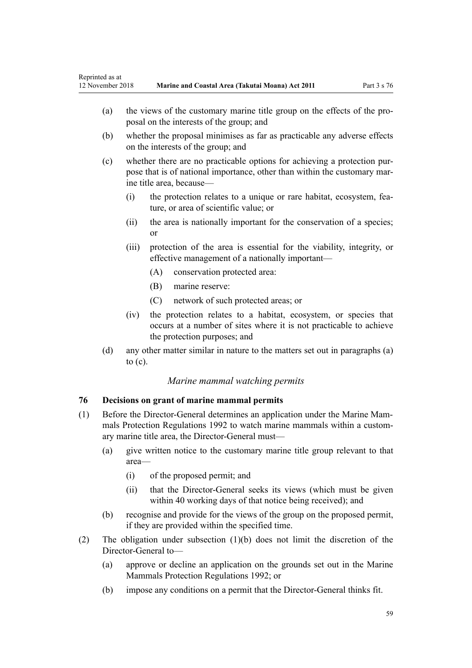- <span id="page-58-0"></span>(a) the views of the customary marine title group on the effects of the proposal on the interests of the group; and
- (b) whether the proposal minimises as far as practicable any adverse effects on the interests of the group; and
- (c) whether there are no practicable options for achieving a protection purpose that is of national importance, other than within the customary marine title area, because—
	- (i) the protection relates to a unique or rare habitat, ecosystem, feature, or area of scientific value; or
	- (ii) the area is nationally important for the conservation of a species; or
	- (iii) protection of the area is essential for the viability, integrity, or effective management of a nationally important—
		- (A) conservation protected area:
		- (B) marine reserve:
		- (C) network of such protected areas; or
	- (iv) the protection relates to a habitat, ecosystem, or species that occurs at a number of sites where it is not practicable to achieve the protection purposes; and
- (d) any other matter similar in nature to the matters set out in paragraphs (a) to (c).

## *Marine mammal watching permits*

# **76 Decisions on grant of marine mammal permits**

- (1) Before the Director-General determines an application under the [Marine Mam](http://legislation.govt.nz/pdflink.aspx?id=DLM168285)[mals Protection Regulations 1992](http://legislation.govt.nz/pdflink.aspx?id=DLM168285) to watch marine mammals within a customary marine title area, the Director-General must—
	- (a) give written notice to the customary marine title group relevant to that area—
		- (i) of the proposed permit; and
		- (ii) that the Director-General seeks its views (which must be given within 40 working days of that notice being received); and
	- (b) recognise and provide for the views of the group on the proposed permit, if they are provided within the specified time.
- (2) The obligation under subsection (1)(b) does not limit the discretion of the Director-General to—
	- (a) approve or decline an application on the grounds set out in the [Marine](http://legislation.govt.nz/pdflink.aspx?id=DLM168285) [Mammals Protection Regulations 1992](http://legislation.govt.nz/pdflink.aspx?id=DLM168285); or
	- (b) impose any conditions on a permit that the Director-General thinks fit.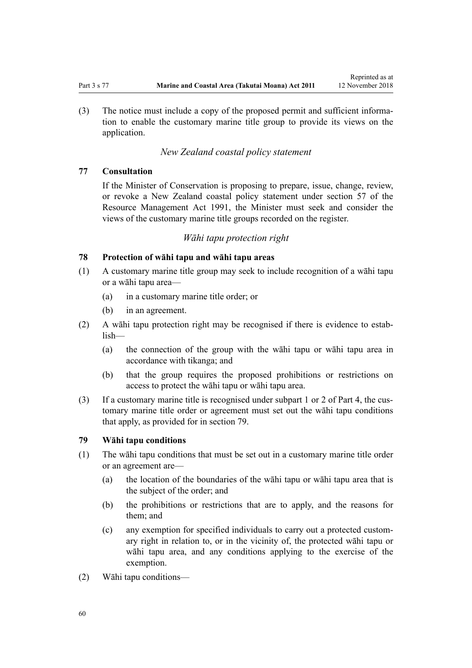Reprinted as at

<span id="page-59-0"></span>(3) The notice must include a copy of the proposed permit and sufficient information to enable the customary marine title group to provide its views on the application.

# *New Zealand coastal policy statement*

# **77 Consultation**

If the Minister of Conservation is proposing to prepare, issue, change, review, or revoke a New Zealand coastal policy statement under [section 57](http://legislation.govt.nz/pdflink.aspx?id=DLM233379) of the Resource Management Act 1991, the Minister must seek and consider the views of the customary marine title groups recorded on the register.

## *Wāhi tapu protection right*

## **78 Protection of wāhi tapu and wāhi tapu areas**

- (1) A customary marine title group may seek to include recognition of a wāhi tapu or a wāhi tapu area—
	- (a) in a customary marine title order; or
	- (b) in an agreement.
- (2) A wāhi tapu protection right may be recognised if there is evidence to establish—
	- (a) the connection of the group with the wāhi tapu or wāhi tapu area in accordance with tikanga; and
	- (b) that the group requires the proposed prohibitions or restrictions on access to protect the wāhi tapu or wāhi tapu area.
- (3) If a customary marine title is recognised under [subpart 1](#page-69-0) or [2](#page-70-0) of Part 4, the customary marine title order or agreement must set out the wāhi tapu conditions that apply, as provided for in section 79.

# **79 Wāhi tapu conditions**

- (1) The wāhi tapu conditions that must be set out in a customary marine title order or an agreement are—
	- (a) the location of the boundaries of the wāhi tapu or wāhi tapu area that is the subject of the order; and
	- (b) the prohibitions or restrictions that are to apply, and the reasons for them; and
	- (c) any exemption for specified individuals to carry out a protected customary right in relation to, or in the vicinity of, the protected wāhi tapu or wāhi tapu area, and any conditions applying to the exercise of the exemption.
- (2) Wāhi tapu conditions—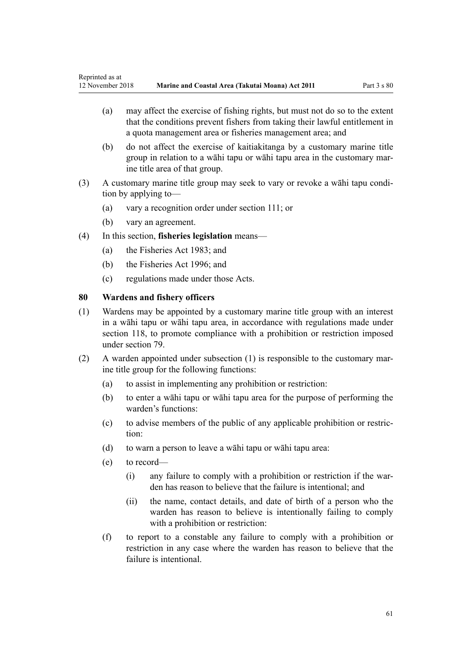- (a) may affect the exercise of fishing rights, but must not do so to the extent that the conditions prevent fishers from taking their lawful entitlement in a quota management area or fisheries management area; and
- (b) do not affect the exercise of kaitiakitanga by a customary marine title group in relation to a wāhi tapu or wāhi tapu area in the customary marine title area of that group.
- (3) A customary marine title group may seek to vary or revoke a wāhi tapu condition by applying to—
	- (a) vary a recognition order under [section 111;](#page-75-0) or
	- (b) vary an agreement.
- (4) In this section, **fisheries legislation** means—
	- (a) the [Fisheries Act 1983](http://legislation.govt.nz/pdflink.aspx?id=DLM66581); and
	- (b) the [Fisheries Act 1996](http://legislation.govt.nz/pdflink.aspx?id=DLM394191); and
	- (c) regulations made under those Acts.

#### **80 Wardens and fishery officers**

- (1) Wardens may be appointed by a customary marine title group with an interest in a wāhi tapu or wāhi tapu area, in accordance with regulations made under [section 118,](#page-78-0) to promote compliance with a prohibition or restriction imposed under [section 79](#page-59-0).
- (2) A warden appointed under subsection (1) is responsible to the customary marine title group for the following functions:
	- (a) to assist in implementing any prohibition or restriction:
	- (b) to enter a wāhi tapu or wāhi tapu area for the purpose of performing the warden's functions:
	- (c) to advise members of the public of any applicable prohibition or restriction:
	- (d) to warn a person to leave a wāhi tapu or wāhi tapu area:
	- (e) to record—
		- (i) any failure to comply with a prohibition or restriction if the warden has reason to believe that the failure is intentional; and
		- (ii) the name, contact details, and date of birth of a person who the warden has reason to believe is intentionally failing to comply with a prohibition or restriction:
	- (f) to report to a constable any failure to comply with a prohibition or restriction in any case where the warden has reason to believe that the failure is intentional.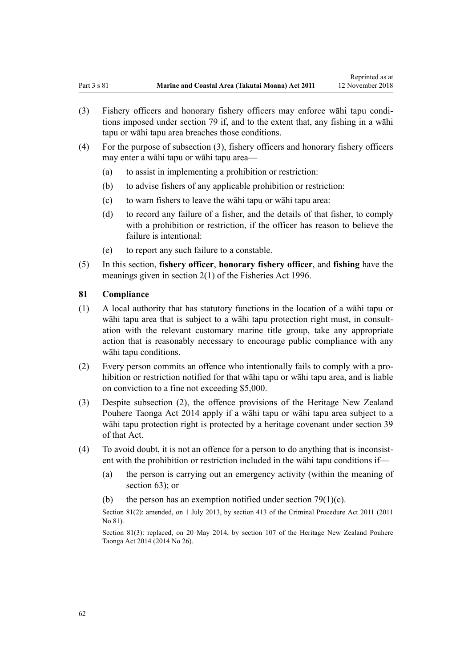- (3) Fishery officers and honorary fishery officers may enforce wāhi tapu conditions imposed under [section 79](#page-59-0) if, and to the extent that, any fishing in a wāhi tapu or wāhi tapu area breaches those conditions.
- (4) For the purpose of subsection (3), fishery officers and honorary fishery officers may enter a wāhi tapu or wāhi tapu area—
	- (a) to assist in implementing a prohibition or restriction:
	- (b) to advise fishers of any applicable prohibition or restriction:
	- (c) to warn fishers to leave the wāhi tapu or wāhi tapu area:
	- (d) to record any failure of a fisher, and the details of that fisher, to comply with a prohibition or restriction, if the officer has reason to believe the failure is intentional:
	- (e) to report any such failure to a constable.
- (5) In this section, **fishery officer**, **honorary fishery officer**, and **fishing** have the meanings given in [section 2\(1\)](http://legislation.govt.nz/pdflink.aspx?id=DLM394199) of the Fisheries Act 1996.

#### **81 Compliance**

- (1) A local authority that has statutory functions in the location of a wāhi tapu or wāhi tapu area that is subject to a wāhi tapu protection right must, in consultation with the relevant customary marine title group, take any appropriate action that is reasonably necessary to encourage public compliance with any wāhi tapu conditions.
- (2) Every person commits an offence who intentionally fails to comply with a prohibition or restriction notified for that wāhi tapu or wāhi tapu area, and is liable on conviction to a fine not exceeding \$5,000.
- (3) Despite subsection (2), the offence provisions of the [Heritage New Zealand](http://legislation.govt.nz/pdflink.aspx?id=DLM4005402) [Pouhere Taonga Act 2014](http://legislation.govt.nz/pdflink.aspx?id=DLM4005402) apply if a wāhi tapu or wāhi tapu area subject to a wāhi tapu protection right is protected by a heritage covenant under [section 39](http://legislation.govt.nz/pdflink.aspx?id=DLM4005548) of that Act.
- (4) To avoid doubt, it is not an offence for a person to do anything that is inconsistent with the prohibition or restriction included in the wāhi tapu conditions if—
	- (a) the person is carrying out an emergency activity (within the meaning of [section 63](#page-48-0)); or
	- (b) the person has an exemption notified under section  $79(1)(c)$ .

Section 81(2): amended, on 1 July 2013, by [section 413](http://legislation.govt.nz/pdflink.aspx?id=DLM3360714) of the Criminal Procedure Act 2011 (2011) No 81).

Section 81(3): replaced, on 20 May 2014, by [section 107](http://legislation.govt.nz/pdflink.aspx?id=DLM4005646) of the Heritage New Zealand Pouhere Taonga Act 2014 (2014 No 26).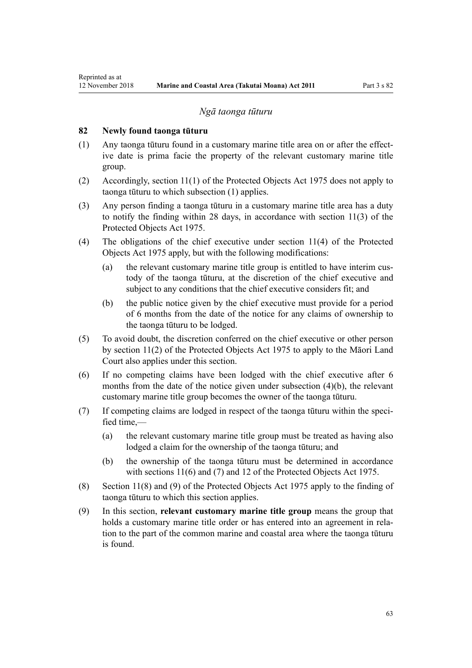## *Ngā taonga tūturu*

## <span id="page-62-0"></span>**82 Newly found taonga tūturu**

- (1) Any taonga tūturu found in a customary marine title area on or after the effective date is prima facie the property of the relevant customary marine title group.
- (2) Accordingly, [section 11\(1\)](http://legislation.govt.nz/pdflink.aspx?id=DLM432422) of the Protected Objects Act 1975 does not apply to taonga tūturu to which subsection (1) applies.
- (3) Any person finding a taonga tūturu in a customary marine title area has a duty to notify the finding within 28 days, in accordance with [section 11\(3\)](http://legislation.govt.nz/pdflink.aspx?id=DLM432422) of the Protected Objects Act 1975.
- (4) The obligations of the chief executive under [section 11\(4\)](http://legislation.govt.nz/pdflink.aspx?id=DLM432422) of the Protected Objects Act 1975 apply, but with the following modifications:
	- (a) the relevant customary marine title group is entitled to have interim custody of the taonga tūturu, at the discretion of the chief executive and subject to any conditions that the chief executive considers fit; and
	- (b) the public notice given by the chief executive must provide for a period of 6 months from the date of the notice for any claims of ownership to the taonga tūturu to be lodged.
- (5) To avoid doubt, the discretion conferred on the chief executive or other person by [section 11\(2\)](http://legislation.govt.nz/pdflink.aspx?id=DLM432422) of the Protected Objects Act 1975 to apply to the Māori Land Court also applies under this section.
- (6) If no competing claims have been lodged with the chief executive after 6 months from the date of the notice given under subsection (4)(b), the relevant customary marine title group becomes the owner of the taonga tūturu.
- (7) If competing claims are lodged in respect of the taonga tūturu within the specified time $-$ 
	- (a) the relevant customary marine title group must be treated as having also lodged a claim for the ownership of the taonga tūturu; and
	- (b) the ownership of the taonga tūturu must be determined in accordance with [sections 11\(6\) and \(7\)](http://legislation.govt.nz/pdflink.aspx?id=DLM432422) and [12](http://legislation.govt.nz/pdflink.aspx?id=DLM432435) of the Protected Objects Act 1975.
- (8) [Section 11\(8\) and \(9\)](http://legislation.govt.nz/pdflink.aspx?id=DLM432422) of the Protected Objects Act 1975 apply to the finding of taonga tūturu to which this section applies.
- (9) In this section, **relevant customary marine title group** means the group that holds a customary marine title order or has entered into an agreement in relation to the part of the common marine and coastal area where the taonga tūturu is found.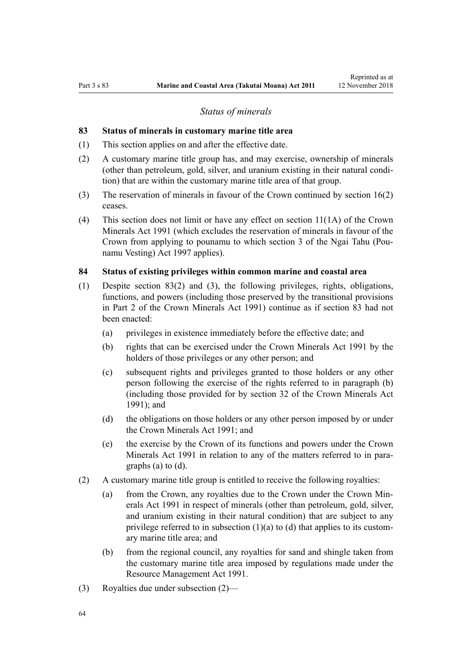#### *Status of minerals*

#### <span id="page-63-0"></span>**83 Status of minerals in customary marine title area**

- (1) This section applies on and after the effective date.
- (2) A customary marine title group has, and may exercise, ownership of minerals (other than petroleum, gold, silver, and uranium existing in their natural condition) that are within the customary marine title area of that group.
- (3) The reservation of minerals in favour of the Crown continued by [section 16\(2\)](#page-19-0) ceases.
- (4) This section does not limit or have any effect on [section 11\(1A\)](http://legislation.govt.nz/pdflink.aspx?id=DLM246311) of the Crown Minerals Act 1991 (which excludes the reservation of minerals in favour of the Crown from applying to pounamu to which [section 3](http://legislation.govt.nz/pdflink.aspx?id=DLM413605) of the Ngai Tahu (Pounamu Vesting) Act 1997 applies).

#### **84 Status of existing privileges within common marine and coastal area**

- (1) Despite section 83(2) and (3), the following privileges, rights, obligations, functions, and powers (including those preserved by the transitional provisions in [Part 2](http://legislation.govt.nz/pdflink.aspx?id=DLM247305) of the Crown Minerals Act 1991) continue as if section 83 had not been enacted:
	- (a) privileges in existence immediately before the effective date; and
	- (b) rights that can be exercised under the [Crown Minerals Act 1991](http://legislation.govt.nz/pdflink.aspx?id=DLM242535) by the holders of those privileges or any other person; and
	- (c) subsequent rights and privileges granted to those holders or any other person following the exercise of the rights referred to in paragraph (b) (including those provided for by [section 32](http://legislation.govt.nz/pdflink.aspx?id=DLM246341) of the Crown Minerals Act 1991); and
	- (d) the obligations on those holders or any other person imposed by or under the [Crown Minerals Act 1991;](http://legislation.govt.nz/pdflink.aspx?id=DLM242535) and
	- (e) the exercise by the Crown of its functions and powers under the [Crown](http://legislation.govt.nz/pdflink.aspx?id=DLM242535) [Minerals Act 1991](http://legislation.govt.nz/pdflink.aspx?id=DLM242535) in relation to any of the matters referred to in paragraphs (a) to (d).
- (2) A customary marine title group is entitled to receive the following royalties:
	- (a) from the Crown, any royalties due to the Crown under the [Crown Min](http://legislation.govt.nz/pdflink.aspx?id=DLM242535)[erals Act 1991](http://legislation.govt.nz/pdflink.aspx?id=DLM242535) in respect of minerals (other than petroleum, gold, silver, and uranium existing in their natural condition) that are subject to any privilege referred to in subsection  $(1)(a)$  to  $(d)$  that applies to its customary marine title area; and
	- (b) from the regional council, any royalties for sand and shingle taken from the customary marine title area imposed by regulations made under the [Resource Management Act 1991](http://legislation.govt.nz/pdflink.aspx?id=DLM230264).
- (3) Royalties due under subsection (2)—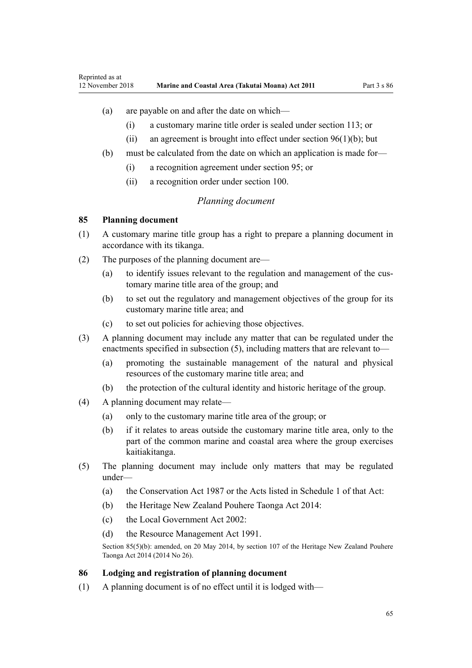## <span id="page-64-0"></span>(a) are payable on and after the date on which—

- (i) a customary marine title order is sealed under [section 113](#page-77-0); or
- (ii) an agreement is brought into effect under section  $96(1)(b)$ ; but
- (b) must be calculated from the date on which an application is made for—
	- (i) a recognition agreement under [section 95](#page-69-0); or
	- (ii) a recognition order under [section 100](#page-71-0).

#### *Planning document*

#### **85 Planning document**

- (1) A customary marine title group has a right to prepare a planning document in accordance with its tikanga.
- (2) The purposes of the planning document are—
	- (a) to identify issues relevant to the regulation and management of the customary marine title area of the group; and
	- (b) to set out the regulatory and management objectives of the group for its customary marine title area; and
	- (c) to set out policies for achieving those objectives.
- (3) A planning document may include any matter that can be regulated under the enactments specified in subsection (5), including matters that are relevant to—
	- (a) promoting the sustainable management of the natural and physical resources of the customary marine title area; and
	- (b) the protection of the cultural identity and historic heritage of the group.
- (4) A planning document may relate—
	- (a) only to the customary marine title area of the group; or
	- (b) if it relates to areas outside the customary marine title area, only to the part of the common marine and coastal area where the group exercises kaitiakitanga.
- (5) The planning document may include only matters that may be regulated under—
	- (a) the [Conservation Act 1987](http://legislation.govt.nz/pdflink.aspx?id=DLM103609) or the Acts listed in [Schedule 1](http://legislation.govt.nz/pdflink.aspx?id=DLM107200) of that Act:
	- (b) the [Heritage New Zealand Pouhere Taonga Act 2014:](http://legislation.govt.nz/pdflink.aspx?id=DLM4005402)
	- (c) the [Local Government Act 2002](http://legislation.govt.nz/pdflink.aspx?id=DLM170872):
	- (d) the [Resource Management Act 1991](http://legislation.govt.nz/pdflink.aspx?id=DLM230264).

Section 85(5)(b): amended, on 20 May 2014, by [section 107](http://legislation.govt.nz/pdflink.aspx?id=DLM4005646) of the Heritage New Zealand Pouhere Taonga Act 2014 (2014 No 26).

#### **86 Lodging and registration of planning document**

(1) A planning document is of no effect until it is lodged with—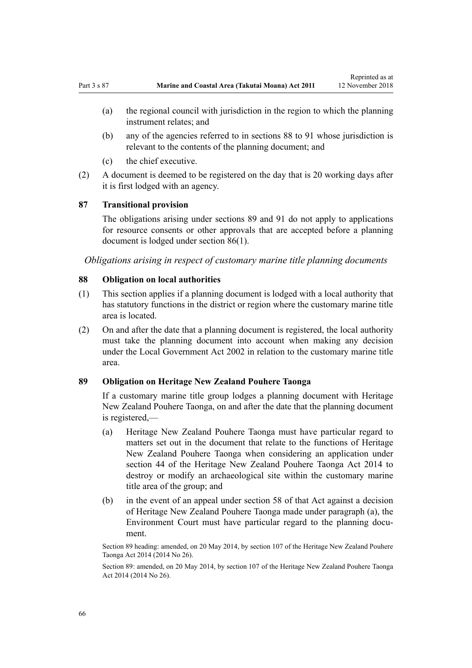- (a) the regional council with jurisdiction in the region to which the planning instrument relates; and
- (b) any of the agencies referred to in sections 88 to 91 whose jurisdiction is relevant to the contents of the planning document; and
- (c) the chief executive.
- (2) A document is deemed to be registered on the day that is 20 working days after it is first lodged with an agency.

## **87 Transitional provision**

The obligations arising under sections 89 and [91](#page-66-0) do not apply to applications for resource consents or other approvals that are accepted before a planning document is lodged under [section 86\(1\).](#page-64-0)

*Obligations arising in respect of customary marine title planning documents*

#### **88 Obligation on local authorities**

- (1) This section applies if a planning document is lodged with a local authority that has statutory functions in the district or region where the customary marine title area is located.
- (2) On and after the date that a planning document is registered, the local authority must take the planning document into account when making any decision under the [Local Government Act 2002](http://legislation.govt.nz/pdflink.aspx?id=DLM170872) in relation to the customary marine title area.

## **89 Obligation on Heritage New Zealand Pouhere Taonga**

If a customary marine title group lodges a planning document with Heritage New Zealand Pouhere Taonga, on and after the date that the planning document is registered,—

- (a) Heritage New Zealand Pouhere Taonga must have particular regard to matters set out in the document that relate to the functions of Heritage New Zealand Pouhere Taonga when considering an application under [section 44](http://legislation.govt.nz/pdflink.aspx?id=DLM4005562) of the Heritage New Zealand Pouhere Taonga Act 2014 to destroy or modify an archaeological site within the customary marine title area of the group; and
- (b) in the event of an appeal under [section 58](http://legislation.govt.nz/pdflink.aspx?id=DLM4005583) of that Act against a decision of Heritage New Zealand Pouhere Taonga made under paragraph (a), the Environment Court must have particular regard to the planning document.

Section 89 heading: amended, on 20 May 2014, by [section 107](http://legislation.govt.nz/pdflink.aspx?id=DLM4005646) of the Heritage New Zealand Pouhere Taonga Act 2014 (2014 No 26).

Section 89: amended, on 20 May 2014, by [section 107](http://legislation.govt.nz/pdflink.aspx?id=DLM4005646) of the Heritage New Zealand Pouhere Taonga Act 2014 (2014 No 26).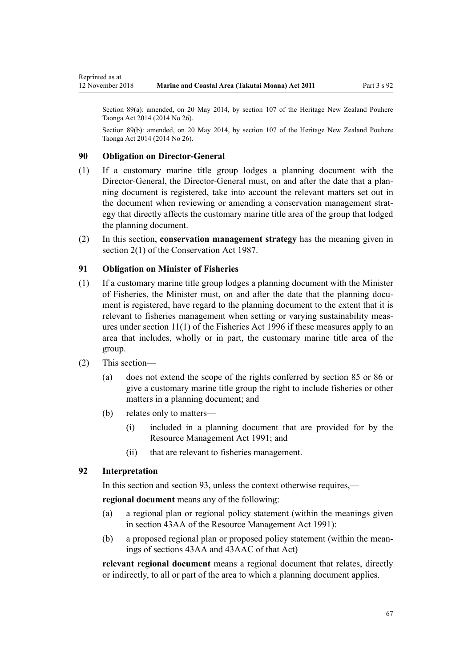<span id="page-66-0"></span>Section 89(a): amended, on 20 May 2014, by [section 107](http://legislation.govt.nz/pdflink.aspx?id=DLM4005646) of the Heritage New Zealand Pouhere Taonga Act 2014 (2014 No 26).

Section 89(b): amended, on 20 May 2014, by [section 107](http://legislation.govt.nz/pdflink.aspx?id=DLM4005646) of the Heritage New Zealand Pouhere Taonga Act 2014 (2014 No 26).

## **90 Obligation on Director-General**

- (1) If a customary marine title group lodges a planning document with the Director-General, the Director-General must, on and after the date that a planning document is registered, take into account the relevant matters set out in the document when reviewing or amending a conservation management strategy that directly affects the customary marine title area of the group that lodged the planning document.
- (2) In this section, **conservation management strategy** has the meaning given in [section 2\(1\)](http://legislation.govt.nz/pdflink.aspx?id=DLM103616) of the Conservation Act 1987.

# **91 Obligation on Minister of Fisheries**

- (1) If a customary marine title group lodges a planning document with the Minister of Fisheries, the Minister must, on and after the date that the planning document is registered, have regard to the planning document to the extent that it is relevant to fisheries management when setting or varying sustainability measures under [section 11\(1\)](http://legislation.govt.nz/pdflink.aspx?id=DLM395397) of the Fisheries Act 1996 if these measures apply to an area that includes, wholly or in part, the customary marine title area of the group.
- (2) This section—
	- (a) does not extend the scope of the rights conferred by [section 85](#page-64-0) or [86](#page-64-0) or give a customary marine title group the right to include fisheries or other matters in a planning document; and
	- (b) relates only to matters—
		- (i) included in a planning document that are provided for by the [Resource Management Act 1991](http://legislation.govt.nz/pdflink.aspx?id=DLM230264); and
		- (ii) that are relevant to fisheries management.

## **92 Interpretation**

In this section and section 93, unless the context otherwise requires,—

**regional document** means any of the following:

- (a) a regional plan or regional policy statement (within the meanings given in [section 43AA](http://legislation.govt.nz/pdflink.aspx?id=DLM2412743) of the Resource Management Act 1991):
- (b) a proposed regional plan or proposed policy statement (within the meanings of [sections 43AA](http://legislation.govt.nz/pdflink.aspx?id=DLM2412743) and [43AAC](http://legislation.govt.nz/pdflink.aspx?id=DLM2412769) of that Act)

**relevant regional document** means a regional document that relates, directly or indirectly, to all or part of the area to which a planning document applies.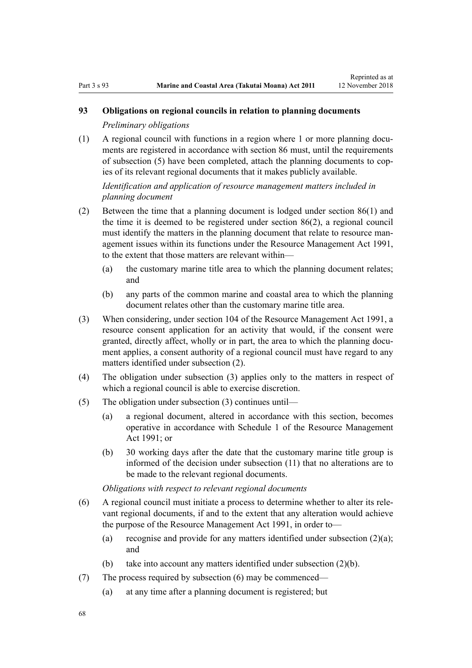# **93 Obligations on regional councils in relation to planning documents**

*Preliminary obligations*

(1) A regional council with functions in a region where 1 or more planning documents are registered in accordance with [section 86](#page-64-0) must, until the requirements of subsection (5) have been completed, attach the planning documents to copies of its relevant regional documents that it makes publicly available.

*Identification and application of resource management matters included in planning document*

- (2) Between the time that a planning document is lodged under [section 86\(1\)](#page-64-0) and the time it is deemed to be registered under section 86(2), a regional council must identify the matters in the planning document that relate to resource management issues within its functions under the [Resource Management Act 1991](http://legislation.govt.nz/pdflink.aspx?id=DLM230264), to the extent that those matters are relevant within—
	- (a) the customary marine title area to which the planning document relates; and
	- (b) any parts of the common marine and coastal area to which the planning document relates other than the customary marine title area.
- (3) When considering, under [section 104](http://legislation.govt.nz/pdflink.aspx?id=DLM234355) of the Resource Management Act 1991, a resource consent application for an activity that would, if the consent were granted, directly affect, wholly or in part, the area to which the planning document applies, a consent authority of a regional council must have regard to any matters identified under subsection (2).
- (4) The obligation under subsection (3) applies only to the matters in respect of which a regional council is able to exercise discretion.
- (5) The obligation under subsection (3) continues until—
	- (a) a regional document, altered in accordance with this section, becomes operative in accordance with [Schedule 1](http://legislation.govt.nz/pdflink.aspx?id=DLM240686) of the Resource Management Act 1991; or
	- (b) 30 working days after the date that the customary marine title group is informed of the decision under subsection (11) that no alterations are to be made to the relevant regional documents.

*Obligations with respect to relevant regional documents*

- (6) A regional council must initiate a process to determine whether to alter its relevant regional documents, if and to the extent that any alteration would achieve the purpose of the [Resource Management Act 1991,](http://legislation.govt.nz/pdflink.aspx?id=DLM230264) in order to—
	- (a) recognise and provide for any matters identified under subsection  $(2)(a)$ ; and
	- (b) take into account any matters identified under subsection (2)(b).
- (7) The process required by subsection (6) may be commenced—
	- (a) at any time after a planning document is registered; but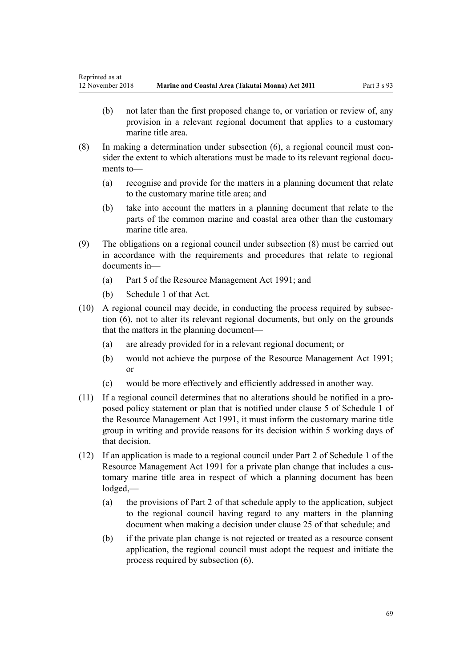- (b) not later than the first proposed change to, or variation or review of, any provision in a relevant regional document that applies to a customary marine title area.
- (8) In making a determination under subsection (6), a regional council must consider the extent to which alterations must be made to its relevant regional documents to—
	- (a) recognise and provide for the matters in a planning document that relate to the customary marine title area; and
	- (b) take into account the matters in a planning document that relate to the parts of the common marine and coastal area other than the customary marine title area.
- (9) The obligations on a regional council under subsection (8) must be carried out in accordance with the requirements and procedures that relate to regional documents in—
	- (a) [Part 5](http://legislation.govt.nz/pdflink.aspx?id=DLM233301) of the Resource Management Act 1991; and
	- (b) [Schedule 1](http://legislation.govt.nz/pdflink.aspx?id=DLM240686) of that Act.
- (10) A regional council may decide, in conducting the process required by subsection (6), not to alter its relevant regional documents, but only on the grounds that the matters in the planning document—
	- (a) are already provided for in a relevant regional document; or
	- (b) would not achieve the purpose of the [Resource Management Act 1991;](http://legislation.govt.nz/pdflink.aspx?id=DLM230264) or
	- (c) would be more effectively and efficiently addressed in another way.
- (11) If a regional council determines that no alterations should be notified in a proposed policy statement or plan that is notified under [clause 5](http://legislation.govt.nz/pdflink.aspx?id=DLM241213) of Schedule 1 of the Resource Management Act 1991, it must inform the customary marine title group in writing and provide reasons for its decision within 5 working days of that decision.
- (12) If an application is made to a regional council under [Part 2](http://legislation.govt.nz/pdflink.aspx?id=DLM241513) of Schedule 1 of the Resource Management Act 1991 for a private plan change that includes a customary marine title area in respect of which a planning document has been lodged,—
	- (a) the provisions of [Part 2](http://legislation.govt.nz/pdflink.aspx?id=DLM241513) of that schedule apply to the application, subject to the regional council having regard to any matters in the planning document when making a decision under [clause 25](http://legislation.govt.nz/pdflink.aspx?id=DLM241526) of that schedule; and
	- (b) if the private plan change is not rejected or treated as a resource consent application, the regional council must adopt the request and initiate the process required by subsection (6).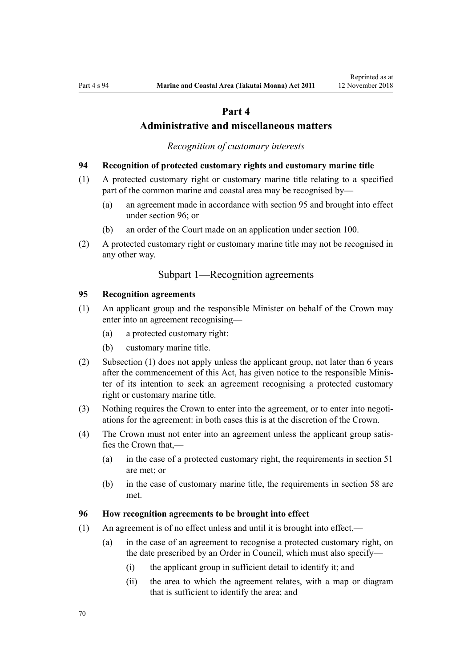# **Part 4**

# **Administrative and miscellaneous matters**

*Recognition of customary interests*

#### <span id="page-69-0"></span>**94 Recognition of protected customary rights and customary marine title**

- (1) A protected customary right or customary marine title relating to a specified part of the common marine and coastal area may be recognised by—
	- (a) an agreement made in accordance with section 95 and brought into effect under section 96; or
	- (b) an order of the Court made on an application under [section 100](#page-71-0).
- (2) A protected customary right or customary marine title may not be recognised in any other way.

# Subpart 1—Recognition agreements

#### **95 Recognition agreements**

- (1) An applicant group and the responsible Minister on behalf of the Crown may enter into an agreement recognising—
	- (a) a protected customary right:
	- (b) customary marine title.
- (2) Subsection (1) does not apply unless the applicant group, not later than 6 years after the commencement of this Act, has given notice to the responsible Minister of its intention to seek an agreement recognising a protected customary right or customary marine title.
- (3) Nothing requires the Crown to enter into the agreement, or to enter into negotiations for the agreement: in both cases this is at the discretion of the Crown.
- (4) The Crown must not enter into an agreement unless the applicant group satisfies the Crown that,—
	- (a) in the case of a protected customary right, the requirements in [section 51](#page-39-0) are met; or
	- (b) in the case of customary marine title, the requirements in [section 58](#page-44-0) are met.

#### **96 How recognition agreements to be brought into effect**

- (1) An agreement is of no effect unless and until it is brought into effect,—
	- (a) in the case of an agreement to recognise a protected customary right, on the date prescribed by an Order in Council, which must also specify—
		- (i) the applicant group in sufficient detail to identify it; and
		- (ii) the area to which the agreement relates, with a map or diagram that is sufficient to identify the area; and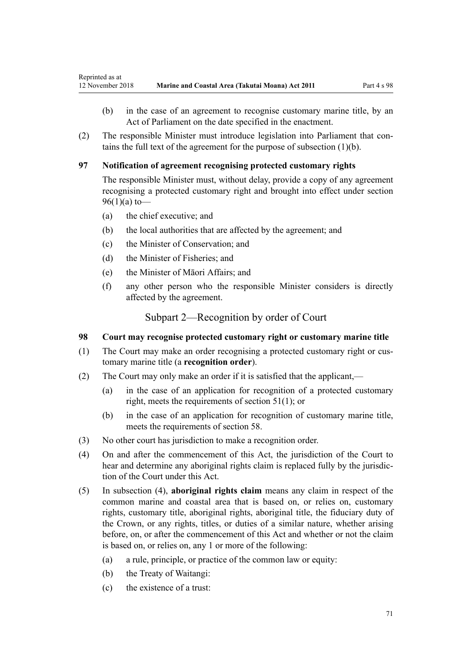- <span id="page-70-0"></span>(b) in the case of an agreement to recognise customary marine title, by an Act of Parliament on the date specified in the enactment.
- (2) The responsible Minister must introduce legislation into Parliament that contains the full text of the agreement for the purpose of subsection (1)(b).

# **97 Notification of agreement recognising protected customary rights**

The responsible Minister must, without delay, provide a copy of any agreement recognising a protected customary right and brought into effect under [section](#page-69-0) [96\(1\)\(a\)](#page-69-0) to-

- (a) the chief executive; and
- (b) the local authorities that are affected by the agreement; and
- (c) the Minister of Conservation; and
- (d) the Minister of Fisheries; and
- (e) the Minister of Māori Affairs; and
- (f) any other person who the responsible Minister considers is directly affected by the agreement.

Subpart 2—Recognition by order of Court

## **98 Court may recognise protected customary right or customary marine title**

- (1) The Court may make an order recognising a protected customary right or customary marine title (a **recognition order**).
- (2) The Court may only make an order if it is satisfied that the applicant,—
	- (a) in the case of an application for recognition of a protected customary right, meets the requirements of [section 51\(1\)](#page-39-0); or
	- (b) in the case of an application for recognition of customary marine title, meets the requirements of [section 58](#page-44-0).
- (3) No other court has jurisdiction to make a recognition order.
- (4) On and after the commencement of this Act, the jurisdiction of the Court to hear and determine any aboriginal rights claim is replaced fully by the jurisdiction of the Court under this Act.
- (5) In subsection (4), **aboriginal rights claim** means any claim in respect of the common marine and coastal area that is based on, or relies on, customary rights, customary title, aboriginal rights, aboriginal title, the fiduciary duty of the Crown, or any rights, titles, or duties of a similar nature, whether arising before, on, or after the commencement of this Act and whether or not the claim is based on, or relies on, any 1 or more of the following:
	- (a) a rule, principle, or practice of the common law or equity:
	- (b) the Treaty of Waitangi:
	- (c) the existence of a trust: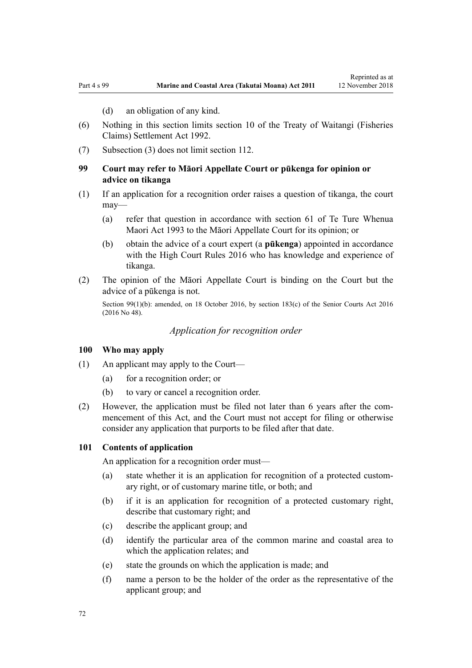(d) an obligation of any kind.

- <span id="page-71-0"></span>(6) Nothing in this section limits [section 10](http://legislation.govt.nz/pdflink.aspx?id=DLM281461) of the Treaty of Waitangi (Fisheries Claims) Settlement Act 1992.
- (7) Subsection (3) does not limit [section 112](#page-76-0).

## **99 Court may refer to Māori Appellate Court or pūkenga for opinion or advice on tikanga**

- (1) If an application for a recognition order raises a question of tikanga, the court may—
	- (a) refer that question in accordance with [section 61](http://legislation.govt.nz/pdflink.aspx?id=DLM290946) of Te Ture Whenua Maori Act 1993 to the Māori Appellate Court for its opinion; or
	- (b) obtain the advice of a court expert (a **pūkenga**) appointed in accordance with the [High Court Rules 2016](http://legislation.govt.nz/pdflink.aspx?id=DLM6959800) who has knowledge and experience of tikanga.
- (2) The opinion of the Māori Appellate Court is binding on the Court but the advice of a pūkenga is not.

Section 99(1)(b): amended, on 18 October 2016, by [section 183\(c\)](http://legislation.govt.nz/pdflink.aspx?id=DLM5759564) of the Senior Courts Act 2016 (2016 No 48).

*Application for recognition order*

#### **100 Who may apply**

- (1) An applicant may apply to the Court—
	- (a) for a recognition order; or
	- (b) to vary or cancel a recognition order.
- (2) However, the application must be filed not later than 6 years after the commencement of this Act, and the Court must not accept for filing or otherwise consider any application that purports to be filed after that date.

#### **101 Contents of application**

An application for a recognition order must—

- (a) state whether it is an application for recognition of a protected customary right, or of customary marine title, or both; and
- (b) if it is an application for recognition of a protected customary right, describe that customary right; and
- (c) describe the applicant group; and
- (d) identify the particular area of the common marine and coastal area to which the application relates; and
- (e) state the grounds on which the application is made; and
- (f) name a person to be the holder of the order as the representative of the applicant group; and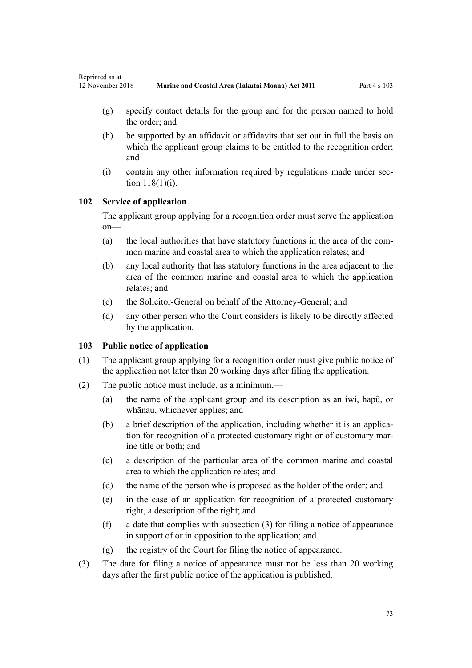- (g) specify contact details for the group and for the person named to hold the order; and
- (h) be supported by an affidavit or affidavits that set out in full the basis on which the applicant group claims to be entitled to the recognition order; and
- (i) contain any other information required by regulations made under [sec](#page-78-0)[tion 118\(1\)\(i\)](#page-78-0).

## **102 Service of application**

The applicant group applying for a recognition order must serve the application on—

- (a) the local authorities that have statutory functions in the area of the common marine and coastal area to which the application relates; and
- (b) any local authority that has statutory functions in the area adjacent to the area of the common marine and coastal area to which the application relates; and
- (c) the Solicitor-General on behalf of the Attorney-General; and
- (d) any other person who the Court considers is likely to be directly affected by the application.

## **103 Public notice of application**

- (1) The applicant group applying for a recognition order must give public notice of the application not later than 20 working days after filing the application.
- (2) The public notice must include, as a minimum,—
	- (a) the name of the applicant group and its description as an iwi, hapū, or whānau, whichever applies; and
	- (b) a brief description of the application, including whether it is an application for recognition of a protected customary right or of customary marine title or both; and
	- (c) a description of the particular area of the common marine and coastal area to which the application relates; and
	- (d) the name of the person who is proposed as the holder of the order; and
	- (e) in the case of an application for recognition of a protected customary right, a description of the right; and
	- (f) a date that complies with subsection (3) for filing a notice of appearance in support of or in opposition to the application; and
	- (g) the registry of the Court for filing the notice of appearance.
- (3) The date for filing a notice of appearance must not be less than 20 working days after the first public notice of the application is published.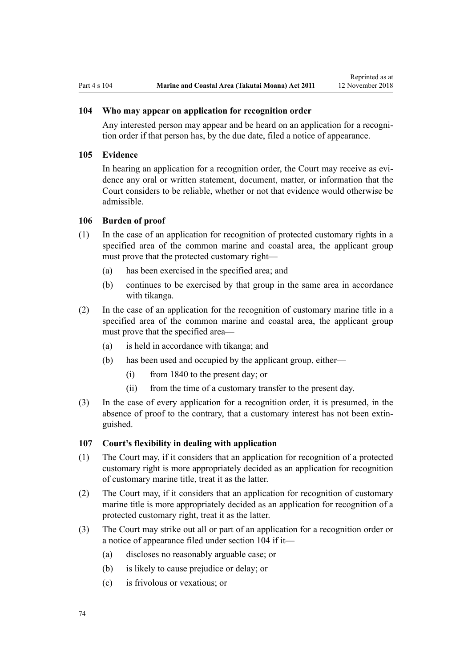### **104 Who may appear on application for recognition order**

Any interested person may appear and be heard on an application for a recognition order if that person has, by the due date, filed a notice of appearance.

#### **105 Evidence**

In hearing an application for a recognition order, the Court may receive as evidence any oral or written statement, document, matter, or information that the Court considers to be reliable, whether or not that evidence would otherwise be admissible.

#### **106 Burden of proof**

- (1) In the case of an application for recognition of protected customary rights in a specified area of the common marine and coastal area, the applicant group must prove that the protected customary right—
	- (a) has been exercised in the specified area; and
	- (b) continues to be exercised by that group in the same area in accordance with tikanga.
- (2) In the case of an application for the recognition of customary marine title in a specified area of the common marine and coastal area, the applicant group must prove that the specified area—
	- (a) is held in accordance with tikanga; and
	- (b) has been used and occupied by the applicant group, either—
		- (i) from 1840 to the present day; or
		- (ii) from the time of a customary transfer to the present day.
- (3) In the case of every application for a recognition order, it is presumed, in the absence of proof to the contrary, that a customary interest has not been extinguished.

#### **107 Court's flexibility in dealing with application**

- (1) The Court may, if it considers that an application for recognition of a protected customary right is more appropriately decided as an application for recognition of customary marine title, treat it as the latter.
- (2) The Court may, if it considers that an application for recognition of customary marine title is more appropriately decided as an application for recognition of a protected customary right, treat it as the latter.
- (3) The Court may strike out all or part of an application for a recognition order or a notice of appearance filed under section 104 if it—
	- (a) discloses no reasonably arguable case; or
	- (b) is likely to cause prejudice or delay; or
	- (c) is frivolous or vexatious; or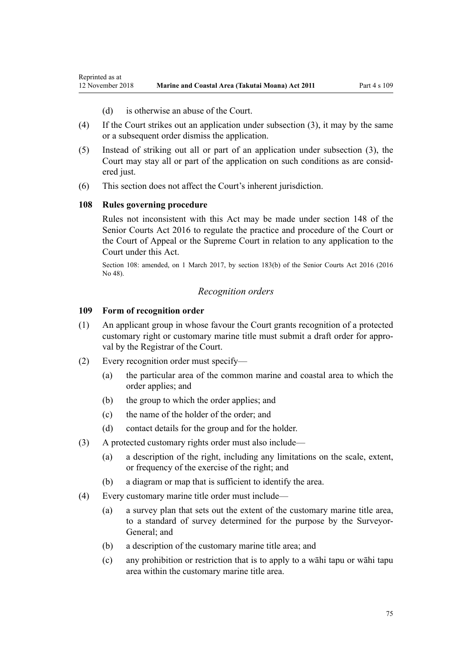- (d) is otherwise an abuse of the Court.
- <span id="page-74-0"></span>(4) If the Court strikes out an application under subsection (3), it may by the same or a subsequent order dismiss the application.
- (5) Instead of striking out all or part of an application under subsection (3), the Court may stay all or part of the application on such conditions as are considered just.
- (6) This section does not affect the Court's inherent jurisdiction.

## **108 Rules governing procedure**

Rules not inconsistent with this Act may be made under [section 148](http://legislation.govt.nz/pdflink.aspx?id=DLM5759504) of the Senior Courts Act 2016 to regulate the practice and procedure of the Court or the Court of Appeal or the Supreme Court in relation to any application to the Court under this Act.

Section 108: amended, on 1 March 2017, by [section 183\(b\)](http://legislation.govt.nz/pdflink.aspx?id=DLM5759564) of the Senior Courts Act 2016 (2016 No 48).

#### *Recognition orders*

#### **109 Form of recognition order**

- (1) An applicant group in whose favour the Court grants recognition of a protected customary right or customary marine title must submit a draft order for approval by the Registrar of the Court.
- (2) Every recognition order must specify—
	- (a) the particular area of the common marine and coastal area to which the order applies; and
	- (b) the group to which the order applies; and
	- (c) the name of the holder of the order; and
	- (d) contact details for the group and for the holder.
- (3) A protected customary rights order must also include—
	- (a) a description of the right, including any limitations on the scale, extent, or frequency of the exercise of the right; and
	- (b) a diagram or map that is sufficient to identify the area.
- (4) Every customary marine title order must include—
	- (a) a survey plan that sets out the extent of the customary marine title area, to a standard of survey determined for the purpose by the Surveyor-General; and
	- (b) a description of the customary marine title area; and
	- (c) any prohibition or restriction that is to apply to a wāhi tapu or wāhi tapu area within the customary marine title area.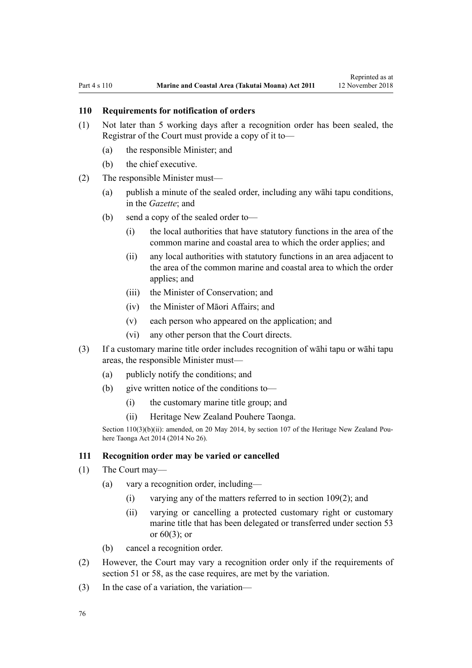## <span id="page-75-0"></span>**110 Requirements for notification of orders**

- (1) Not later than 5 working days after a recognition order has been sealed, the Registrar of the Court must provide a copy of it to—
	- (a) the responsible Minister; and
	- (b) the chief executive.
- (2) The responsible Minister must—
	- (a) publish a minute of the sealed order, including any wāhi tapu conditions, in the *Gazette*; and
	- (b) send a copy of the sealed order to—
		- (i) the local authorities that have statutory functions in the area of the common marine and coastal area to which the order applies; and
		- (ii) any local authorities with statutory functions in an area adjacent to the area of the common marine and coastal area to which the order applies; and
		- (iii) the Minister of Conservation; and
		- (iv) the Minister of Māori Affairs; and
		- (v) each person who appeared on the application; and
		- (vi) any other person that the Court directs.
- (3) If a customary marine title order includes recognition of wāhi tapu or wāhi tapu areas, the responsible Minister must—
	- (a) publicly notify the conditions; and
	- (b) give written notice of the conditions to—
		- (i) the customary marine title group; and
		- (ii) Heritage New Zealand Pouhere Taonga.

Section 110(3)(b)(ii): amended, on 20 May 2014, by [section 107](http://legislation.govt.nz/pdflink.aspx?id=DLM4005646) of the Heritage New Zealand Pouhere Taonga Act 2014 (2014 No 26).

#### **111 Recognition order may be varied or cancelled**

- (1) The Court may—
	- (a) vary a recognition order, including—
		- (i) varying any of the matters referred to in [section 109\(2\);](#page-74-0) and
		- (ii) varying or cancelling a protected customary right or customary marine title that has been delegated or transferred under [section 53](#page-41-0) or  $60(3)$ ; or
	- (b) cancel a recognition order.
- (2) However, the Court may vary a recognition order only if the requirements of [section 51](#page-39-0) or [58,](#page-44-0) as the case requires, are met by the variation.
- (3) In the case of a variation, the variation—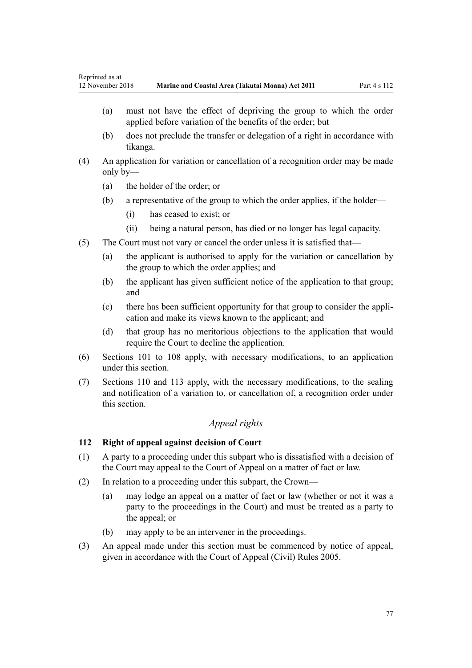- (a) must not have the effect of depriving the group to which the order applied before variation of the benefits of the order; but
- (b) does not preclude the transfer or delegation of a right in accordance with tikanga.
- (4) An application for variation or cancellation of a recognition order may be made only by—
	- (a) the holder of the order; or
	- (b) a representative of the group to which the order applies, if the holder—
		- (i) has ceased to exist; or
		- (ii) being a natural person, has died or no longer has legal capacity.
- (5) The Court must not vary or cancel the order unless it is satisfied that—
	- (a) the applicant is authorised to apply for the variation or cancellation by the group to which the order applies; and
	- (b) the applicant has given sufficient notice of the application to that group; and
	- (c) there has been sufficient opportunity for that group to consider the application and make its views known to the applicant; and
	- (d) that group has no meritorious objections to the application that would require the Court to decline the application.
- (6) [Sections 101 to 108](#page-71-0) apply, with necessary modifications, to an application under this section.
- (7) [Sections 110](#page-75-0) and [113](#page-77-0) apply, with the necessary modifications, to the sealing and notification of a variation to, or cancellation of, a recognition order under this section.

## *Appeal rights*

## **112 Right of appeal against decision of Court**

- (1) A party to a proceeding under this subpart who is dissatisfied with a decision of the Court may appeal to the Court of Appeal on a matter of fact or law.
- (2) In relation to a proceeding under this subpart, the Crown—
	- (a) may lodge an appeal on a matter of fact or law (whether or not it was a party to the proceedings in the Court) and must be treated as a party to the appeal; or
	- (b) may apply to be an intervener in the proceedings.
- (3) An appeal made under this section must be commenced by notice of appeal, given in accordance with the [Court of Appeal \(Civil\) Rules 2005](http://legislation.govt.nz/pdflink.aspx?id=DLM319745).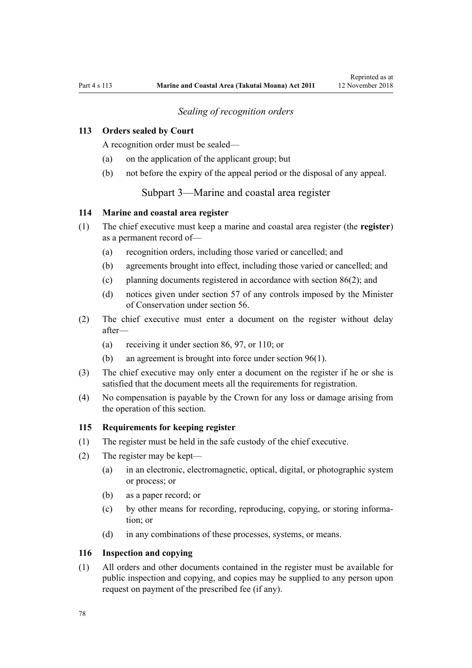## *Sealing of recognition orders*

## <span id="page-77-0"></span>**113 Orders sealed by Court**

A recognition order must be sealed—

- (a) on the application of the applicant group; but
- (b) not before the expiry of the appeal period or the disposal of any appeal.

Subpart 3—Marine and coastal area register

### **114 Marine and coastal area register**

- (1) The chief executive must keep a marine and coastal area register (the **register**) as a permanent record of—
	- (a) recognition orders, including those varied or cancelled; and
	- (b) agreements brought into effect, including those varied or cancelled; and
	- (c) planning documents registered in accordance with [section 86\(2\)](#page-64-0); and
	- (d) notices given under [section 57](#page-43-0) of any controls imposed by the Minister of Conservation under [section 56.](#page-43-0)
- (2) The chief executive must enter a document on the register without delay after—
	- (a) receiving it under [section 86](#page-64-0), [97](#page-70-0), or [110](#page-75-0); or
	- (b) an agreement is brought into force under [section 96\(1\).](#page-69-0)
- (3) The chief executive may only enter a document on the register if he or she is satisfied that the document meets all the requirements for registration.
- (4) No compensation is payable by the Crown for any loss or damage arising from the operation of this section.

#### **115 Requirements for keeping register**

- (1) The register must be held in the safe custody of the chief executive.
- (2) The register may be kept—
	- (a) in an electronic, electromagnetic, optical, digital, or photographic system or process; or
	- (b) as a paper record; or
	- (c) by other means for recording, reproducing, copying, or storing information; or
	- (d) in any combinations of these processes, systems, or means.

### **116 Inspection and copying**

(1) All orders and other documents contained in the register must be available for public inspection and copying, and copies may be supplied to any person upon request on payment of the prescribed fee (if any).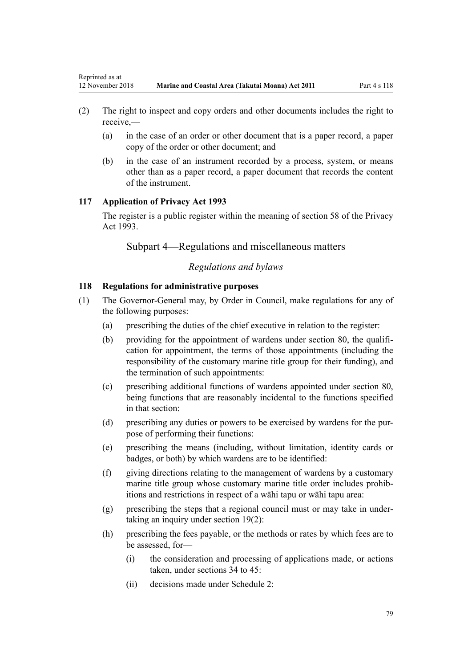- <span id="page-78-0"></span>(2) The right to inspect and copy orders and other documents includes the right to receive,—
	- (a) in the case of an order or other document that is a paper record, a paper copy of the order or other document; and
	- (b) in the case of an instrument recorded by a process, system, or means other than as a paper record, a paper document that records the content of the instrument.

## **117 Application of Privacy Act 1993**

The register is a public register within the meaning of [section 58](http://legislation.govt.nz/pdflink.aspx?id=DLM297424) of the Privacy Act 1993.

Subpart 4—Regulations and miscellaneous matters

## *Regulations and bylaws*

## **118 Regulations for administrative purposes**

- (1) The Governor-General may, by Order in Council, make regulations for any of the following purposes:
	- (a) prescribing the duties of the chief executive in relation to the register:
	- (b) providing for the appointment of wardens under [section 80,](#page-60-0) the qualification for appointment, the terms of those appointments (including the responsibility of the customary marine title group for their funding), and the termination of such appointments:
	- (c) prescribing additional functions of wardens appointed under [section 80](#page-60-0), being functions that are reasonably incidental to the functions specified in that section:
	- (d) prescribing any duties or powers to be exercised by wardens for the purpose of performing their functions:
	- (e) prescribing the means (including, without limitation, identity cards or badges, or both) by which wardens are to be identified:
	- (f) giving directions relating to the management of wardens by a customary marine title group whose customary marine title order includes prohibitions and restrictions in respect of a wāhi tapu or wāhi tapu area:
	- (g) prescribing the steps that a regional council must or may take in undertaking an inquiry under [section 19\(2\)](#page-20-0):
	- (h) prescribing the fees payable, or the methods or rates by which fees are to be assessed, for—
		- (i) the consideration and processing of applications made, or actions taken, under [sections 34 to 45:](#page-28-0)
		- (ii) decisions made under [Schedule 2:](#page-92-0)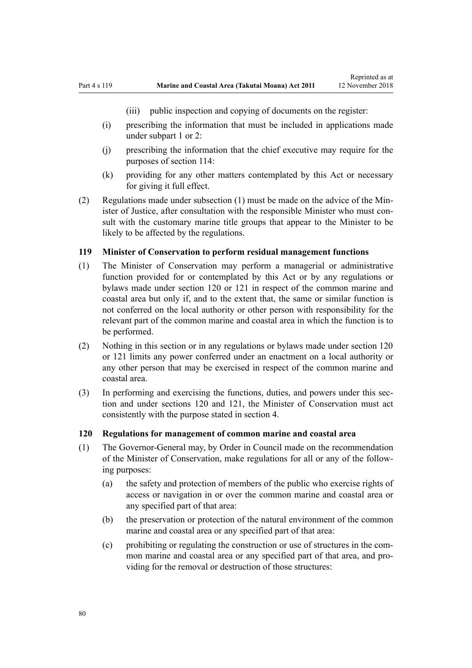Reprinted as at

(iii) public inspection and copying of documents on the register:

- <span id="page-79-0"></span>(i) prescribing the information that must be included in applications made under [subpart 1](#page-69-0) or [2:](#page-70-0)
- (j) prescribing the information that the chief executive may require for the purposes of [section 114:](#page-77-0)
- (k) providing for any other matters contemplated by this Act or necessary for giving it full effect.
- (2) Regulations made under subsection (1) must be made on the advice of the Minister of Justice, after consultation with the responsible Minister who must consult with the customary marine title groups that appear to the Minister to be likely to be affected by the regulations.

## **119 Minister of Conservation to perform residual management functions**

- (1) The Minister of Conservation may perform a managerial or administrative function provided for or contemplated by this Act or by any regulations or bylaws made under section 120 or [121](#page-80-0) in respect of the common marine and coastal area but only if, and to the extent that, the same or similar function is not conferred on the local authority or other person with responsibility for the relevant part of the common marine and coastal area in which the function is to be performed.
- (2) Nothing in this section or in any regulations or bylaws made under section 120 or [121](#page-80-0) limits any power conferred under an enactment on a local authority or any other person that may be exercised in respect of the common marine and coastal area.
- (3) In performing and exercising the functions, duties, and powers under this section and under sections 120 and [121,](#page-80-0) the Minister of Conservation must act consistently with the purpose stated in [section 4](#page-8-0).

#### **120 Regulations for management of common marine and coastal area**

- (1) The Governor-General may, by Order in Council made on the recommendation of the Minister of Conservation, make regulations for all or any of the following purposes:
	- (a) the safety and protection of members of the public who exercise rights of access or navigation in or over the common marine and coastal area or any specified part of that area:
	- (b) the preservation or protection of the natural environment of the common marine and coastal area or any specified part of that area:
	- (c) prohibiting or regulating the construction or use of structures in the common marine and coastal area or any specified part of that area, and providing for the removal or destruction of those structures: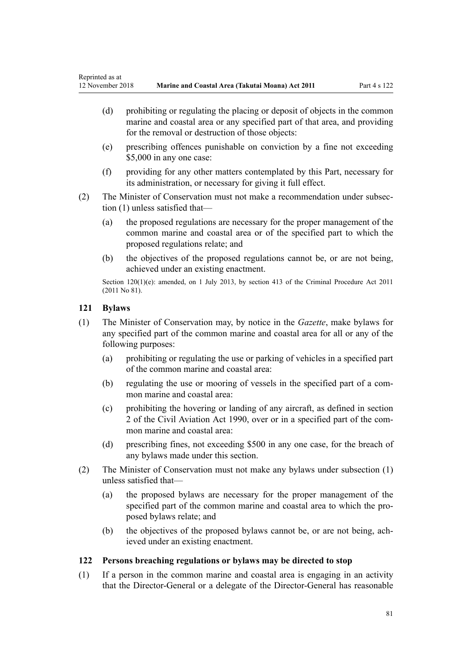- <span id="page-80-0"></span>(d) prohibiting or regulating the placing or deposit of objects in the common marine and coastal area or any specified part of that area, and providing for the removal or destruction of those objects:
- (e) prescribing offences punishable on conviction by a fine not exceeding \$5,000 in any one case:
- (f) providing for any other matters contemplated by this Part, necessary for its administration, or necessary for giving it full effect.
- (2) The Minister of Conservation must not make a recommendation under subsection (1) unless satisfied that—
	- (a) the proposed regulations are necessary for the proper management of the common marine and coastal area or of the specified part to which the proposed regulations relate; and
	- (b) the objectives of the proposed regulations cannot be, or are not being, achieved under an existing enactment.

Section 120(1)(e): amended, on 1 July 2013, by [section 413](http://legislation.govt.nz/pdflink.aspx?id=DLM3360714) of the Criminal Procedure Act 2011 (2011 No 81).

## **121 Bylaws**

- (1) The Minister of Conservation may, by notice in the *Gazette*, make bylaws for any specified part of the common marine and coastal area for all or any of the following purposes:
	- (a) prohibiting or regulating the use or parking of vehicles in a specified part of the common marine and coastal area:
	- (b) regulating the use or mooring of vessels in the specified part of a common marine and coastal area:
	- (c) prohibiting the hovering or landing of any aircraft, as defined in [section](http://legislation.govt.nz/pdflink.aspx?id=DLM214692) [2](http://legislation.govt.nz/pdflink.aspx?id=DLM214692) of the Civil Aviation Act 1990, over or in a specified part of the common marine and coastal area:
	- (d) prescribing fines, not exceeding \$500 in any one case, for the breach of any bylaws made under this section.
- (2) The Minister of Conservation must not make any bylaws under subsection (1) unless satisfied that—
	- (a) the proposed bylaws are necessary for the proper management of the specified part of the common marine and coastal area to which the proposed bylaws relate; and
	- (b) the objectives of the proposed bylaws cannot be, or are not being, achieved under an existing enactment.

## **122 Persons breaching regulations or bylaws may be directed to stop**

(1) If a person in the common marine and coastal area is engaging in an activity that the Director-General or a delegate of the Director-General has reasonable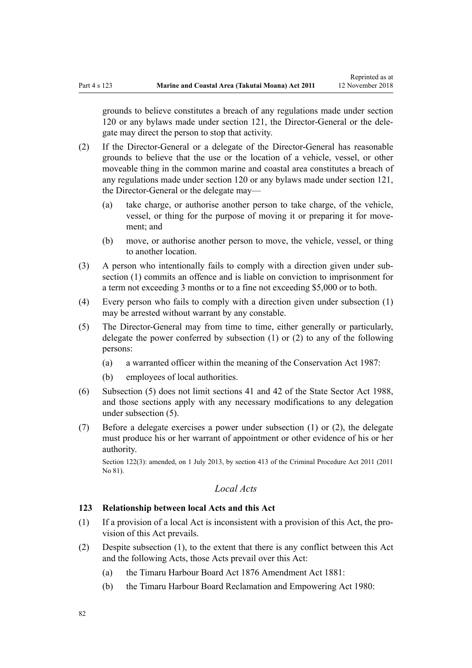Reprinted as at

grounds to believe constitutes a breach of any regulations made under [section](#page-79-0) [120](#page-79-0) or any bylaws made under [section 121](#page-80-0), the Director-General or the delegate may direct the person to stop that activity.

- (2) If the Director-General or a delegate of the Director-General has reasonable grounds to believe that the use or the location of a vehicle, vessel, or other moveable thing in the common marine and coastal area constitutes a breach of any regulations made under [section 120](#page-79-0) or any bylaws made under [section 121](#page-80-0), the Director-General or the delegate may—
	- (a) take charge, or authorise another person to take charge, of the vehicle, vessel, or thing for the purpose of moving it or preparing it for movement; and
	- (b) move, or authorise another person to move, the vehicle, vessel, or thing to another location.
- (3) A person who intentionally fails to comply with a direction given under subsection (1) commits an offence and is liable on conviction to imprisonment for a term not exceeding 3 months or to a fine not exceeding \$5,000 or to both.
- (4) Every person who fails to comply with a direction given under subsection (1) may be arrested without warrant by any constable.
- (5) The Director-General may from time to time, either generally or particularly, delegate the power conferred by subsection (1) or (2) to any of the following persons:
	- (a) a warranted officer within the meaning of the [Conservation Act 1987](http://legislation.govt.nz/pdflink.aspx?id=DLM103609):
	- (b) employees of local authorities.
- (6) Subsection (5) does not limit [sections 41](http://legislation.govt.nz/pdflink.aspx?id=DLM129566) and [42](http://legislation.govt.nz/pdflink.aspx?id=DLM129571) of the State Sector Act 1988, and those sections apply with any necessary modifications to any delegation under subsection (5).
- (7) Before a delegate exercises a power under subsection (1) or (2), the delegate must produce his or her warrant of appointment or other evidence of his or her authority.

Section 122(3): amended, on 1 July 2013, by [section 413](http://legislation.govt.nz/pdflink.aspx?id=DLM3360714) of the Criminal Procedure Act 2011 (2011) No 81).

## *Local Acts*

## **123 Relationship between local Acts and this Act**

- (1) If a provision of a local Act is inconsistent with a provision of this Act, the provision of this Act prevails.
- (2) Despite subsection (1), to the extent that there is any conflict between this Act and the following Acts, those Acts prevail over this Act:
	- (a) the [Timaru Harbour Board Act 1876 Amendment Act 1881](http://legislation.govt.nz/pdflink.aspx?id=DLM15371):
	- (b) the [Timaru Harbour Board Reclamation and Empowering Act 1980:](http://legislation.govt.nz/pdflink.aspx?id=DLM74774)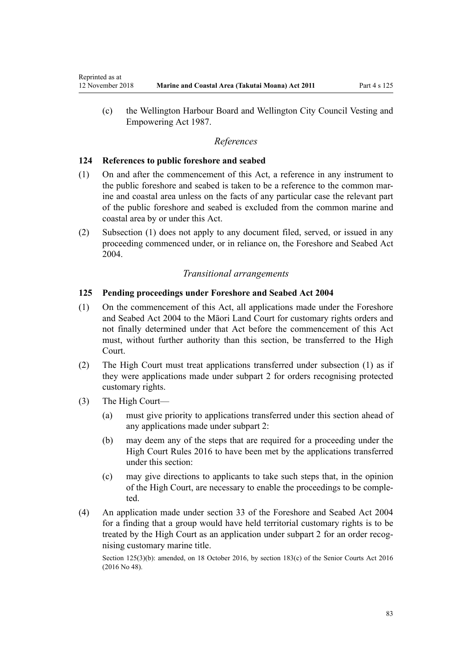(c) the [Wellington Harbour Board and Wellington City Council Vesting and](http://legislation.govt.nz/pdflink.aspx?id=DLM78106) [Empowering Act 1987.](http://legislation.govt.nz/pdflink.aspx?id=DLM78106)

## *References*

## **124 References to public foreshore and seabed**

- (1) On and after the commencement of this Act, a reference in any instrument to the public foreshore and seabed is taken to be a reference to the common marine and coastal area unless on the facts of any particular case the relevant part of the public foreshore and seabed is excluded from the common marine and coastal area by or under this Act.
- (2) Subsection (1) does not apply to any document filed, served, or issued in any proceeding commenced under, or in reliance on, the [Foreshore and Seabed Act](http://legislation.govt.nz/pdflink.aspx?id=DLM319838) [2004](http://legislation.govt.nz/pdflink.aspx?id=DLM319838).

## *Transitional arrangements*

## **125 Pending proceedings under Foreshore and Seabed Act 2004**

- (1) On the commencement of this Act, all applications made under the [Foreshore](http://legislation.govt.nz/pdflink.aspx?id=DLM319838) [and Seabed Act 2004](http://legislation.govt.nz/pdflink.aspx?id=DLM319838) to the Māori Land Court for customary rights orders and not finally determined under that Act before the commencement of this Act must, without further authority than this section, be transferred to the High Court.
- (2) The High Court must treat applications transferred under subsection (1) as if they were applications made under [subpart 2](#page-70-0) for orders recognising protected customary rights.
- (3) The High Court—
	- (a) must give priority to applications transferred under this section ahead of any applications made under [subpart 2](#page-70-0):
	- (b) may deem any of the steps that are required for a proceeding under the [High Court Rules 2016](http://legislation.govt.nz/pdflink.aspx?id=DLM6959800) to have been met by the applications transferred under this section:
	- (c) may give directions to applicants to take such steps that, in the opinion of the High Court, are necessary to enable the proceedings to be completed.
- (4) An application made under [section 33](http://legislation.govt.nz/pdflink.aspx?id=DLM320263) of the Foreshore and Seabed Act 2004 for a finding that a group would have held territorial customary rights is to be treated by the High Court as an application under [subpart 2](#page-70-0) for an order recognising customary marine title.

Section 125(3)(b): amended, on 18 October 2016, by [section 183\(c\)](http://legislation.govt.nz/pdflink.aspx?id=DLM5759564) of the Senior Courts Act 2016 (2016 No 48).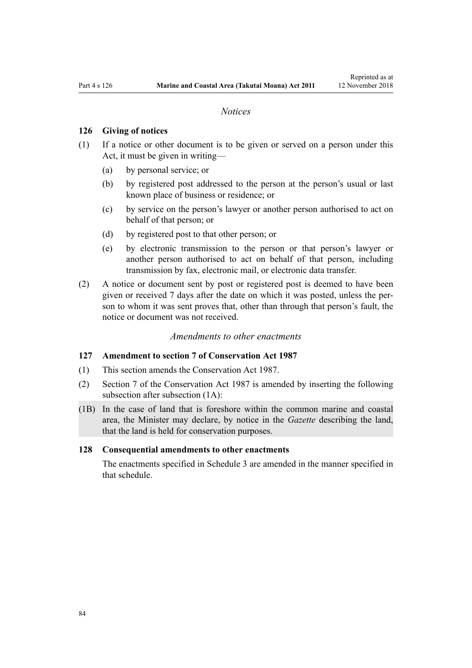#### *Notices*

### <span id="page-83-0"></span>**126 Giving of notices**

- (1) If a notice or other document is to be given or served on a person under this Act, it must be given in writing—
	- (a) by personal service; or
	- (b) by registered post addressed to the person at the person's usual or last known place of business or residence; or
	- (c) by service on the person's lawyer or another person authorised to act on behalf of that person; or
	- (d) by registered post to that other person; or
	- (e) by electronic transmission to the person or that person's lawyer or another person authorised to act on behalf of that person, including transmission by fax, electronic mail, or electronic data transfer.
- (2) A notice or document sent by post or registered post is deemed to have been given or received 7 days after the date on which it was posted, unless the person to whom it was sent proves that, other than through that person's fault, the notice or document was not received.

#### *Amendments to other enactments*

#### **127 Amendment to section 7 of Conservation Act 1987**

- (1) This section amends the [Conservation Act 1987.](http://legislation.govt.nz/pdflink.aspx?id=DLM103609)
- (2) [Section 7](http://legislation.govt.nz/pdflink.aspx?id=DLM104251) of the Conservation Act 1987 is amended by inserting the following subsection after subsection (1A):
- (1B) In the case of land that is foreshore within the common marine and coastal area, the Minister may declare, by notice in the *Gazette* describing the land, that the land is held for conservation purposes.

#### **128 Consequential amendments to other enactments**

The enactments specified in [Schedule 3 a](#page-98-0)re amended in the manner specified in that schedule.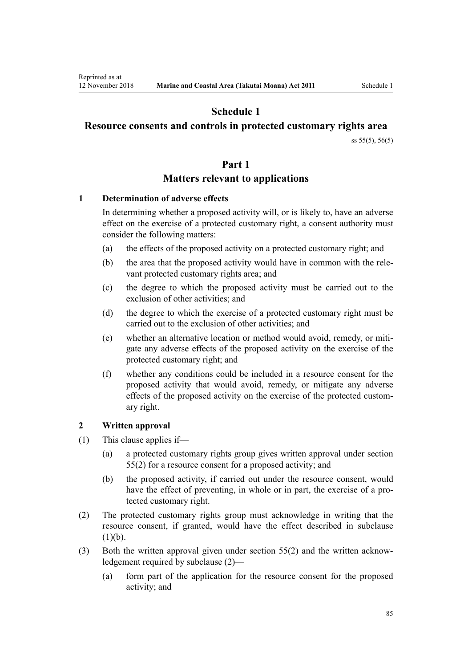# **Schedule 1**

## <span id="page-84-0"></span>**Resource consents and controls in protected customary rights area**

[ss 55\(5\)](#page-42-0), [56\(5\)](#page-43-0)

## **Part 1**

## **Matters relevant to applications**

## **1 Determination of adverse effects**

In determining whether a proposed activity will, or is likely to, have an adverse effect on the exercise of a protected customary right, a consent authority must consider the following matters:

- (a) the effects of the proposed activity on a protected customary right; and
- (b) the area that the proposed activity would have in common with the relevant protected customary rights area; and
- (c) the degree to which the proposed activity must be carried out to the exclusion of other activities; and
- (d) the degree to which the exercise of a protected customary right must be carried out to the exclusion of other activities; and
- (e) whether an alternative location or method would avoid, remedy, or mitigate any adverse effects of the proposed activity on the exercise of the protected customary right; and
- (f) whether any conditions could be included in a resource consent for the proposed activity that would avoid, remedy, or mitigate any adverse effects of the proposed activity on the exercise of the protected customary right.

## **2 Written approval**

- (1) This clause applies if—
	- (a) a protected customary rights group gives written approval under [section](#page-42-0) [55\(2\)](#page-42-0) for a resource consent for a proposed activity; and
	- (b) the proposed activity, if carried out under the resource consent, would have the effect of preventing, in whole or in part, the exercise of a protected customary right.
- (2) The protected customary rights group must acknowledge in writing that the resource consent, if granted, would have the effect described in subclause  $(1)(b)$ .
- (3) Both the written approval given under [section 55\(2\)](#page-42-0) and the written acknowledgement required by subclause (2)—
	- (a) form part of the application for the resource consent for the proposed activity; and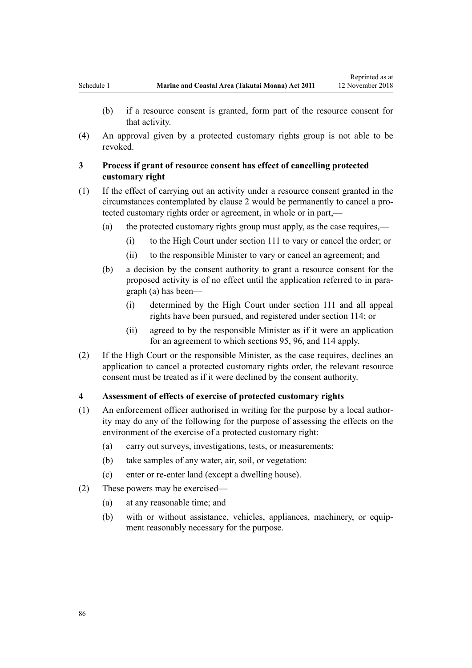- (b) if a resource consent is granted, form part of the resource consent for that activity.
- (4) An approval given by a protected customary rights group is not able to be revoked.

## **3 Process if grant of resource consent has effect of cancelling protected customary right**

- (1) If the effect of carrying out an activity under a resource consent granted in the circumstances contemplated by [clause 2](#page-84-0) would be permanently to cancel a protected customary rights order or agreement, in whole or in part,—
	- (a) the protected customary rights group must apply, as the case requires,—
		- (i) to the High Court under [section 111](#page-75-0) to vary or cancel the order; or
		- (ii) to the responsible Minister to vary or cancel an agreement; and
	- (b) a decision by the consent authority to grant a resource consent for the proposed activity is of no effect until the application referred to in paragraph (a) has been—
		- (i) determined by the High Court under [section 111](#page-75-0) and all appeal rights have been pursued, and registered under [section 114;](#page-77-0) or
		- (ii) agreed to by the responsible Minister as if it were an application for an agreement to which [sections 95](#page-69-0), [96](#page-69-0), and [114](#page-77-0) apply.
- (2) If the High Court or the responsible Minister, as the case requires, declines an application to cancel a protected customary rights order, the relevant resource consent must be treated as if it were declined by the consent authority.

## **4 Assessment of effects of exercise of protected customary rights**

- (1) An enforcement officer authorised in writing for the purpose by a local authority may do any of the following for the purpose of assessing the effects on the environment of the exercise of a protected customary right:
	- (a) carry out surveys, investigations, tests, or measurements:
	- (b) take samples of any water, air, soil, or vegetation:
	- (c) enter or re-enter land (except a dwelling house).
- (2) These powers may be exercised—
	- (a) at any reasonable time; and
	- (b) with or without assistance, vehicles, appliances, machinery, or equipment reasonably necessary for the purpose.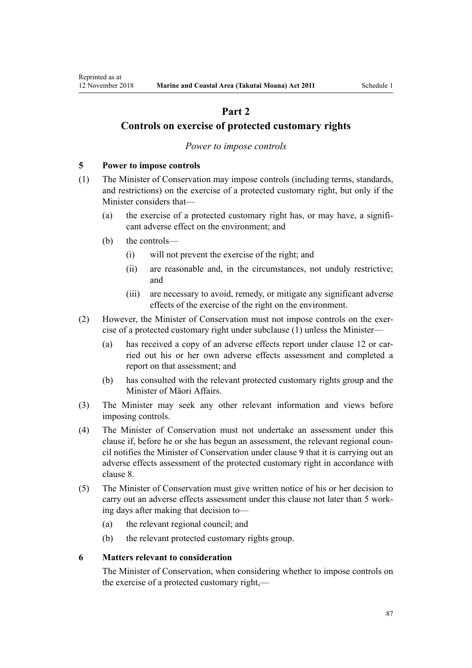# **Part 2**

## <span id="page-86-0"></span>**Controls on exercise of protected customary rights**

## *Power to impose controls*

## **5 Power to impose controls**

- (1) The Minister of Conservation may impose controls (including terms, standards, and restrictions) on the exercise of a protected customary right, but only if the Minister considers that—
	- (a) the exercise of a protected customary right has, or may have, a significant adverse effect on the environment; and
	- (b) the controls—
		- (i) will not prevent the exercise of the right; and
		- (ii) are reasonable and, in the circumstances, not unduly restrictive; and
		- (iii) are necessary to avoid, remedy, or mitigate any significant adverse effects of the exercise of the right on the environment.
- (2) However, the Minister of Conservation must not impose controls on the exercise of a protected customary right under subclause (1) unless the Minister—
	- (a) has received a copy of an adverse effects report under [clause 12](#page-90-0) or carried out his or her own adverse effects assessment and completed a report on that assessment; and
	- (b) has consulted with the relevant protected customary rights group and the Minister of Māori Affairs.
- (3) The Minister may seek any other relevant information and views before imposing controls.
- (4) The Minister of Conservation must not undertake an assessment under this clause if, before he or she has begun an assessment, the relevant regional council notifies the Minister of Conservation under [clause 9](#page-88-0) that it is carrying out an adverse effects assessment of the protected customary right in accordance with [clause 8.](#page-87-0)
- (5) The Minister of Conservation must give written notice of his or her decision to carry out an adverse effects assessment under this clause not later than 5 working days after making that decision to—
	- (a) the relevant regional council; and
	- (b) the relevant protected customary rights group.

#### **6 Matters relevant to consideration**

The Minister of Conservation, when considering whether to impose controls on the exercise of a protected customary right,—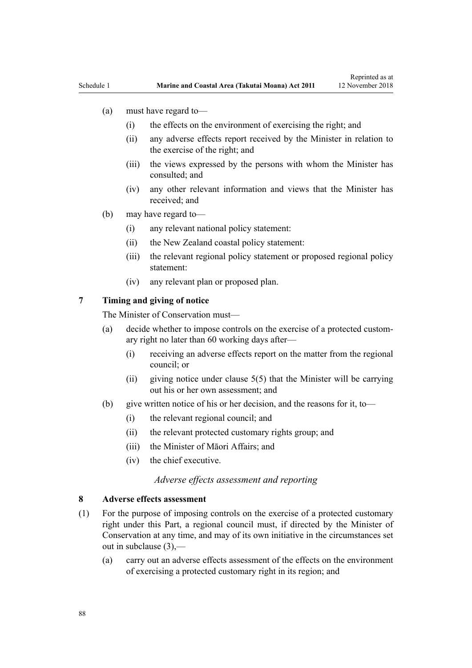- <span id="page-87-0"></span>(a) must have regard to—
	- (i) the effects on the environment of exercising the right; and
	- (ii) any adverse effects report received by the Minister in relation to the exercise of the right; and
	- (iii) the views expressed by the persons with whom the Minister has consulted; and
	- (iv) any other relevant information and views that the Minister has received; and
- (b) may have regard to—
	- (i) any relevant national policy statement:
	- (ii) the New Zealand coastal policy statement:
	- (iii) the relevant regional policy statement or proposed regional policy statement:
	- (iv) any relevant plan or proposed plan.

## **7 Timing and giving of notice**

The Minister of Conservation must—

- (a) decide whether to impose controls on the exercise of a protected customary right no later than 60 working days after—
	- (i) receiving an adverse effects report on the matter from the regional council; or
	- (ii) giving notice under clause  $5(5)$  that the Minister will be carrying out his or her own assessment; and
- (b) give written notice of his or her decision, and the reasons for it, to—
	- (i) the relevant regional council; and
	- (ii) the relevant protected customary rights group; and
	- (iii) the Minister of Māori Affairs; and
	- (iv) the chief executive.

### *Adverse effects assessment and reporting*

## **8 Adverse effects assessment**

- (1) For the purpose of imposing controls on the exercise of a protected customary right under this Part, a regional council must, if directed by the Minister of Conservation at any time, and may of its own initiative in the circumstances set out in subclause (3),—
	- (a) carry out an adverse effects assessment of the effects on the environment of exercising a protected customary right in its region; and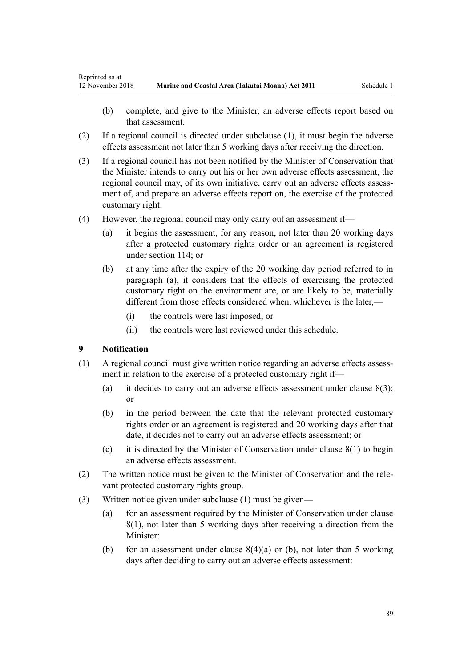- <span id="page-88-0"></span>(b) complete, and give to the Minister, an adverse effects report based on that assessment.
- (2) If a regional council is directed under subclause (1), it must begin the adverse effects assessment not later than 5 working days after receiving the direction.
- (3) If a regional council has not been notified by the Minister of Conservation that the Minister intends to carry out his or her own adverse effects assessment, the regional council may, of its own initiative, carry out an adverse effects assessment of, and prepare an adverse effects report on, the exercise of the protected customary right.
- (4) However, the regional council may only carry out an assessment if—
	- (a) it begins the assessment, for any reason, not later than 20 working days after a protected customary rights order or an agreement is registered under [section 114;](#page-77-0) or
	- (b) at any time after the expiry of the 20 working day period referred to in paragraph (a), it considers that the effects of exercising the protected customary right on the environment are, or are likely to be, materially different from those effects considered when, whichever is the later,—
		- (i) the controls were last imposed; or
		- (ii) the controls were last reviewed under this schedule.

## **9 Notification**

- (1) A regional council must give written notice regarding an adverse effects assessment in relation to the exercise of a protected customary right if—
	- (a) it decides to carry out an adverse effects assessment under clause  $8(3)$ ; or
	- (b) in the period between the date that the relevant protected customary rights order or an agreement is registered and 20 working days after that date, it decides not to carry out an adverse effects assessment; or
	- (c) it is directed by the Minister of Conservation under [clause 8\(1\)](#page-87-0) to begin an adverse effects assessment.
- (2) The written notice must be given to the Minister of Conservation and the relevant protected customary rights group.
- (3) Written notice given under subclause (1) must be given—
	- (a) for an assessment required by the Minister of Conservation under [clause](#page-87-0) [8\(1\)](#page-87-0), not later than 5 working days after receiving a direction from the Minister:
	- (b) for an assessment under clause  $8(4)(a)$  or (b), not later than 5 working days after deciding to carry out an adverse effects assessment: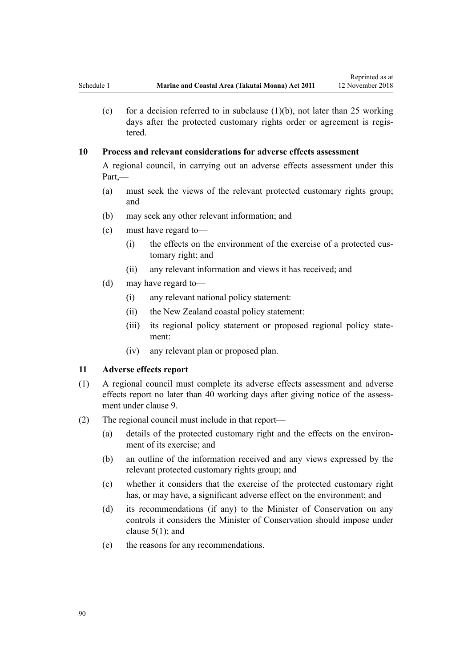(c) for a decision referred to in subclause  $(1)(b)$ , not later than 25 working days after the protected customary rights order or agreement is registered.

## **10 Process and relevant considerations for adverse effects assessment**

A regional council, in carrying out an adverse effects assessment under this Part,—

- (a) must seek the views of the relevant protected customary rights group; and
- (b) may seek any other relevant information; and
- (c) must have regard to—
	- (i) the effects on the environment of the exercise of a protected customary right; and
	- (ii) any relevant information and views it has received; and
- (d) may have regard to—
	- (i) any relevant national policy statement:
	- (ii) the New Zealand coastal policy statement:
	- (iii) its regional policy statement or proposed regional policy statement:
	- (iv) any relevant plan or proposed plan.

## **11 Adverse effects report**

- (1) A regional council must complete its adverse effects assessment and adverse effects report no later than 40 working days after giving notice of the assessment under [clause 9](#page-88-0).
- (2) The regional council must include in that report—
	- (a) details of the protected customary right and the effects on the environment of its exercise; and
	- (b) an outline of the information received and any views expressed by the relevant protected customary rights group; and
	- (c) whether it considers that the exercise of the protected customary right has, or may have, a significant adverse effect on the environment; and
	- (d) its recommendations (if any) to the Minister of Conservation on any controls it considers the Minister of Conservation should impose under clause  $5(1)$ ; and
	- (e) the reasons for any recommendations.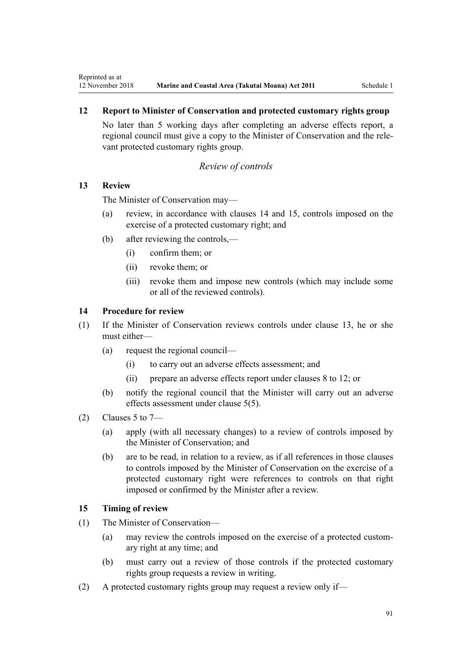## <span id="page-90-0"></span>**12 Report to Minister of Conservation and protected customary rights group**

No later than 5 working days after completing an adverse effects report, a regional council must give a copy to the Minister of Conservation and the relevant protected customary rights group.

## *Review of controls*

## **13 Review**

The Minister of Conservation may—

- (a) review, in accordance with clauses 14 and 15, controls imposed on the exercise of a protected customary right; and
- (b) after reviewing the controls,—
	- (i) confirm them; or
	- (ii) revoke them; or
	- (iii) revoke them and impose new controls (which may include some or all of the reviewed controls).

## **14 Procedure for review**

- (1) If the Minister of Conservation reviews controls under clause 13, he or she must either—
	- (a) request the regional council—
		- (i) to carry out an adverse effects assessment; and
		- (ii) prepare an adverse effects report under [clauses 8 to 12](#page-87-0); or
	- (b) notify the regional council that the Minister will carry out an adverse effects assessment under [clause 5\(5\)](#page-86-0).
- (2) Clauses 5 to  $7-$ 
	- (a) apply (with all necessary changes) to a review of controls imposed by the Minister of Conservation; and
	- (b) are to be read, in relation to a review, as if all references in those clauses to controls imposed by the Minister of Conservation on the exercise of a protected customary right were references to controls on that right imposed or confirmed by the Minister after a review.

## **15 Timing of review**

- (1) The Minister of Conservation—
	- (a) may review the controls imposed on the exercise of a protected customary right at any time; and
	- (b) must carry out a review of those controls if the protected customary rights group requests a review in writing.
- (2) A protected customary rights group may request a review only if—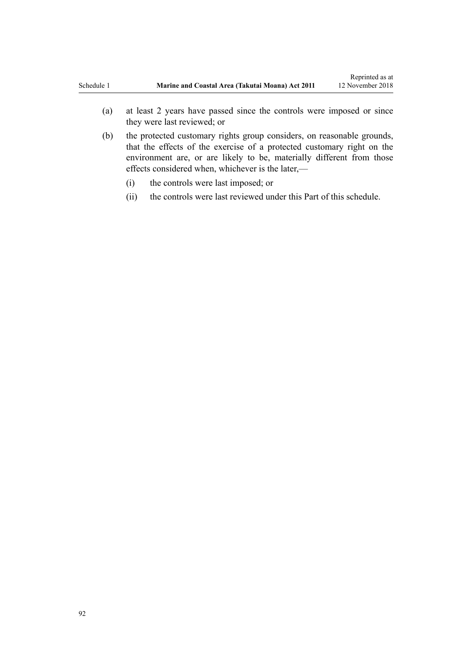- (a) at least 2 years have passed since the controls were imposed or since they were last reviewed; or
- (b) the protected customary rights group considers, on reasonable grounds, that the effects of the exercise of a protected customary right on the environment are, or are likely to be, materially different from those effects considered when, whichever is the later,—
	- (i) the controls were last imposed; or
	- (ii) the controls were last reviewed under this Part of this schedule.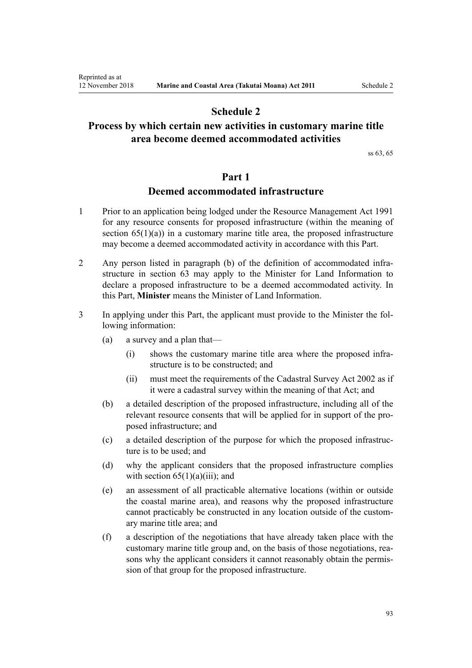# **Schedule 2**

# <span id="page-92-0"></span>**Process by which certain new activities in customary marine title area become deemed accommodated activities**

[ss 63,](#page-48-0) [65](#page-51-0)

## **Part 1**

## **Deemed accommodated infrastructure**

- 1 Prior to an application being lodged under the [Resource Management Act 1991](http://legislation.govt.nz/pdflink.aspx?id=DLM230264) for any resource consents for proposed infrastructure (within the meaning of section  $65(1)(a)$  in a customary marine title area, the proposed infrastructure may become a deemed accommodated activity in accordance with this Part.
- 2 Any person listed in paragraph (b) of the definition of accommodated infrastructure in [section 63](#page-48-0) may apply to the Minister for Land Information to declare a proposed infrastructure to be a deemed accommodated activity. In this Part, **Minister** means the Minister of Land Information.
- 3 In applying under this Part, the applicant must provide to the Minister the following information:
	- (a) a survey and a plan that—
		- (i) shows the customary marine title area where the proposed infrastructure is to be constructed; and
		- (ii) must meet the requirements of the [Cadastral Survey Act 2002](http://legislation.govt.nz/pdflink.aspx?id=DLM141994) as if it were a cadastral survey within the meaning of that Act; and
	- (b) a detailed description of the proposed infrastructure, including all of the relevant resource consents that will be applied for in support of the proposed infrastructure; and
	- (c) a detailed description of the purpose for which the proposed infrastructure is to be used; and
	- (d) why the applicant considers that the proposed infrastructure complies with section  $65(1)(a)(iii)$ ; and
	- (e) an assessment of all practicable alternative locations (within or outside the coastal marine area), and reasons why the proposed infrastructure cannot practicably be constructed in any location outside of the customary marine title area; and
	- (f) a description of the negotiations that have already taken place with the customary marine title group and, on the basis of those negotiations, reasons why the applicant considers it cannot reasonably obtain the permission of that group for the proposed infrastructure.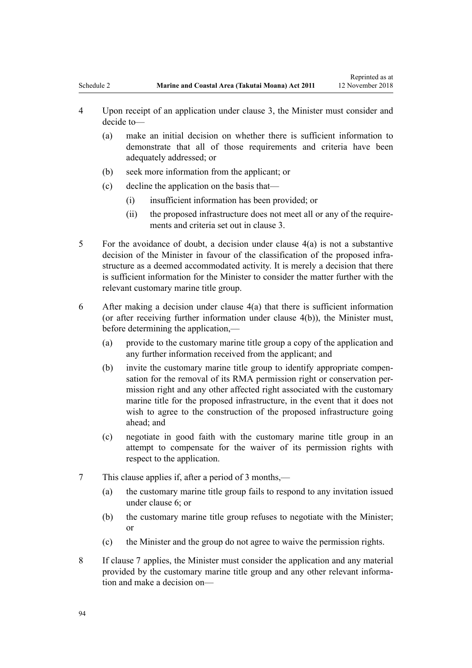Reprinted as at

- <span id="page-93-0"></span>4 Upon receipt of an application under clause 3, the Minister must consider and decide to—
	- (a) make an initial decision on whether there is sufficient information to demonstrate that all of those requirements and criteria have been adequately addressed; or
	- (b) seek more information from the applicant; or
	- (c) decline the application on the basis that—
		- (i) insufficient information has been provided; or
		- (ii) the proposed infrastructure does not meet all or any of the requirements and criteria set out in [clause 3.](#page-92-0)
- 5 For the avoidance of doubt, a decision under clause 4(a) is not a substantive decision of the Minister in favour of the classification of the proposed infrastructure as a deemed accommodated activity. It is merely a decision that there is sufficient information for the Minister to consider the matter further with the relevant customary marine title group.
- 6 After making a decision under clause 4(a) that there is sufficient information (or after receiving further information under clause 4(b)), the Minister must, before determining the application,—
	- (a) provide to the customary marine title group a copy of the application and any further information received from the applicant; and
	- (b) invite the customary marine title group to identify appropriate compensation for the removal of its RMA permission right or conservation permission right and any other affected right associated with the customary marine title for the proposed infrastructure, in the event that it does not wish to agree to the construction of the proposed infrastructure going ahead; and
	- (c) negotiate in good faith with the customary marine title group in an attempt to compensate for the waiver of its permission rights with respect to the application.
- 7 This clause applies if, after a period of 3 months,—
	- (a) the customary marine title group fails to respond to any invitation issued under clause 6; or
	- (b) the customary marine title group refuses to negotiate with the Minister; or
	- (c) the Minister and the group do not agree to waive the permission rights.
- 8 If clause 7 applies, the Minister must consider the application and any material provided by the customary marine title group and any other relevant information and make a decision on—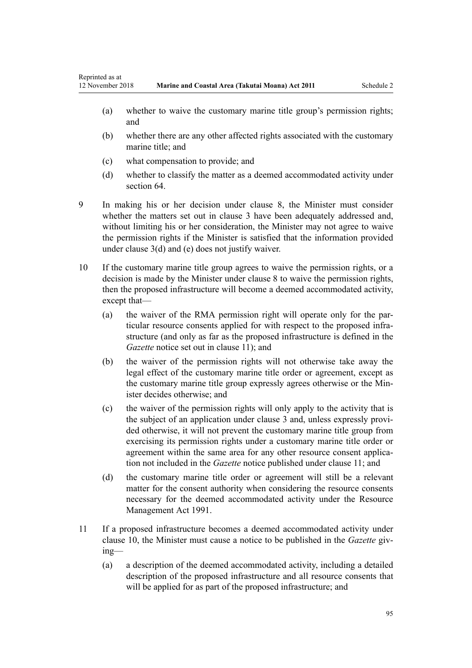- (a) whether to waive the customary marine title group's permission rights; and
- (b) whether there are any other affected rights associated with the customary marine title; and
- (c) what compensation to provide; and
- (d) whether to classify the matter as a deemed accommodated activity under [section 64](#page-50-0).

9 In making his or her decision under [clause 8,](#page-93-0) the Minister must consider whether the matters set out in [clause 3](#page-92-0) have been adequately addressed and, without limiting his or her consideration, the Minister may not agree to waive the permission rights if the Minister is satisfied that the information provided under [clause 3\(d\) and \(e\)](#page-92-0) does not justify waiver.

- 10 If the customary marine title group agrees to waive the permission rights, or a decision is made by the Minister under [clause 8](#page-93-0) to waive the permission rights, then the proposed infrastructure will become a deemed accommodated activity, except that—
	- (a) the waiver of the RMA permission right will operate only for the particular resource consents applied for with respect to the proposed infrastructure (and only as far as the proposed infrastructure is defined in the *Gazette* notice set out in clause 11); and
	- (b) the waiver of the permission rights will not otherwise take away the legal effect of the customary marine title order or agreement, except as the customary marine title group expressly agrees otherwise or the Minister decides otherwise; and
	- (c) the waiver of the permission rights will only apply to the activity that is the subject of an application under [clause 3](#page-92-0) and, unless expressly provided otherwise, it will not prevent the customary marine title group from exercising its permission rights under a customary marine title order or agreement within the same area for any other resource consent application not included in the *Gazette* notice published under clause 11; and
	- (d) the customary marine title order or agreement will still be a relevant matter for the consent authority when considering the resource consents necessary for the deemed accommodated activity under the [Resource](http://legislation.govt.nz/pdflink.aspx?id=DLM230264) [Management Act 1991.](http://legislation.govt.nz/pdflink.aspx?id=DLM230264)
- 11 If a proposed infrastructure becomes a deemed accommodated activity under clause 10, the Minister must cause a notice to be published in the *Gazette* giving—
	- (a) a description of the deemed accommodated activity, including a detailed description of the proposed infrastructure and all resource consents that will be applied for as part of the proposed infrastructure; and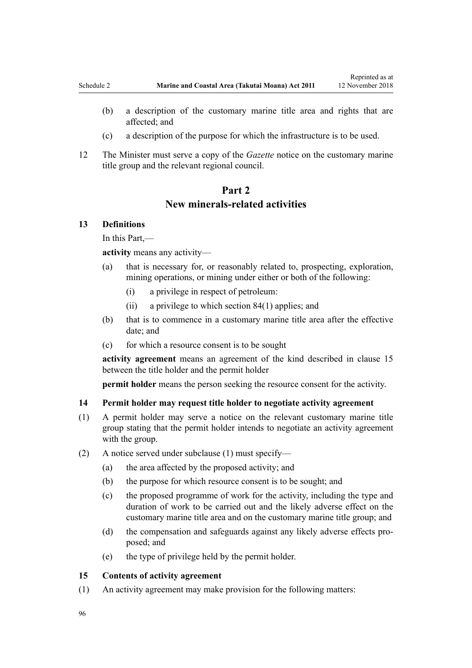- <span id="page-95-0"></span>(b) a description of the customary marine title area and rights that are affected; and
- (c) a description of the purpose for which the infrastructure is to be used.
- 12 The Minister must serve a copy of the *Gazette* notice on the customary marine title group and the relevant regional council.

# **Part 2 New minerals-related activities**

## **13 Definitions**

In this Part,—

**activity** means any activity—

- (a) that is necessary for, or reasonably related to, prospecting, exploration, mining operations, or mining under either or both of the following:
	- (i) a privilege in respect of petroleum:
	- (ii) a privilege to which [section 84\(1\)](#page-63-0) applies; and
- (b) that is to commence in a customary marine title area after the effective date; and
- (c) for which a resource consent is to be sought

**activity agreement** means an agreement of the kind described in clause 15 between the title holder and the permit holder

**permit holder** means the person seeking the resource consent for the activity.

#### **14 Permit holder may request title holder to negotiate activity agreement**

- (1) A permit holder may serve a notice on the relevant customary marine title group stating that the permit holder intends to negotiate an activity agreement with the group.
- (2) A notice served under subclause (1) must specify—
	- (a) the area affected by the proposed activity; and
	- (b) the purpose for which resource consent is to be sought; and
	- (c) the proposed programme of work for the activity, including the type and duration of work to be carried out and the likely adverse effect on the customary marine title area and on the customary marine title group; and
	- (d) the compensation and safeguards against any likely adverse effects proposed; and
	- (e) the type of privilege held by the permit holder.

## **15 Contents of activity agreement**

(1) An activity agreement may make provision for the following matters: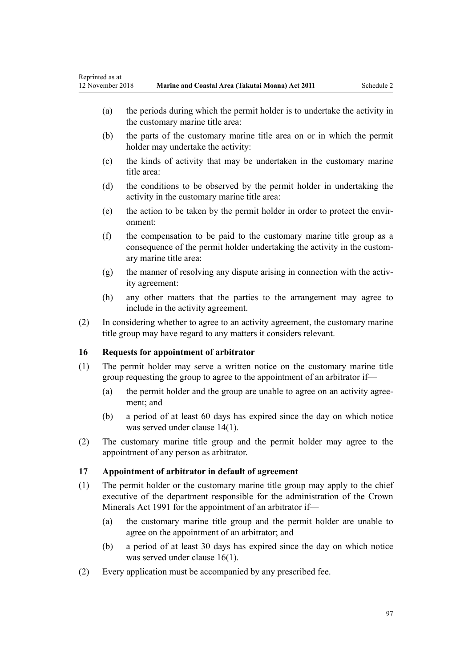- <span id="page-96-0"></span>(a) the periods during which the permit holder is to undertake the activity in the customary marine title area:
- (b) the parts of the customary marine title area on or in which the permit holder may undertake the activity:
- (c) the kinds of activity that may be undertaken in the customary marine title area:
- (d) the conditions to be observed by the permit holder in undertaking the activity in the customary marine title area:
- (e) the action to be taken by the permit holder in order to protect the environment:
- (f) the compensation to be paid to the customary marine title group as a consequence of the permit holder undertaking the activity in the customary marine title area:
- (g) the manner of resolving any dispute arising in connection with the activity agreement:
- (h) any other matters that the parties to the arrangement may agree to include in the activity agreement.
- (2) In considering whether to agree to an activity agreement, the customary marine title group may have regard to any matters it considers relevant.

## **16 Requests for appointment of arbitrator**

- (1) The permit holder may serve a written notice on the customary marine title group requesting the group to agree to the appointment of an arbitrator if—
	- (a) the permit holder and the group are unable to agree on an activity agreement; and
	- (b) a period of at least 60 days has expired since the day on which notice was served under [clause 14\(1\)](#page-95-0).
- (2) The customary marine title group and the permit holder may agree to the appointment of any person as arbitrator.

## **17 Appointment of arbitrator in default of agreement**

- (1) The permit holder or the customary marine title group may apply to the chief executive of the department responsible for the administration of the [Crown](http://legislation.govt.nz/pdflink.aspx?id=DLM242535) [Minerals Act 1991](http://legislation.govt.nz/pdflink.aspx?id=DLM242535) for the appointment of an arbitrator if—
	- (a) the customary marine title group and the permit holder are unable to agree on the appointment of an arbitrator; and
	- (b) a period of at least 30 days has expired since the day on which notice was served under clause 16(1).
- (2) Every application must be accompanied by any prescribed fee.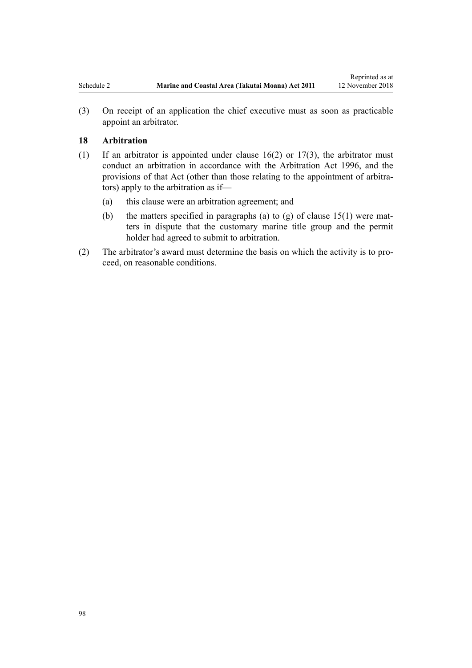(3) On receipt of an application the chief executive must as soon as practicable appoint an arbitrator.

## **18 Arbitration**

- (1) If an arbitrator is appointed under [clause 16\(2\)](#page-96-0) or [17\(3\),](#page-96-0) the arbitrator must conduct an arbitration in accordance with the [Arbitration Act 1996](http://legislation.govt.nz/pdflink.aspx?id=DLM403276), and the provisions of that Act (other than those relating to the appointment of arbitrators) apply to the arbitration as if—
	- (a) this clause were an arbitration agreement; and
	- (b) the matters specified in paragraphs (a) to (g) of clause  $15(1)$  were matters in dispute that the customary marine title group and the permit holder had agreed to submit to arbitration.
- (2) The arbitrator's award must determine the basis on which the activity is to proceed, on reasonable conditions.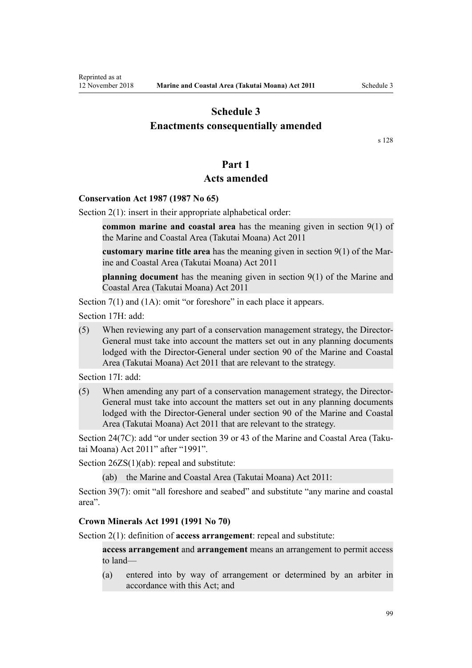# <span id="page-98-0"></span>**Schedule 3 Enactments consequentially amended**

[s 128](#page-83-0)

## **Part 1**

## **Acts amended**

## **Conservation Act 1987 (1987 No 65)**

[Section 2\(1\):](http://legislation.govt.nz/pdflink.aspx?id=DLM103616) insert in their appropriate alphabetical order:

**common marine and coastal area** has the meaning given in section 9(1) of the Marine and Coastal Area (Takutai Moana) Act 2011

**customary marine title area** has the meaning given in section 9(1) of the Marine and Coastal Area (Takutai Moana) Act 2011

**planning document** has the meaning given in section 9(1) of the Marine and Coastal Area (Takutai Moana) Act 2011

[Section 7\(1\)](http://legislation.govt.nz/pdflink.aspx?id=DLM104251) and (1A): omit "or foreshore" in each place it appears.

[Section 17H](http://legislation.govt.nz/pdflink.aspx?id=DLM104613): add:

(5) When reviewing any part of a conservation management strategy, the Director-General must take into account the matters set out in any planning documents lodged with the Director-General under section 90 of the Marine and Coastal Area (Takutai Moana) Act 2011 that are relevant to the strategy.

[Section 17I:](http://legislation.govt.nz/pdflink.aspx?id=DLM104615) add:

(5) When amending any part of a conservation management strategy, the Director-General must take into account the matters set out in any planning documents lodged with the Director-General under section 90 of the Marine and Coastal Area (Takutai Moana) Act 2011 that are relevant to the strategy.

[Section 24\(7C\)](http://legislation.govt.nz/pdflink.aspx?id=DLM104699): add "or under section 39 or 43 of the Marine and Coastal Area (Takutai Moana) Act 2011" after "1991".

[Section 26ZS\(1\)\(ab\)](http://legislation.govt.nz/pdflink.aspx?id=DLM106043): repeal and substitute:

(ab) the Marine and Coastal Area (Takutai Moana) Act 2011:

[Section 39\(7\):](http://legislation.govt.nz/pdflink.aspx?id=DLM106641) omit "all foreshore and seabed" and substitute "any marine and coastal area".

#### **Crown Minerals Act 1991 (1991 No 70)**

[Section 2\(1\):](http://legislation.govt.nz/pdflink.aspx?id=DLM242543) definition of **access arrangement**: repeal and substitute:

**access arrangement** and **arrangement** means an arrangement to permit access to land—

(a) entered into by way of arrangement or determined by an arbiter in accordance with this Act; and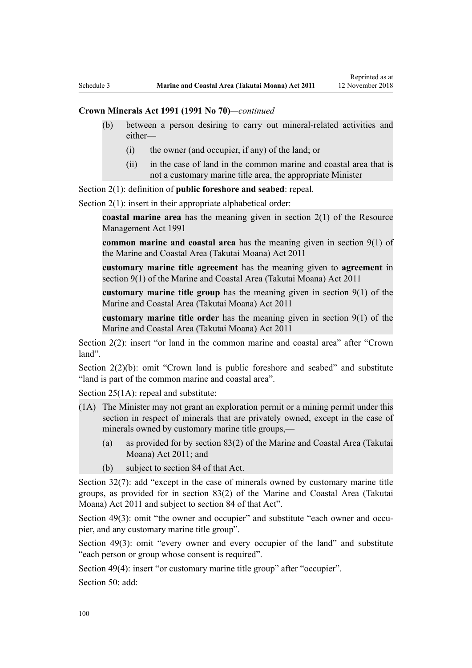### **Crown Minerals Act 1991 (1991 No 70)***—continued*

- (b) between a person desiring to carry out mineral-related activities and either—
	- (i) the owner (and occupier, if any) of the land; or
	- (ii) in the case of land in the common marine and coastal area that is not a customary marine title area, the appropriate Minister

[Section 2\(1\):](http://legislation.govt.nz/pdflink.aspx?id=DLM242543) definition of **public foreshore and seabed**: repeal.

[Section 2\(1\):](http://legislation.govt.nz/pdflink.aspx?id=DLM242543) insert in their appropriate alphabetical order:

**coastal marine area** has the meaning given in section 2(1) of the Resource Management Act 1991

**common marine and coastal area** has the meaning given in section 9(1) of the Marine and Coastal Area (Takutai Moana) Act 2011

**customary marine title agreement** has the meaning given to **agreement** in section 9(1) of the Marine and Coastal Area (Takutai Moana) Act 2011

**customary marine title group** has the meaning given in section 9(1) of the Marine and Coastal Area (Takutai Moana) Act 2011

**customary marine title order** has the meaning given in section 9(1) of the Marine and Coastal Area (Takutai Moana) Act 2011

[Section 2\(2\)](http://legislation.govt.nz/pdflink.aspx?id=DLM242543): insert "or land in the common marine and coastal area" after "Crown land".

[Section 2\(2\)\(b\)](http://legislation.govt.nz/pdflink.aspx?id=DLM242543): omit "Crown land is public foreshore and seabed" and substitute "land is part of the common marine and coastal area".

[Section 25\(1A\):](http://legislation.govt.nz/pdflink.aspx?id=DLM246328) repeal and substitute:

- (1A) The Minister may not grant an exploration permit or a mining permit under this section in respect of minerals that are privately owned, except in the case of minerals owned by customary marine title groups,—
	- (a) as provided for by section 83(2) of the Marine and Coastal Area (Takutai Moana) Act 2011; and
	- (b) subject to section 84 of that Act.

[Section 32\(7\):](http://legislation.govt.nz/pdflink.aspx?id=DLM246341) add "except in the case of minerals owned by customary marine title groups, as provided for in section 83(2) of the Marine and Coastal Area (Takutai Moana) Act 2011 and subject to section 84 of that Act".

[Section 49\(3\)](http://legislation.govt.nz/pdflink.aspx?id=DLM246396): omit "the owner and occupier" and substitute "each owner and occupier, and any customary marine title group".

[Section 49\(3\):](http://legislation.govt.nz/pdflink.aspx?id=DLM246396) omit "every owner and every occupier of the land" and substitute "each person or group whose consent is required".

[Section 49\(4\)](http://legislation.govt.nz/pdflink.aspx?id=DLM246396): insert "or customary marine title group" after "occupier".

[Section 50](http://legislation.govt.nz/pdflink.aspx?id=DLM246397): add: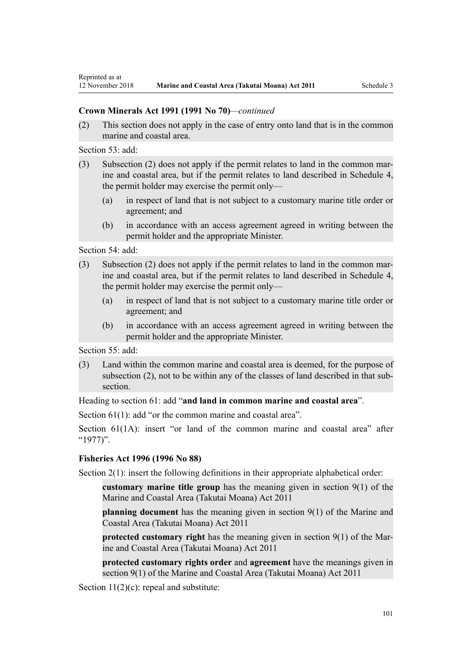## **Crown Minerals Act 1991 (1991 No 70)***—continued*

(2) This section does not apply in the case of entry onto land that is in the common marine and coastal area.

[Section 53](http://legislation.govt.nz/pdflink.aspx?id=DLM246703): add:

- (3) Subsection (2) does not apply if the permit relates to land in the common marine and coastal area, but if the permit relates to land described in Schedule 4, the permit holder may exercise the permit only—
	- (a) in respect of land that is not subject to a customary marine title order or agreement; and
	- (b) in accordance with an access agreement agreed in writing between the permit holder and the appropriate Minister.

[Section 54](http://legislation.govt.nz/pdflink.aspx?id=DLM246704): add:

- (3) Subsection (2) does not apply if the permit relates to land in the common marine and coastal area, but if the permit relates to land described in Schedule 4, the permit holder may exercise the permit only—
	- (a) in respect of land that is not subject to a customary marine title order or agreement; and
	- (b) in accordance with an access agreement agreed in writing between the permit holder and the appropriate Minister.

[Section 55](http://legislation.govt.nz/pdflink.aspx?id=DLM246706): add:

(3) Land within the common marine and coastal area is deemed, for the purpose of subsection (2), not to be within any of the classes of land described in that subsection.

Heading to [section 61:](http://legislation.govt.nz/pdflink.aspx?id=DLM246714) add "**and land in common marine and coastal area**".

[Section 61\(1\)](http://legislation.govt.nz/pdflink.aspx?id=DLM246714): add "or the common marine and coastal area".

[Section 61\(1A\)](http://legislation.govt.nz/pdflink.aspx?id=DLM246714): insert "or land of the common marine and coastal area" after "1977)".

## **Fisheries Act 1996 (1996 No 88)**

[Section 2\(1\):](http://legislation.govt.nz/pdflink.aspx?id=DLM394199) insert the following definitions in their appropriate alphabetical order:

**customary marine title group** has the meaning given in section 9(1) of the Marine and Coastal Area (Takutai Moana) Act 2011

**planning document** has the meaning given in section 9(1) of the Marine and Coastal Area (Takutai Moana) Act 2011

**protected customary right** has the meaning given in section 9(1) of the Marine and Coastal Area (Takutai Moana) Act 2011

**protected customary rights order** and **agreement** have the meanings given in section 9(1) of the Marine and Coastal Area (Takutai Moana) Act 2011

[Section 11\(2\)\(c\):](http://legislation.govt.nz/pdflink.aspx?id=DLM395397) repeal and substitute: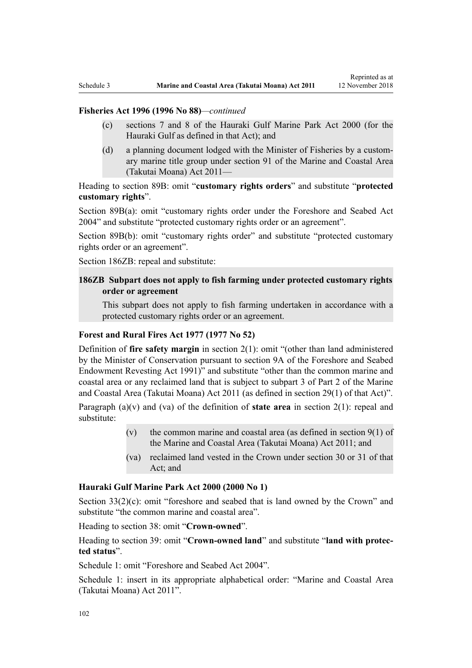## **Fisheries Act 1996 (1996 No 88)***—continued*

- (c) sections 7 and 8 of the Hauraki Gulf Marine Park Act 2000 (for the Hauraki Gulf as defined in that Act); and
- (d) a planning document lodged with the Minister of Fisheries by a customary marine title group under section 91 of the Marine and Coastal Area (Takutai Moana) Act 2011—

Heading to [section 89B](http://legislation.govt.nz/pdflink.aspx?id=DLM396920): omit "**customary rights orders**" and substitute "**protected customary rights**".

[Section 89B\(a\)](http://legislation.govt.nz/pdflink.aspx?id=DLM396920): omit "customary rights order under the Foreshore and Seabed Act 2004" and substitute "protected customary rights order or an agreement".

[Section 89B\(b\):](http://legislation.govt.nz/pdflink.aspx?id=DLM396920) omit "customary rights order" and substitute "protected customary rights order or an agreement".

[Section 186ZB:](http://legislation.govt.nz/pdflink.aspx?id=DLM398342) repeal and substitute:

## **186ZB Subpart does not apply to fish farming under protected customary rights order or agreement**

This subpart does not apply to fish farming undertaken in accordance with a protected customary rights order or an agreement.

### **Forest and Rural Fires Act 1977 (1977 No 52)**

Definition of **fire safety margin** in [section 2\(1\):](http://legislation.govt.nz/pdflink.aspx?id=DLM442952) omit "(other than land administered by the Minister of Conservation pursuant to section 9A of the Foreshore and Seabed Endowment Revesting Act 1991)" and substitute "other than the common marine and coastal area or any reclaimed land that is subject to subpart 3 of Part 2 of the Marine and Coastal Area (Takutai Moana) Act 2011 (as defined in section 29(1) of that Act)".

Paragraph (a)(v) and (va) of the definition of **state area** in [section 2\(1\):](http://legislation.govt.nz/pdflink.aspx?id=DLM442952) repeal and substitute:

- (v) the common marine and coastal area (as defined in section  $9(1)$  of the Marine and Coastal Area (Takutai Moana) Act 2011; and
- (va) reclaimed land vested in the Crown under section 30 or 31 of that Act; and

#### **Hauraki Gulf Marine Park Act 2000 (2000 No 1)**

[Section 33\(2\)\(c\)](http://legislation.govt.nz/pdflink.aspx?id=DLM53174): omit "foreshore and seabed that is land owned by the Crown" and substitute "the common marine and coastal area".

Heading to [section 38:](http://legislation.govt.nz/pdflink.aspx?id=DLM53180) omit "**Crown-owned**".

Heading to [section 39:](http://legislation.govt.nz/pdflink.aspx?id=DLM53181) omit "**Crown-owned land**" and substitute "**land with protected status**".

[Schedule 1:](http://legislation.govt.nz/pdflink.aspx?id=DLM53199) omit "Foreshore and Seabed Act 2004".

[Schedule 1:](http://legislation.govt.nz/pdflink.aspx?id=DLM53199) insert in its appropriate alphabetical order: "Marine and Coastal Area (Takutai Moana) Act 2011".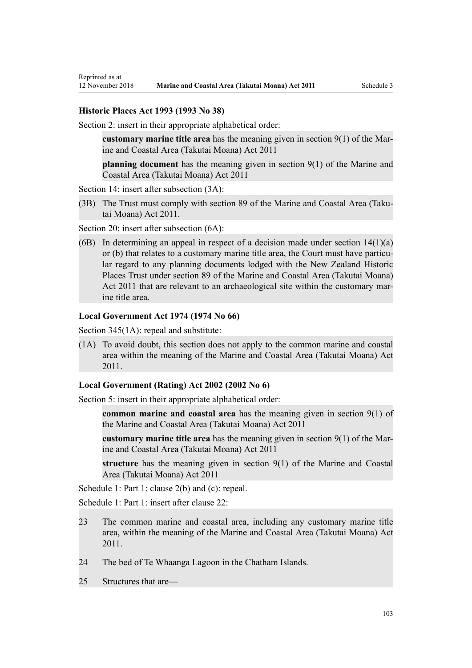### **Historic Places Act 1993 (1993 No 38)**

[Section 2](http://legislation.govt.nz/pdflink.aspx?id=DLM300516): insert in their appropriate alphabetical order:

**customary marine title area** has the meaning given in section 9(1) of the Marine and Coastal Area (Takutai Moana) Act 2011

**planning document** has the meaning given in section 9(1) of the Marine and Coastal Area (Takutai Moana) Act 2011

[Section 14](http://legislation.govt.nz/pdflink.aspx?id=DLM300610): insert after subsection  $(3A)$ :

(3B) The Trust must comply with section 89 of the Marine and Coastal Area (Takutai Moana) Act 2011.

[Section 20](http://legislation.govt.nz/pdflink.aspx?id=DLM300622): insert after subsection  $(6A)$ :

(6B) In determining an appeal in respect of a decision made under section  $14(1)(a)$ or (b) that relates to a customary marine title area, the Court must have particular regard to any planning documents lodged with the New Zealand Historic Places Trust under section 89 of the Marine and Coastal Area (Takutai Moana) Act 2011 that are relevant to an archaeological site within the customary marine title area.

#### **Local Government Act 1974 (1974 No 66)**

[Section 345\(1A\):](http://legislation.govt.nz/pdflink.aspx?id=DLM420626) repeal and substitute:

(1A) To avoid doubt, this section does not apply to the common marine and coastal area within the meaning of the Marine and Coastal Area (Takutai Moana) Act 2011.

### **Local Government (Rating) Act 2002 (2002 No 6)**

[Section 5](http://legislation.govt.nz/pdflink.aspx?id=DLM132004): insert in their appropriate alphabetical order:

**common marine and coastal area** has the meaning given in section 9(1) of the Marine and Coastal Area (Takutai Moana) Act 2011

**customary marine title area** has the meaning given in section 9(1) of the Marine and Coastal Area (Takutai Moana) Act 2011

**structure** has the meaning given in section 9(1) of the Marine and Coastal Area (Takutai Moana) Act 2011

[Schedule 1:](http://legislation.govt.nz/pdflink.aspx?id=DLM133512) Part 1: clause 2(b) and (c): repeal.

[Schedule 1:](http://legislation.govt.nz/pdflink.aspx?id=DLM133512) Part 1: insert after clause 22:

- 23 The common marine and coastal area, including any customary marine title area, within the meaning of the Marine and Coastal Area (Takutai Moana) Act 2011.
- 24 The bed of Te Whaanga Lagoon in the Chatham Islands.
- 25 Structures that are—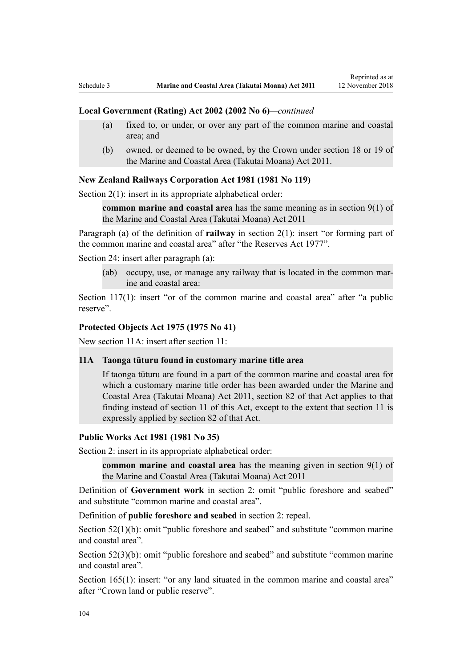#### **Local Government (Rating) Act 2002 (2002 No 6)***—continued*

- (a) fixed to, or under, or over any part of the common marine and coastal area; and
- (b) owned, or deemed to be owned, by the Crown under section 18 or 19 of the Marine and Coastal Area (Takutai Moana) Act 2011.

#### **New Zealand Railways Corporation Act 1981 (1981 No 119)**

[Section 2\(1\):](http://legislation.govt.nz/pdflink.aspx?id=DLM57011) insert in its appropriate alphabetical order:

**common marine and coastal area** has the same meaning as in section 9(1) of the Marine and Coastal Area (Takutai Moana) Act 2011

Paragraph (a) of the definition of **railway** in section 2(1): insert "or forming part of the common marine and coastal area" after "the Reserves Act 1977".

[Section 24](http://legislation.govt.nz/pdflink.aspx?id=DLM57642): insert after paragraph (a):

(ab) occupy, use, or manage any railway that is located in the common marine and coastal area:

[Section 117\(1\):](http://legislation.govt.nz/pdflink.aspx?id=DLM58268) insert "or of the common marine and coastal area" after "a public reserve".

### **Protected Objects Act 1975 (1975 No 41)**

New section 11A: insert after [section 11:](http://legislation.govt.nz/pdflink.aspx?id=DLM432422)

## **11A Taonga tūturu found in customary marine title area**

If taonga tūturu are found in a part of the common marine and coastal area for which a customary marine title order has been awarded under the Marine and Coastal Area (Takutai Moana) Act 2011, section 82 of that Act applies to that finding instead of section 11 of this Act, except to the extent that section 11 is expressly applied by section 82 of that Act.

#### **Public Works Act 1981 (1981 No 35)**

[Section 2](http://legislation.govt.nz/pdflink.aspx?id=DLM45433): insert in its appropriate alphabetical order:

**common marine and coastal area** has the meaning given in section 9(1) of the Marine and Coastal Area (Takutai Moana) Act 2011

Definition of **Government work** in section 2: omit "public foreshore and seabed" and substitute "common marine and coastal area".

Definition of **public foreshore and seabed** in section 2: repeal.

[Section 52\(1\)\(b\)](http://legislation.govt.nz/pdflink.aspx?id=DLM46307): omit "public foreshore and seabed" and substitute "common marine" and coastal area".

[Section 52\(3\)\(b\)](http://legislation.govt.nz/pdflink.aspx?id=DLM46307): omit "public foreshore and seabed" and substitute "common marine and coastal area".

[Section 165\(1\):](http://legislation.govt.nz/pdflink.aspx?id=DLM47750) insert: "or any land situated in the common marine and coastal area" after "Crown land or public reserve".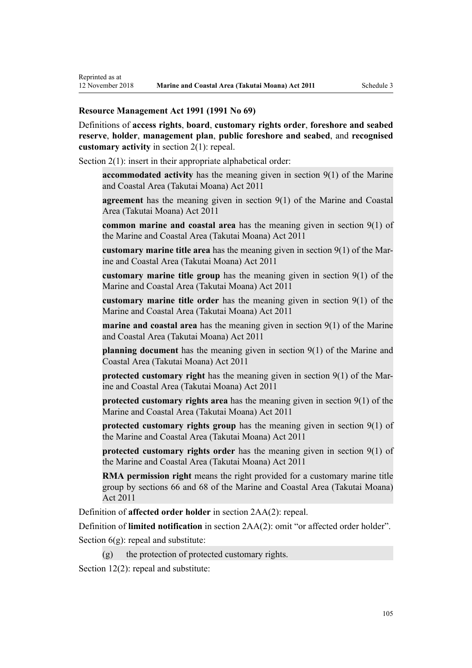### **Resource Management Act 1991 (1991 No 69)**

Reprinted as at

Definitions of **access rights**, **board**, **customary rights order**, **foreshore and seabed reserve**, **holder**, **management plan**, **public foreshore and seabed**, and **recognised customary activity** in [section 2\(1\):](http://legislation.govt.nz/pdflink.aspx?id=DLM230272) repeal.

[Section 2\(1\):](http://legislation.govt.nz/pdflink.aspx?id=DLM230272) insert in their appropriate alphabetical order:

**accommodated activity** has the meaning given in section 9(1) of the Marine and Coastal Area (Takutai Moana) Act 2011

**agreement** has the meaning given in section 9(1) of the Marine and Coastal Area (Takutai Moana) Act 2011

**common marine and coastal area** has the meaning given in section 9(1) of the Marine and Coastal Area (Takutai Moana) Act 2011

**customary marine title area** has the meaning given in section 9(1) of the Marine and Coastal Area (Takutai Moana) Act 2011

**customary marine title group** has the meaning given in section 9(1) of the Marine and Coastal Area (Takutai Moana) Act 2011

**customary marine title order** has the meaning given in section 9(1) of the Marine and Coastal Area (Takutai Moana) Act 2011

**marine and coastal area** has the meaning given in section 9(1) of the Marine and Coastal Area (Takutai Moana) Act 2011

**planning document** has the meaning given in section 9(1) of the Marine and Coastal Area (Takutai Moana) Act 2011

**protected customary right** has the meaning given in section 9(1) of the Marine and Coastal Area (Takutai Moana) Act 2011

**protected customary rights area** has the meaning given in section 9(1) of the Marine and Coastal Area (Takutai Moana) Act 2011

**protected customary rights group** has the meaning given in section 9(1) of the Marine and Coastal Area (Takutai Moana) Act 2011

**protected customary rights order** has the meaning given in section 9(1) of the Marine and Coastal Area (Takutai Moana) Act 2011

**RMA permission right** means the right provided for a customary marine title group by sections 66 and 68 of the Marine and Coastal Area (Takutai Moana) Act 2011

Definition of **affected order holder** in [section 2AA\(2\):](http://legislation.govt.nz/pdflink.aspx?id=DLM2408220) repeal.

Definition of **limited notification** in [section 2AA\(2\)](http://legislation.govt.nz/pdflink.aspx?id=DLM2408220): omit "or affected order holder".

Section  $6(g)$ : repeal and substitute:

 $(g)$  the protection of protected customary rights.

[Section 12\(2\)](http://legislation.govt.nz/pdflink.aspx?id=DLM231949): repeal and substitute: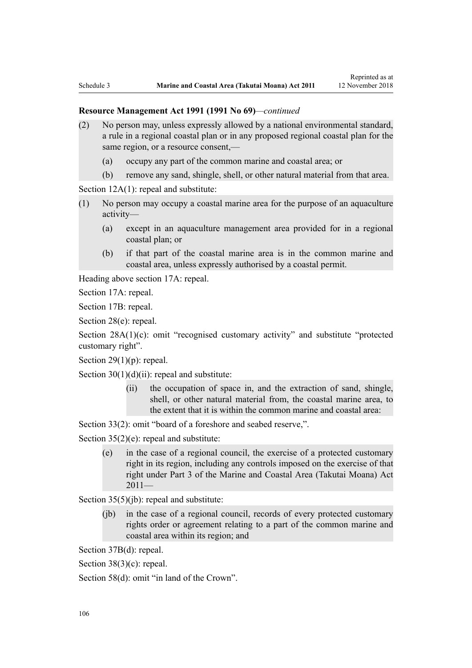#### **Resource Management Act 1991 (1991 No 69)***—continued*

- (2) No person may, unless expressly allowed by a national environmental standard, a rule in a regional coastal plan or in any proposed regional coastal plan for the same region, or a resource consent,—
	- (a) occupy any part of the common marine and coastal area; or
	- (b) remove any sand, shingle, shell, or other natural material from that area.

[Section 12A\(1\):](http://legislation.govt.nz/pdflink.aspx?id=DLM231965) repeal and substitute:

- (1) No person may occupy a coastal marine area for the purpose of an aquaculture activity—
	- (a) except in an aquaculture management area provided for in a regional coastal plan; or
	- (b) if that part of the coastal marine area is in the common marine and coastal area, unless expressly authorised by a coastal permit.

Heading above [section 17A:](http://legislation.govt.nz/pdflink.aspx?id=DLM232508) repeal.

[Section 17A](http://legislation.govt.nz/pdflink.aspx?id=DLM232508): repeal.

[Section 17B:](http://legislation.govt.nz/pdflink.aspx?id=DLM232510) repeal.

[Section 28\(e\):](http://legislation.govt.nz/pdflink.aspx?id=DLM232548) repeal.

[Section 28A\(1\)\(c\):](http://legislation.govt.nz/pdflink.aspx?id=DLM232552) omit "recognised customary activity" and substitute "protected customary right".

Section  $29(1)(p)$ : repeal.

Section  $30(1)(d)(ii)$ : repeal and substitute:

(ii) the occupation of space in, and the extraction of sand, shingle, shell, or other natural material from, the coastal marine area, to the extent that it is within the common marine and coastal area:

[Section 33\(2\)](http://legislation.govt.nz/pdflink.aspx?id=DLM232593): omit "board of a foreshore and seabed reserve,".

[Section 35\(2\)\(e\)](http://legislation.govt.nz/pdflink.aspx?id=DLM233009): repeal and substitute:

(e) in the case of a regional council, the exercise of a protected customary right in its region, including any controls imposed on the exercise of that right under Part 3 of the Marine and Coastal Area (Takutai Moana) Act  $2011-$ 

[Section 35\(5\)\(jb\)](http://legislation.govt.nz/pdflink.aspx?id=DLM233009): repeal and substitute:

(jb) in the case of a regional council, records of every protected customary rights order or agreement relating to a part of the common marine and coastal area within its region; and

[Section 37B\(d\)](http://legislation.govt.nz/pdflink.aspx?id=DLM233052): repeal.

[Section 38\(3\)\(c\)](http://legislation.govt.nz/pdflink.aspx?id=DLM233057): repeal.

[Section 58\(d\)](http://legislation.govt.nz/pdflink.aspx?id=DLM233381): omit "in land of the Crown".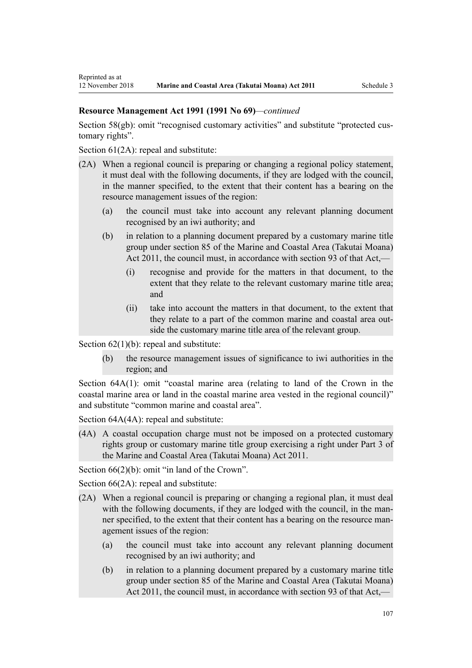## **Resource Management Act 1991 (1991 No 69)***—continued*

[Section 58\(gb\):](http://legislation.govt.nz/pdflink.aspx?id=DLM233381) omit "recognised customary activities" and substitute "protected customary rights".

[Section 61\(2A\):](http://legislation.govt.nz/pdflink.aspx?id=DLM233389) repeal and substitute:

- (2A) When a regional council is preparing or changing a regional policy statement, it must deal with the following documents, if they are lodged with the council, in the manner specified, to the extent that their content has a bearing on the resource management issues of the region:
	- (a) the council must take into account any relevant planning document recognised by an iwi authority; and
	- (b) in relation to a planning document prepared by a customary marine title group under section 85 of the Marine and Coastal Area (Takutai Moana) Act 2011, the council must, in accordance with section 93 of that Act,—
		- (i) recognise and provide for the matters in that document, to the extent that they relate to the relevant customary marine title area; and
		- (ii) take into account the matters in that document, to the extent that they relate to a part of the common marine and coastal area outside the customary marine title area of the relevant group.

Section  $62(1)(b)$ : repeal and substitute:

(b) the resource management issues of significance to iwi authorities in the region; and

[Section 64A\(1\)](http://legislation.govt.nz/pdflink.aspx?id=DLM233610): omit "coastal marine area (relating to land of the Crown in the coastal marine area or land in the coastal marine area vested in the regional council)" and substitute "common marine and coastal area".

Section  $64A(4A)$ : repeal and substitute:

(4A) A coastal occupation charge must not be imposed on a protected customary rights group or customary marine title group exercising a right under Part 3 of the Marine and Coastal Area (Takutai Moana) Act 2011.

[Section 66\(2\)\(b\):](http://legislation.govt.nz/pdflink.aspx?id=DLM233620) omit "in land of the Crown".

[Section 66\(2A\):](http://legislation.govt.nz/pdflink.aspx?id=DLM233620) repeal and substitute:

- (2A) When a regional council is preparing or changing a regional plan, it must deal with the following documents, if they are lodged with the council, in the manner specified, to the extent that their content has a bearing on the resource management issues of the region:
	- (a) the council must take into account any relevant planning document recognised by an iwi authority; and
	- (b) in relation to a planning document prepared by a customary marine title group under section 85 of the Marine and Coastal Area (Takutai Moana) Act 2011, the council must, in accordance with section 93 of that Act,—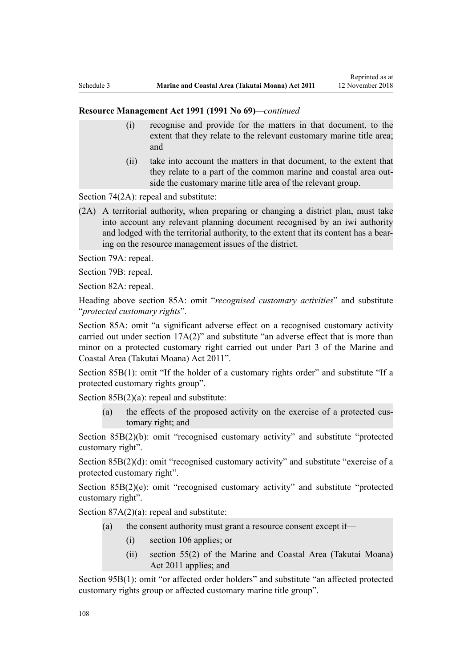#### **Resource Management Act 1991 (1991 No 69)***—continued*

- (i) recognise and provide for the matters in that document, to the extent that they relate to the relevant customary marine title area; and
- (ii) take into account the matters in that document, to the extent that they relate to a part of the common marine and coastal area outside the customary marine title area of the relevant group.

[Section 74\(2A\):](http://legislation.govt.nz/pdflink.aspx?id=DLM233671) repeal and substitute:

(2A) A territorial authority, when preparing or changing a district plan, must take into account any relevant planning document recognised by an iwi authority and lodged with the territorial authority, to the extent that its content has a bearing on the resource management issues of the district.

[Section 79A](http://legislation.govt.nz/pdflink.aspx?id=DLM233815): repeal.

[Section 79B:](http://legislation.govt.nz/pdflink.aspx?id=DLM233818) repeal.

[Section 82A](http://legislation.govt.nz/pdflink.aspx?id=DLM233827): repeal.

Heading above [section 85A](http://legislation.govt.nz/pdflink.aspx?id=DLM233840): omit "*recognised customary activities*" and substitute "*protected customary rights*".

[Section 85A](http://legislation.govt.nz/pdflink.aspx?id=DLM233840): omit "a significant adverse effect on a recognised customary activity carried out under section 17A(2)" and substitute "an adverse effect that is more than minor on a protected customary right carried out under Part 3 of the Marine and Coastal Area (Takutai Moana) Act 2011".

[Section 85B\(1\)](http://legislation.govt.nz/pdflink.aspx?id=DLM233842): omit "If the holder of a customary rights order" and substitute "If a protected customary rights group".

[Section 85B\(2\)\(a\):](http://legislation.govt.nz/pdflink.aspx?id=DLM233842) repeal and substitute:

(a) the effects of the proposed activity on the exercise of a protected customary right; and

[Section 85B\(2\)\(b\):](http://legislation.govt.nz/pdflink.aspx?id=DLM233842) omit "recognised customary activity" and substitute "protected customary right".

[Section 85B\(2\)\(d\):](http://legislation.govt.nz/pdflink.aspx?id=DLM233842) omit "recognised customary activity" and substitute "exercise of a protected customary right".

[Section 85B\(2\)\(e\)](http://legislation.govt.nz/pdflink.aspx?id=DLM233842): omit "recognised customary activity" and substitute "protected customary right".

Section  $87A(2)(a)$ : repeal and substitute:

- (a) the consent authority must grant a resource consent except if—
	- (i) section 106 applies; or
	- (ii) section 55(2) of the Marine and Coastal Area (Takutai Moana) Act 2011 applies; and

[Section 95B\(1\)](http://legislation.govt.nz/pdflink.aspx?id=DLM2416410): omit "or affected order holders" and substitute "an affected protected customary rights group or affected customary marine title group".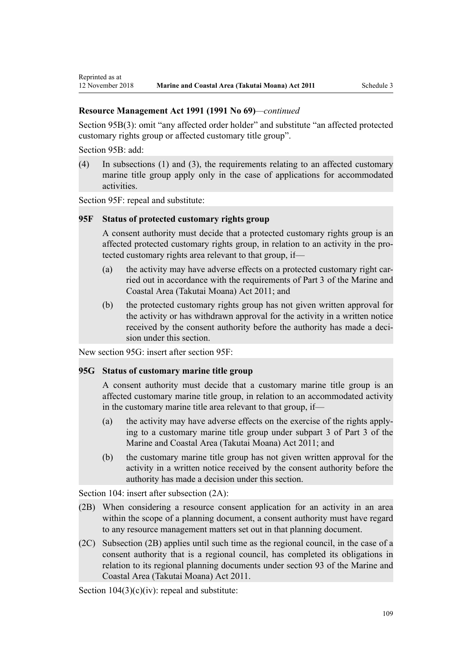[Section 95B\(3\)](http://legislation.govt.nz/pdflink.aspx?id=DLM2416410): omit "any affected order holder" and substitute "an affected protected customary rights group or affected customary title group".

[Section 95B:](http://legislation.govt.nz/pdflink.aspx?id=DLM2416410) add:

(4) In subsections (1) and (3), the requirements relating to an affected customary marine title group apply only in the case of applications for accommodated activities.

[Section 95F](http://legislation.govt.nz/pdflink.aspx?id=DLM2416414): repeal and substitute:

## **95F Status of protected customary rights group**

A consent authority must decide that a protected customary rights group is an affected protected customary rights group, in relation to an activity in the protected customary rights area relevant to that group, if—

- (a) the activity may have adverse effects on a protected customary right carried out in accordance with the requirements of Part 3 of the Marine and Coastal Area (Takutai Moana) Act 2011; and
- (b) the protected customary rights group has not given written approval for the activity or has withdrawn approval for the activity in a written notice received by the consent authority before the authority has made a decision under this section.

New section 95G: insert after [section 95F:](http://legislation.govt.nz/pdflink.aspx?id=DLM2416414)

### **95G Status of customary marine title group**

A consent authority must decide that a customary marine title group is an affected customary marine title group, in relation to an accommodated activity in the customary marine title area relevant to that group, if—

- (a) the activity may have adverse effects on the exercise of the rights applying to a customary marine title group under subpart 3 of Part 3 of the Marine and Coastal Area (Takutai Moana) Act 2011; and
- (b) the customary marine title group has not given written approval for the activity in a written notice received by the consent authority before the authority has made a decision under this section.

[Section 104:](http://legislation.govt.nz/pdflink.aspx?id=DLM234355) insert after subsection  $(2A)$ :

- (2B) When considering a resource consent application for an activity in an area within the scope of a planning document, a consent authority must have regard to any resource management matters set out in that planning document.
- (2C) Subsection (2B) applies until such time as the regional council, in the case of a consent authority that is a regional council, has completed its obligations in relation to its regional planning documents under section 93 of the Marine and Coastal Area (Takutai Moana) Act 2011.

Section  $104(3)(c)(iv)$ : repeal and substitute: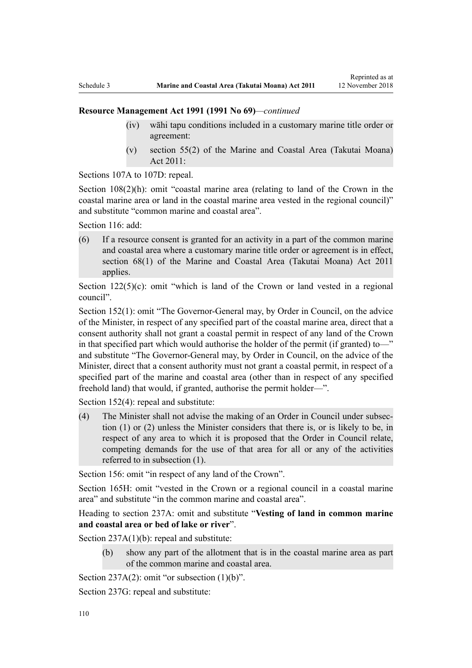- (iv) wāhi tapu conditions included in a customary marine title order or agreement:
- (v) section 55(2) of the Marine and Coastal Area (Takutai Moana) Act 2011:

[Sections 107A to 107D:](http://legislation.govt.nz/pdflink.aspx?id=DLM234801) repeal.

[Section 108\(2\)\(h\)](http://legislation.govt.nz/pdflink.aspx?id=DLM234810): omit "coastal marine area (relating to land of the Crown in the coastal marine area or land in the coastal marine area vested in the regional council)" and substitute "common marine and coastal area".

[Section 116](http://legislation.govt.nz/pdflink.aspx?id=DLM234865): add:

(6) If a resource consent is granted for an activity in a part of the common marine and coastal area where a customary marine title order or agreement is in effect, section 68(1) of the Marine and Coastal Area (Takutai Moana) Act 2011 applies.

Section  $122(5)(c)$ : omit "which is land of the Crown or land vested in a regional council".

[Section 152\(1\)](http://legislation.govt.nz/pdflink.aspx?id=DLM235468): omit "The Governor-General may, by Order in Council, on the advice of the Minister, in respect of any specified part of the coastal marine area, direct that a consent authority shall not grant a coastal permit in respect of any land of the Crown in that specified part which would authorise the holder of the permit (if granted) to—" and substitute "The Governor-General may, by Order in Council, on the advice of the Minister, direct that a consent authority must not grant a coastal permit, in respect of a specified part of the marine and coastal area (other than in respect of any specified freehold land) that would, if granted, authorise the permit holder—".

[Section 152\(4\)](http://legislation.govt.nz/pdflink.aspx?id=DLM235468): repeal and substitute:

(4) The Minister shall not advise the making of an Order in Council under subsection (1) or (2) unless the Minister considers that there is, or is likely to be, in respect of any area to which it is proposed that the Order in Council relate, competing demands for the use of that area for all or any of the activities referred to in subsection (1).

[Section 156:](http://legislation.govt.nz/pdflink.aspx?id=DLM235484) omit "in respect of any land of the Crown".

[Section 165H:](http://legislation.govt.nz/pdflink.aspx?id=DLM236036) omit "vested in the Crown or a regional council in a coastal marine area" and substitute "in the common marine and coastal area".

Heading to section 237A: omit and substitute "**Vesting of land in common marine and coastal area or bed of lake or river**".

[Section 237A\(1\)\(b\):](http://legislation.govt.nz/pdflink.aspx?id=DLM237276) repeal and substitute:

(b) show any part of the allotment that is in the coastal marine area as part of the common marine and coastal area.

Section  $237A(2)$ : omit "or subsection  $(1)(b)$ ".

[Section 237G](http://legislation.govt.nz/pdflink.aspx?id=DLM237291): repeal and substitute: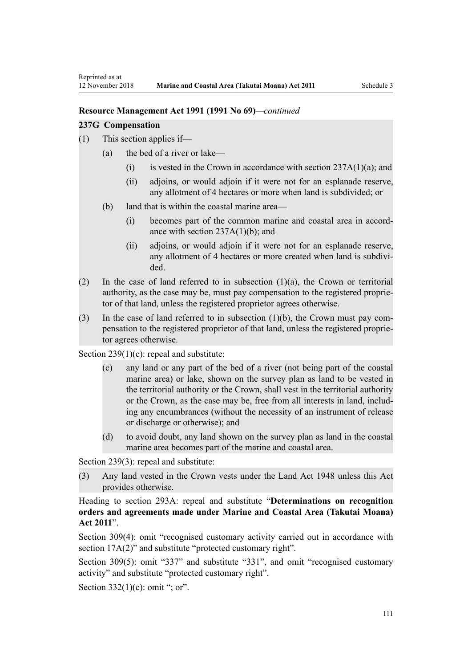#### **237G Compensation**

- (1) This section applies if—
	- (a) the bed of a river or lake—
		- (i) is vested in the Crown in accordance with section  $237A(1)(a)$ ; and
		- (ii) adjoins, or would adjoin if it were not for an esplanade reserve, any allotment of 4 hectares or more when land is subdivided; or
	- (b) land that is within the coastal marine area—
		- (i) becomes part of the common marine and coastal area in accordance with section  $237A(1)(b)$ ; and
		- (ii) adjoins, or would adjoin if it were not for an esplanade reserve, any allotment of 4 hectares or more created when land is subdivided.
- (2) In the case of land referred to in subsection (1)(a), the Crown or territorial authority, as the case may be, must pay compensation to the registered proprietor of that land, unless the registered proprietor agrees otherwise.
- (3) In the case of land referred to in subsection (1)(b), the Crown must pay compensation to the registered proprietor of that land, unless the registered proprietor agrees otherwise.

[Section 239\(1\)\(c\):](http://legislation.govt.nz/pdflink.aspx?id=DLM237600) repeal and substitute:

- (c) any land or any part of the bed of a river (not being part of the coastal marine area) or lake, shown on the survey plan as land to be vested in the territorial authority or the Crown, shall vest in the territorial authority or the Crown, as the case may be, free from all interests in land, including any encumbrances (without the necessity of an instrument of release or discharge or otherwise); and
- (d) to avoid doubt, any land shown on the survey plan as land in the coastal marine area becomes part of the marine and coastal area.

[Section 239\(3\)](http://legislation.govt.nz/pdflink.aspx?id=DLM237600): repeal and substitute:

(3) Any land vested in the Crown vests under the Land Act 1948 unless this Act provides otherwise.

Heading to [section 293A:](http://legislation.govt.nz/pdflink.aspx?id=DLM238254) repeal and substitute "**Determinations on recognition orders and agreements made under Marine and Coastal Area (Takutai Moana) Act 2011**".

[Section 309\(4\):](http://legislation.govt.nz/pdflink.aspx?id=DLM238505) omit "recognised customary activity carried out in accordance with section  $17A(2)$ " and substitute "protected customary right".

[Section 309\(5\)](http://legislation.govt.nz/pdflink.aspx?id=DLM238505): omit "337" and substitute "331", and omit "recognised customary activity" and substitute "protected customary right".

Section  $332(1)(c)$ : omit "; or".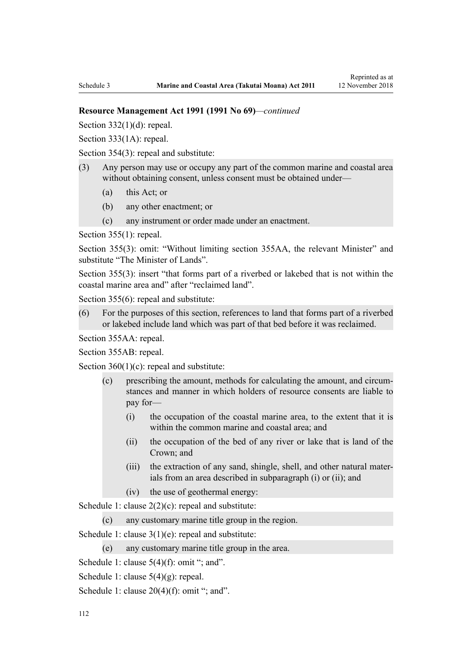Section  $332(1)(d)$ : repeal.

[Section 333\(1A\):](http://legislation.govt.nz/pdflink.aspx?id=DLM239027) repeal.

[Section 354\(3\)](http://legislation.govt.nz/pdflink.aspx?id=DLM239318): repeal and substitute:

- (3) Any person may use or occupy any part of the common marine and coastal area without obtaining consent, unless consent must be obtained under—
	- (a) this Act; or
	- (b) any other enactment; or
	- (c) any instrument or order made under an enactment.

[Section 355\(1\)](http://legislation.govt.nz/pdflink.aspx?id=DLM239322): repeal.

[Section 355\(3\):](http://legislation.govt.nz/pdflink.aspx?id=DLM239322) omit: "Without limiting section 355AA, the relevant Minister" and substitute "The Minister of Lands".

[Section 355\(3\)](http://legislation.govt.nz/pdflink.aspx?id=DLM239322): insert "that forms part of a riverbed or lakebed that is not within the coastal marine area and" after "reclaimed land".

[Section 355\(6\)](http://legislation.govt.nz/pdflink.aspx?id=DLM239322): repeal and substitute:

(6) For the purposes of this section, references to land that forms part of a riverbed or lakebed include land which was part of that bed before it was reclaimed.

[Section 355AA](http://legislation.govt.nz/pdflink.aspx?id=DLM239326): repeal.

[Section 355AB:](http://legislation.govt.nz/pdflink.aspx?id=DLM239328) repeal.

Section  $360(1)(c)$ : repeal and substitute:

- (c) prescribing the amount, methods for calculating the amount, and circumstances and manner in which holders of resource consents are liable to pay for—
	- (i) the occupation of the coastal marine area, to the extent that it is within the common marine and coastal area; and
	- (ii) the occupation of the bed of any river or lake that is land of the Crown; and
	- (iii) the extraction of any sand, shingle, shell, and other natural materials from an area described in subparagraph (i) or (ii); and
	- (iv) the use of geothermal energy:

[Schedule 1:](http://legislation.govt.nz/pdflink.aspx?id=DLM240686) clause  $2(2)(c)$ : repeal and substitute:

(c) any customary marine title group in the region.

[Schedule 1:](http://legislation.govt.nz/pdflink.aspx?id=DLM240686) clause 3(1)(e): repeal and substitute:

(e) any customary marine title group in the area.

[Schedule 1:](http://legislation.govt.nz/pdflink.aspx?id=DLM240686) clause  $5(4)(f)$ : omit "; and".

[Schedule 1:](http://legislation.govt.nz/pdflink.aspx?id=DLM240686) clause 5(4)(g): repeal.

[Schedule 1:](http://legislation.govt.nz/pdflink.aspx?id=DLM240686) clause  $20(4)(f)$ : omit "; and".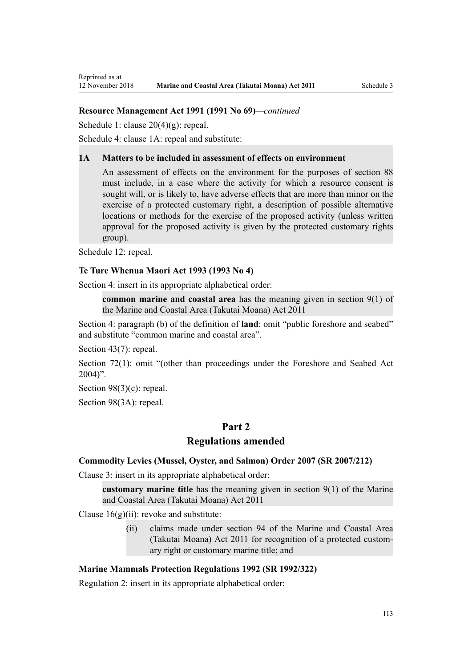[Schedule 1:](http://legislation.govt.nz/pdflink.aspx?id=DLM240686) clause 20(4)(g): repeal.

[Schedule 4:](http://legislation.govt.nz/pdflink.aspx?id=DLM242008) clause 1A: repeal and substitute:

#### **1A Matters to be included in assessment of effects on environment**

An assessment of effects on the environment for the purposes of section 88 must include, in a case where the activity for which a resource consent is sought will, or is likely to, have adverse effects that are more than minor on the exercise of a protected customary right, a description of possible alternative locations or methods for the exercise of the proposed activity (unless written approval for the proposed activity is given by the protected customary rights group).

[Schedule 12:](http://legislation.govt.nz/pdflink.aspx?id=DLM242515) repeal.

#### **Te Ture Whenua Maori Act 1993 (1993 No 4)**

[Section 4](http://legislation.govt.nz/pdflink.aspx?id=DLM289897): insert in its appropriate alphabetical order:

**common marine and coastal area** has the meaning given in section 9(1) of the Marine and Coastal Area (Takutai Moana) Act 2011

[Section 4:](http://legislation.govt.nz/pdflink.aspx?id=DLM289897) paragraph (b) of the definition of **land**: omit "public foreshore and seabed" and substitute "common marine and coastal area".

[Section 43\(7\)](http://legislation.govt.nz/pdflink.aspx?id=DLM290907): repeal.

[Section 72\(1\)](http://legislation.govt.nz/pdflink.aspx?id=DLM290961): omit "(other than proceedings under the Foreshore and Seabed Act  $2004$ ".

[Section 98\(3\)\(c\)](http://legislation.govt.nz/pdflink.aspx?id=DLM291203): repeal.

[Section 98\(3A\):](http://legislation.govt.nz/pdflink.aspx?id=DLM291203) repeal.

# **Part 2**

# **Regulations amended**

#### **Commodity Levies (Mussel, Oyster, and Salmon) Order 2007 (SR 2007/212)**

[Clause 3](http://legislation.govt.nz/pdflink.aspx?id=DLM443990): insert in its appropriate alphabetical order:

**customary marine title** has the meaning given in section 9(1) of the Marine and Coastal Area (Takutai Moana) Act 2011

Clause  $16(g)(ii)$ : revoke and substitute:

(ii) claims made under section 94 of the Marine and Coastal Area (Takutai Moana) Act 2011 for recognition of a protected customary right or customary marine title; and

### **Marine Mammals Protection Regulations 1992 (SR 1992/322)**

[Regulation 2](http://legislation.govt.nz/pdflink.aspx?id=DLM168290): insert in its appropriate alphabetical order: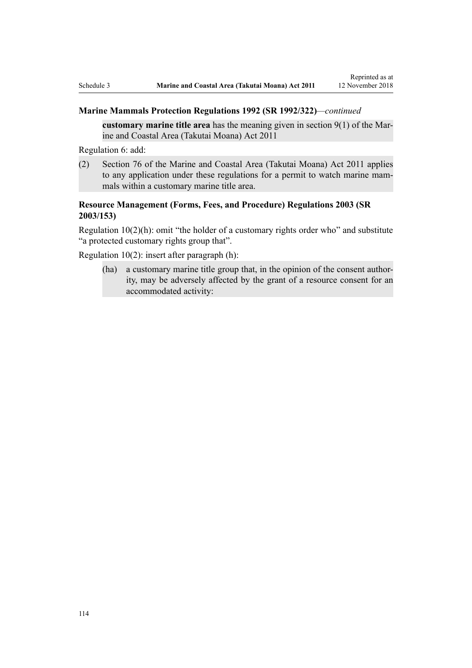# **Marine Mammals Protection Regulations 1992 (SR 1992/322)***—continued*

**customary marine title area** has the meaning given in section 9(1) of the Marine and Coastal Area (Takutai Moana) Act 2011

[Regulation 6](http://legislation.govt.nz/pdflink.aspx?id=DLM168824): add:

(2) Section 76 of the Marine and Coastal Area (Takutai Moana) Act 2011 applies to any application under these regulations for a permit to watch marine mammals within a customary marine title area.

# **Resource Management (Forms, Fees, and Procedure) Regulations 2003 (SR 2003/153)**

[Regulation 10\(2\)\(h\)](http://legislation.govt.nz/pdflink.aspx?id=DLM168828): omit "the holder of a customary rights order who" and substitute "a protected customary rights group that".

[Regulation 10\(2\)](http://legislation.govt.nz/pdflink.aspx?id=DLM168828): insert after paragraph (h):

(ha) a customary marine title group that, in the opinion of the consent authority, may be adversely affected by the grant of a resource consent for an accommodated activity: